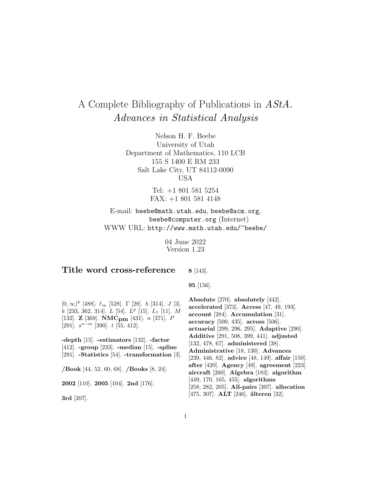# A Complete Bibliography of Publications in AStA. Advances in Statistical Analysis

Nelson H. F. Beebe University of Utah Department of Mathematics, 110 LCB 155 S 1400 E RM 233 Salt Lake City, UT 84112-0090 USA

> Tel: +1 801 581 5254 FAX: +1 801 581 4148

E-mail: beebe@math.utah.edu, beebe@acm.org, beebe@computer.org (Internet) WWW URL: http://www.math.utah.edu/~beebe/

> 04 June 2022 Version 1.23

#### **Title word cross-reference 8** [143].

**95** [156].

 $[0, ∞)^k$  [488].  $\ell_{\infty}$  [528]. Γ [28]. *h* [314]. *J* [3].  $k$  [233, 362, 314].  $L$  [54].  $L^p$  [15].  $L_1$  [11].  $M$ [132]. **Z** [369]. **NMCpm** [431]. n [371]. P [291].  $s^{n-m}$  [390]. t [55, 412].

**-depth** [15]. **-estimators** [132]. **-factor** [412]. **-group** [233]. **-median** [15]. **-spline** [291]. **-Statistics** [54]. **-transformation** [3].

**/Book** [44, 52, 60, 68]. **/Books** [8, 24].

**2002** [110]. **2005** [104]. **2nd** [176].

**3rd** [207].

**Absolute** [270]. **absolutely** [442]. **accelerated** [373]. **Access** [47, 49, 193]. **account** [284]. **Accumulation** [31]. **accuracy** [500, 435]. **across** [506]. **actuarial** [299, 296, 295]. **Adaptive** [290]. **Additive** [291, 508, 399, 441]. **adjusted** [132, 478, 67]. **administered** [38]. **Administrative** [18, 130]. **Advances** [239, 446, 82]. **advice** [48, 149]. **affair** [150]. **after** [420]. **Agency** [49]. **agreement** [223]. **aircraft** [260]. **Algebra** [183]. **algorithm** [449, 170, 165, 455]. **algorithms** [258, 282, 205]. **All-pairs** [397]. **allocation** [475, 307]. **ALT** [246]. **alteren ¨** [32].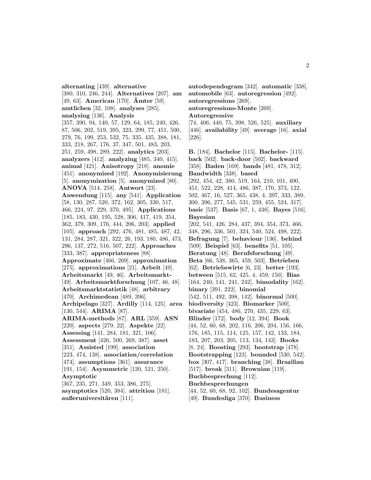**alternating** [439]. **alternative** [380, 310, 246, 244]. **Alternatives** [207]. **am** [49, 63]. **American** [170]. **Amter ¨** [59]. **amtlichen** [32, 108]. **analyses** [285]. **analysing** [136]. **Analysis** [357, 390, 94, 140, 57, 129, 64, 185, 240, 426, 87, 506, 202, 519, 395, 323, 299, 77, 451, 500, 279, 76, 199, 253, 532, 75, 335, 435, 388, 181, 333, 218, 267, 176, 37, 347, 501, 483, 203, 251, 259, 498, 289, 222]. **analytics** [203]. **analyzers** [412]. **analyzing** [485, 340, 415]. **animal** [421]. **Anisotropy** [218]. **anomie** [451]. **anonymised** [192]. **Anonymisierung** [5]. **anonymization** [5]. **anonymized** [80]. **ANOVA** [514, 258]. **Antwort** [23]. **Anwendung** [115]. **any** [541]. **Application** [58, 130, 287, 520, 372, 162, 305, 330, 517, 466, 224, 97, 229, 370, 495]. **Applications** [185, 183, 430, 195, 528, 306, 417, 419, 354, 362, 379, 309, 176, 444, 206, 203]. **applied** [105]. **approach** [292, 476, 481, 485, 487, 42, 131, 284, 287, 321, 322, 26, 193, 180, 486, 473, 296, 137, 272, 516, 507, 222]. **Approaches** [333, 387]. **appropriateness** [88]. **Approximate** [466, 269]. **approximation** [275]. **approximations** [21]. **Arbeit** [49]. **Arbeitsmarkt** [49, 46]. **Arbeitsmarkt-** [49]. **Arbeitsmarktforschung** [107, 46, 48]. **Arbeitsmarktstatistik** [48]. **arbitrary** [470]. **Archimedean** [489, 396]. **Archipelago** [327]. **Ardilly** [114, 125]. **area** [130, 544]. **ARIMA** [87]. **ARIMA-methods** [87]. **ARL** [359]. **ASN** [220]. **aspects** [279, 22]. **Aspekte** [22]. **Assessing** [141, 284, 181, 321, 106]. **Assessment** [426, 500, 269, 387]. **asset** [351]. **Assisted** [199]. **association** [223, 474, 138]. **association/correlation** [474]. **assumptions** [361]. **assurance** [191, 154]. **Asymmetric** [120, 521, 250]. **Asymptotic** [367, 235, 271, 349, 353, 386, 275]. **asymptotics** [520, 384]. **attrition** [181]. **außeruniversitären** [111].

**autodependogram** [342]. **automatic** [338]. **automobile** [63]. **autoregression** [492]. **autoregressions** [269]. **autoregressions-Monte** [269]. **Autoregressive** [74, 406, 440, 75, 398, 526, 525]. **auxiliary** [446]. **availability** [49]. **average** [16]. **axial**

[226].

**B.** [184]. **Bachelor** [115]. **Bachelor-** [115]. **back** [502]. **back-door** [502]. **backward** [358]. **Baden** [169]. **bands** [481, 478, 312]. **Bandwidth** [338]. **based** [292, 454, 42, 380, 519, 164, 210, 101, 400, 451, 522, 228, 414, 486, 387, 170, 373, 122, 502, 467, 16, 527, 365, 438, 4, 397, 333, 389, 300, 396, 277, 545, 531, 259, 455, 524, 317]. **basic** [537]. **Basis** [67, 1, 438]. **Bayes** [516]. **Bayesian** [202, 541, 426, 284, 437, 394, 354, 373, 466, 348, 296, 336, 501, 324, 540, 524, 498, 222]. **Befragung** [7]. **behaviour** [136]. **behind** [509]. **Beispiel** [63]. **benefits** [51, 105]. **Beratung** [48]. **Berufsforschung** [49]. **Beta** [66, 538, 365, 459, 503]. **Betrieben** [62]. **Betriebswirte** [6, 23]. **better** [193]. **between** [515, 62, 425, 4, 459, 150]. **Bias** [164, 240, 141, 241, 242]. **bimodality** [162]. **binary** [391, 222]. **binomial** [542, 511, 492, 398, 142]. **binormal** [500]. **biodiversity** [423]. **Biomarker** [500]. **bivariate** [454, 486, 270, 435, 229, 63]. **Blinder** [172]. **body** [12, 394]. **Book** [44, 52, 60, 68, 202, 116, 206, 204, 156, 166, 176, 185, 115, 114, 125, 157, 142, 133, 184, 183, 207, 203, 205, 113, 134, 143]. **Books** [8, 24]. **Boosting** [293]. **bootstrap** [478]. **Bootstrapping** [123]. **bounded** [530, 542]. **box** [307, 417]. **branching** [38]. **Brazilian** [517]. **break** [311]. **Brownian** [119]. **Buchbesprechung** [112]. **Buchbesprechungen** [44, 52, 60, 68, 92, 102]. **Bundesagentur**

[49]. **Bundesliga** [370]. **Business**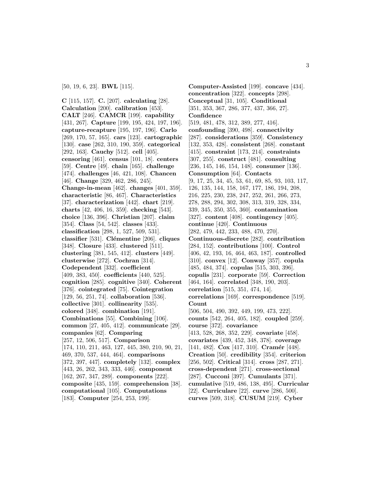#### [50, 19, 6, 23]. **BWL** [115].

**C** [115, 157]. **C.** [207]. **calculating** [28]. **Calculation** [200]. **calibration** [453]. **CALT** [246]. **CAMCR** [199]. **capability** [431, 267]. **Capture** [199, 195, 424, 197, 196]. **capture-recapture** [195, 197, 196]. **Carlo** [269, 170, 57, 165]. **cars** [123]. **cartographic** [130]. **case** [262, 310, 190, 359]. **categorical** [292, 163]. **Cauchy** [512]. **cell** [405]. **censoring** [461]. **census** [101, 18]. **centers** [59]. **Centre** [49]. **chain** [165]. **challenge** [474]. **challenges** [46, 421, 108]. **Chancen** [46]. **Change** [329, 462, 286, 245]. **Change-in-mean** [462]. **changes** [401, 359]. **characteristic** [86, 467]. **Characteristics** [37]. **characterization** [442]. **chart** [219]. **charts** [42, 406, 16, 359]. **checking** [543]. **choice** [136, 396]. **Christian** [207]. **claim** [354]. **Class** [54, 542]. **classes** [433]. **classification** [298, 1, 527, 509, 531]. **classifier** [531]. **Cl´ementine** [206]. **cliques** [348]. **Closure** [433]. **clustered** [511]. **clustering** [381, 545, 412]. **clusters** [449]. **clusterwise** [272]. **Cochran** [314]. **Codependent** [332]. **coefficient** [409, 383, 450]. **coefficients** [440, 525]. **cognition** [285]. **cognitive** [340]. **Coherent** [376]. **cointegrated** [75]. **Cointegration** [129, 56, 251, 74]. **collaboration** [536]. **collective** [301]. **collinearity** [535]. **colored** [348]. **combination** [191]. **Combinations** [55]. **Combining** [106]. **common** [27, 405, 412]. **communicate** [29]. **companies** [62]. **Comparing** [257, 12, 506, 517]. **Comparison** [174, 110, 211, 463, 127, 445, 380, 210, 90, 21, 469, 370, 537, 444, 464]. **comparisons** [372, 397, 447]. **completely** [132]. **complex** [443, 26, 262, 343, 333, 446]. **component** [162, 267, 347, 289]. **components** [222]. **composite** [435, 159]. **comprehension** [38]. **computational** [105]. **Computations** [183]. **Computer** [254, 253, 199].

**Computer-Assisted** [199]. **concave** [434]. **concentration** [322]. **concepts** [298]. **Conceptual** [31, 105]. **Conditional** [351, 353, 367, 286, 377, 437, 366, 27]. **Confidence** [519, 481, 478, 312, 389, 277, 416]. **confounding** [390, 498]. **connectivity** [287]. **considerations** [359]. **Consistency** [132, 353, 428]. **consistent** [268]. **constant** [415]. **constraint** [173, 214]. **constraints** [307, 255]. **construct** [481]. **consulting** [236, 145, 146, 154, 148]. **consumer** [136]. **Consumption** [64]. **Contacts** [9, 17, 25, 34, 45, 53, 61, 69, 85, 93, 103, 117, 126, 135, 144, 158, 167, 177, 186, 194, 208, 216, 225, 230, 238, 247, 252, 261, 266, 273, 278, 288, 294, 302, 308, 313, 319, 328, 334, 339, 345, 350, 355, 360]. **contamination** [327]. **content** [408]. **contingency** [405]. **continue** [420]. **Continuous** [282, 479, 442, 233, 488, 470, 270]. **Continuous-discrete** [282]. **contribution** [284, 152]. **contributions** [100]. **Control** [406, 42, 193, 16, 464, 463, 187]. **controlled** [310]. **convex** [12]. **Conway** [357]. **copula** [485, 484, 374]. **copulas** [515, 303, 396]. **copulis** [231]. **corporate** [59]. **Correction** [464, 164]. **correlated** [348, 190, 203]. **correlation** [515, 351, 474, 14]. **correlations** [169]. **correspondence** [519]. **Count** [506, 504, 490, 392, 449, 199, 473, 222]. **counts** [542, 264, 405, 182]. **coupled** [259]. **course** [372]. **covariance** [413, 528, 268, 352, 229]. **covariate** [458]. **covariates** [439, 452, 348, 378]. **coverage** [141, 482]. **Cox** [417, 310]. **Cramér** [448]. **Creation** [50]. **credibility** [354]. **criterion** [256, 502]. **Critical** [314]. **cross** [287, 271]. **cross-dependent** [271]. **cross-sectional** [287]. **Cucconi** [397]. **Cumulants** [371]. **cumulative** [519, 486, 138, 495]. **Curricular** [22]. **Curriculare** [22]. **curve** [286, 500]. **curves** [509, 318]. **CUSUM** [219]. **Cyber**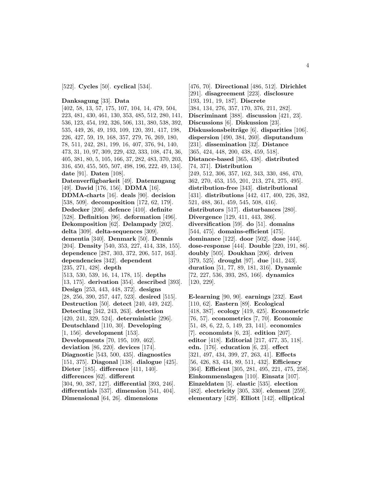[522]. **Cycles** [50]. **cyclical** [534].

#### **Danksagung** [33]. **Data**

[402, 58, 13, 57, 175, 107, 104, 14, 479, 504, 223, 481, 430, 461, 130, 353, 485, 512, 280, 141, 536, 123, 454, 192, 326, 506, 131, 380, 538, 392, 535, 449, 26, 49, 193, 109, 120, 391, 417, 198, 226, 427, 59, 19, 168, 357, 279, 76, 269, 180, 78, 511, 242, 281, 199, 16, 407, 376, 94, 140, 473, 31, 10, 97, 309, 229, 432, 333, 108, 474, 36, 405, 381, 80, 5, 105, 166, 37, 282, 483, 370, 203, 316, 450, 455, 505, 507, 498, 196, 222, 49, 134]. **date** [91]. **Daten** [108]. **Datenverf¨ugbarkeit** [49]. **Datenzugang** [49]. **David** [176, 156]. **DDMA** [16]. **DDMA-charts** [16]. **deals** [90]. **decision** [538, 509]. **decomposition** [172, 62, 179]. **Dedecker** [206]. **defence** [410]. **definite** [528]. **Definition** [96]. **deformation** [496]. **Dekomposition** [62]. **Delampady** [202]. **delta** [309]. **delta-sequences** [309]. **dementia** [340]. **Denmark** [50]. **Dennis** [204]. **Density** [540, 353, 227, 414, 338, 155]. **dependence** [287, 303, 372, 206, 517, 163]. **dependencies** [342]. **dependent** [235, 271, 428]. **depth** [513, 530, 539, 16, 14, 178, 15]. **depths** [13, 175]. **derivation** [354]. **described** [393]. **Design** [253, 443, 448, 372]. **designs** [28, 256, 390, 257, 447, 523]. **desired** [515]. **Destruction** [50]. **detect** [240, 449, 242]. **Detecting** [342, 243, 263]. **detection** [420, 241, 329, 524]. **deterministic** [296]. **Deutschland** [110, 30]. **Developing** [1, 156]. **development** [153]. **Developments** [70, 195, 109, 462]. **deviation** [86, 220]. **devices** [174]. **Diagnostic** [543, 500, 435]. **diagnostics** [151, 375]. **Diagonal** [138]. **dialogue** [425]. **Dieter** [185]. **difference** [411, 140]. **differences** [62]. **different** [304, 90, 387, 127]. **differential** [393, 246]. **differentials** [537]. **dimension** [541, 404].

**Dimensional** [64, 26]. **dimensions**

[476, 70]. **Directional** [486, 512]. **Dirichlet** [291]. **disagreement** [223]. **disclosure** [193, 191, 19, 187]. **Discrete** [384, 134, 276, 357, 170, 376, 211, 282]. **Discriminant** [388]. **discussion** [421, 23]. **Discussions** [6]. **Diskussion** [23]. **Diskussionsbeiträge** [6]. **disparities** [106]. **dispersion** [490, 384, 260]. **disputandum** [231]. **dissemination** [32]. **Distance** [365, 424, 448, 200, 438, 459, 518]. **Distance-based** [365, 438]. **distributed** [74, 371]. **Distribution** [249, 512, 306, 357, 162, 343, 330, 486, 470, 362, 270, 453, 155, 201, 213, 274, 275, 495]. **distribution-free** [343]. **distributional** [431]. **distributions** [442, 417, 400, 226, 382, 521, 488, 361, 459, 545, 508, 416]. **distributors** [517]. **disturbances** [280]. **Divergence** [129, 411, 443, 386]. **diversification** [59]. **do** [51]. **domains** [544, 475]. **domains-efficient** [475]. **dominance** [122]. **door** [502]. **dose** [444]. **dose-response** [444]. **Double** [220, 191, 86]. **doubly** [505]. **Doukhan** [206]. **driven** [379, 525]. **drought** [97]. **due** [141, 243]. **duration** [51, 77, 89, 181, 316]. **Dynamic** [72, 227, 536, 393, 285, 166]. **dynamics** [120, 229].

**E-learning** [90, 90]. **earnings** [232]. **East** [110, 62]. **Eastern** [89]. **Ecological** [418, 387]. **ecology** [419, 425]. **Econometric** [76, 57]. **econometrics** [7, 70]. **Economic** [51, 48, 6, 22, 5, 149, 23, 141]. **economics** [7]. **economists** [6, 23]. **edition** [207]. **editor** [418]. **Editorial** [217, 477, 35, 118]. **edn.** [176]. **education** [6, 23]. **effect** [321, 497, 434, 399, 27, 263, 41]. **Effects** [56, 426, 83, 434, 89, 511, 432]. **Efficiency** [364]. **Efficient** [305, 281, 495, 221, 475, 258]. **Einkommenslagen** [110]. **Einsatz** [107]. **Einzeldaten** [5]. **elastic** [535]. **election** [482]. **electricity** [305, 330]. **element** [259]. **elementary** [429]. **Elliott** [142]. **elliptical**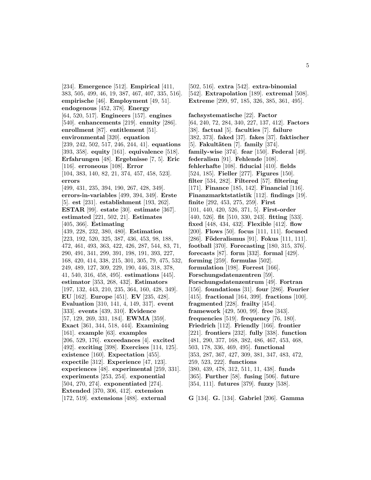[234]. **Emergence** [512]. **Empirical** [411, 383, 505, 499, 46, 19, 387, 467, 407, 335, 516]. **empirische** [46]. **Employment** [49, 51]. **endogenous** [452, 378]. **Energy** [64, 520, 517]. **Engineers** [157]. **engines** [540]. **enhancements** [219]. **enmity** [286]. **enrollment** [87]. **entitlement** [51]. **environmental** [320]. **equation** [239, 242, 502, 517, 246, 244, 41]. **equations** [393, 358]. **equity** [161]. **equivalence** [518]. **Erfahrungen** [48]. **Ergebnisse** [7, 5]. **Eric** [116]. **erroneous** [108]. **Error** [104, 383, 140, 82, 21, 374, 457, 458, 523]. **errors** [499, 431, 235, 394, 190, 267, 428, 349]. **errors-in-variables** [499, 394, 349]. **Erste** [5]. **est** [231]. **establishment** [193, 262]. **ESTAR** [99]. **estate** [30]. **estimate** [367]. **estimated** [221, 502, 21]. **Estimates** [405, 366]. **Estimating** [439, 228, 232, 380, 480]. **Estimation** [223, 192, 520, 325, 387, 436, 453, 98, 188, 472, 461, 493, 363, 422, 426, 287, 544, 83, 71, 290, 491, 341, 299, 391, 198, 191, 393, 227, 168, 420, 414, 338, 215, 301, 305, 79, 475, 532, 249, 489, 127, 309, 229, 190, 446, 318, 378, 41, 540, 316, 458, 495]. **estimations** [445]. **estimator** [353, 268, 432]. **Estimators** [197, 132, 443, 210, 235, 364, 160, 428, 349]. **EU** [162]. **Europe** [451]. **EV** [235, 428]. **Evaluation** [310, 141, 4, 149, 317]. **event** [333]. **events** [439, 310]. **Evidence** [57, 129, 269, 331, 184]. **EWMA** [359]. **Exact** [361, 344, 518, 444]. **Examining** [161]. **example** [63]. **examples** [206, 529, 176]. **exceedances** [4]. **excited** [492]. **exciting** [398]. **Exercises** [114, 125]. **existence** [160]. **Expectation** [455]. **expectile** [312]. **Experience** [47, 123]. **experiences** [48]. **experimental** [259, 331]. **experiments** [253, 254]. **exponential** [504, 270, 274]. **exponentiated** [274]. **Extended** [370, 306, 412]. **extension** [172, 519]. **extensions** [488]. **external**

[502, 516]. **extra** [542]. **extra-binomial** [542]. **Extrapolation** [189]. **extremal** [508]. **Extreme** [299, 97, 185, 326, 385, 361, 495].

**fachsystematische** [22]. **Factor** [64, 240, 72, 284, 340, 227, 137, 412]. **Factors** [38]. **factual** [5]. **faculties** [7]. **failure** [382, 373]. **faked** [37]. **fakes** [37]. **faktischer** [5]. **Fakult¨aten** [7]. **family** [374]. **family-wise** [374]. **fear** [150]. **Federal** [49]. **federalism** [91]. **Fehlende** [108]. **fehlerhafte** [108]. **fiducial** [410]. **fields** [524, 185]. **Fieller** [277]. **Figures** [150]. **filter** [534, 282]. **Filtered** [57]. **filtering** [171]. **Finance** [185, 142]. **Financial** [116]. **Finanzmarktstatistik** [112]. **findings** [19]. **finite** [292, 453, 275, 259]. **First** [101, 440, 420, 526, 371, 5]. **First-order** [440, 526]. **fit** [510, 330, 243]. **fitting** [533]. **fixed** [448, 434, 432]. **Flexible** [412]. **flow** [200]. **Flows** [50]. **focus** [111, 111]. **focused** [286]. **Föderalismus** [91]. **Fokus** [111, 111]. **football** [370]. **Forecasting** [180, 315, 376]. **forecasts** [87]. **form** [332]. **formal** [429]. **forming** [259]. **formulas** [502]. **formulation** [198]. **Forrest** [166]. **Forschungsdatenzentren** [59]. **Forschungsdatenzentrum** [49]. **Fortran** [156]. **foundations** [31]. **four** [286]. **Fourier** [415]. **fractional** [164, 399]. **fractions** [100]. **fragmented** [228]. **frailty** [454]. **framework** [429, 500, 99]. **free** [343]. **frequencies** [519]. **frequency** [76, 180]. **Friedrich** [112]. **Friendly** [166]. **frontier** [221]. **frontiers** [232]. **fully** [338]. **function** [481, 290, 377, 168, 382, 486, 467, 453, 468, 503, 178, 336, 469, 495]. **functional** [353, 287, 367, 427, 309, 381, 347, 483, 472, 259, 523, 222]. **functions** [380, 439, 478, 312, 511, 11, 438]. **funds** [365]. **Further** [58]. **fusing** [506]. **future** [354, 111]. **futures** [379]. **fuzzy** [538].

**G** [134]. **G.** [134]. **Gabriel** [206]. **Gamma**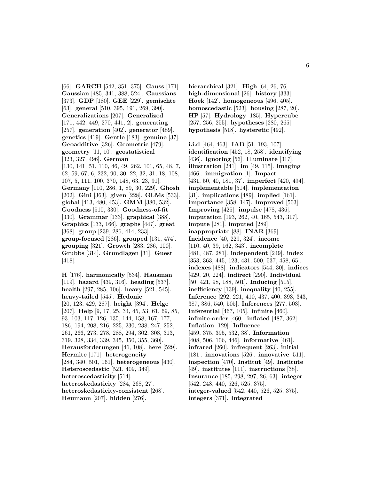[66]. **GARCH** [542, 351, 375]. **Gauss** [171]. **Gaussian** [485, 341, 388, 524]. **Gaussians** [373]. **GDP** [180]. **GEE** [229]. **gemischte** [63]. **general** [510, 395, 191, 269, 390]. **Generalizations** [207]. **Generalized** [171, 442, 449, 270, 441, 2]. **generating** [257]. **generation** [402]. **generator** [489]. **genetics** [419]. **Gentle** [183]. **genuine** [37]. **Geoadditive** [326]. **Geometric** [479]. **geometry** [11, 10]. **geostatistical** [323, 327, 496]. **German** [130, 141, 51, 110, 46, 49, 262, 101, 65, 48, 7, 62, 59, 67, 6, 232, 90, 30, 22, 32, 31, 18, 108, 107, 5, 111, 100, 370, 148, 63, 23, 91]. **Germany** [110, 286, 1, 89, 30, 229]. **Ghosh** [202]. **Gini** [363]. **given** [228]. **GLMs** [533]. **global** [413, 480, 453]. **GMM** [380, 532]. **Goodness** [510, 330]. **Goodness-of-fit** [330]. **Grammar** [133]. **graphical** [388]. **Graphics** [133, 166]. **graphs** [447]. **great** [368]. **group** [239, 286, 414, 233]. **group-focused** [286]. **grouped** [131, 474]. **grouping** [321]. **Growth** [283, 286, 100]. **Grubbs** [314]. **Grundlagen** [31]. **Guest** [418].

**H** [176]. **harmonically** [534]. **Hausman** [119]. **hazard** [439, 316]. **heading** [537]. **health** [297, 285, 106]. **heavy** [521, 545]. **heavy-tailed** [545]. **Hedonic** [20, 123, 429, 287]. **height** [394]. **Helge** [207]. **Help** [9, 17, 25, 34, 45, 53, 61, 69, 85, 93, 103, 117, 126, 135, 144, 158, 167, 177, 186, 194, 208, 216, 225, 230, 238, 247, 252, 261, 266, 273, 278, 288, 294, 302, 308, 313, 319, 328, 334, 339, 345, 350, 355, 360]. **Herausforderungen** [46, 108]. **here** [529]. **Hermite** [171]. **heterogeneity** [284, 340, 501, 161]. **heterogeneous** [430]. **Heteroscedastic** [521, 409, 349]. **heteroscedasticity** [514]. **heteroskedasticity** [284, 268, 27]. **heteroskedasticity-consistent** [268]. **Heumann** [207]. **hidden** [276].

**hierarchical** [321]. **High** [64, 26, 76]. **high-dimensional** [26]. **history** [333]. **Hoek** [142]. **homogeneous** [496, 405]. **homoscedastic** [523]. **housing** [287, 20]. **HP** [57]. **Hydrology** [185]. **Hypercube** [257, 256, 255]. **hypotheses** [280, 265]. **hypothesis** [518]. **hysteretic** [492].

**i.i.d** [464, 463]. **IAB** [51, 193, 107]. **identification** [452, 18, 258]. **identifying** [436]. **Ignoring** [56]. **Illuminate** [317]. **illustration** [241]. **im** [49, 115]. **imaging** [466]. **immigration** [1]. **Impact** [431, 50, 40, 181, 37]. **imperfect** [420, 494]. **implementable** [514]. **implementation** [31]. **implications** [489]. **implied** [161]. **Importance** [358, 147]. **Improved** [503]. **Improving** [425]. **impulse** [478, 436]. **imputation** [193, 262, 40, 165, 543, 317]. **impute** [281]. **imputed** [289]. **inappropriate** [88]. **INAR** [369]. **Incidence** [40, 229, 324]. **income** [110, 40, 39, 162, 343]. **incomplete** [481, 487, 281]. **independent** [249]. **index** [353, 363, 445, 123, 431, 500, 537, 458, 65]. **indexes** [488]. **indicators** [544, 30]. **indices** [429, 20, 224]. **indirect** [290]. **Individual** [50, 421, 98, 188, 501]. **Inducing** [515]. **inefficiency** [139]. **inequality** [40, 255]. **Inference** [292, 221, 410, 437, 400, 393, 343, 387, 386, 540, 505]. **Inferences** [277, 503]. **Inferential** [467, 105]. **infinite** [460]. **infinite-order** [460]. **inflated** [487, 362]. **Inflation** [129]. **Influence** [459, 375, 395, 532, 38]. **Information** [408, 506, 106, 446]. **informative** [461]. **infrared** [260]. **infrequent** [263]. **initial** [181]. **innovations** [526]. **innovative** [511]. **inspection** [470]. **Institut** [49]. **Institute** [49]. **institutes** [111]. **instructions** [38]. **Insurance** [185, 298, 297, 26, 63]. **integer** [542, 248, 440, 526, 525, 375]. **integer-valued** [542, 440, 526, 525, 375].

**integers** [371]. **Integrated**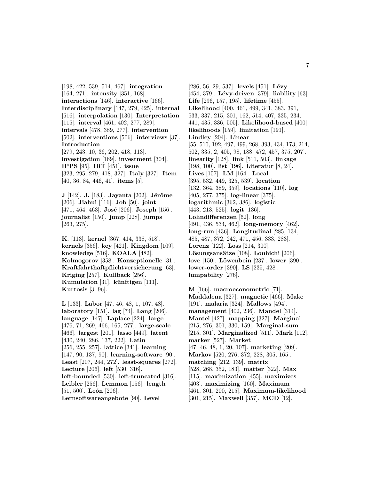[198, 422, 539, 514, 467]. **integration** [164, 271]. **intensity** [351, 168]. **interactions** [146]. **interactive** [166]. **Interdisciplinary** [147, 279, 425]. **internal** [516]. **interpolation** [130]. **Interpretation** [115]. **interval** [461, 402, 277, 289]. **intervals** [478, 389, 277]. **intervention** [502]. **interventions** [506]. **interviews** [37]. **Introduction** [279, 243, 10, 36, 202, 418, 113]. **investigation** [169]. **investment** [304]. **IPPS** [95]. **IRT** [451]. **issue** [323, 295, 279, 418, 327]. **Italy** [327]. **Item** [40, 36, 84, 446, 41]. **items** [5].

**J** [142]. **J.** [183]. **Jayanta** [202]. **Jérôme** [206]. **Jiahui** [116]. **Job** [50]. **joint** [471, 464, 463]. **José** [206]. **Joseph** [156]. **journalist** [150]. **jump** [228]. **jumps** [263, 275].

**K.** [113]. **kernel** [367, 414, 338, 518]. **kernels** [356]. **key** [421]. **Kingdom** [109]. **knowledge** [516]. **KOALA** [482]. **Kolmogorov** [358]. **Konzeptionelle** [31]. **Kraftfahrthaftpflichtversicherung** [63]. **Kriging** [257]. **Kullback** [256]. **Kumulation** [31]. **künftigen** [111]. **Kurtosis** [3, 96].

**L** [133]. **Labor** [47, 46, 48, 1, 107, 48]. **laboratory** [151]. **lag** [74]. **Lang** [206]. **language** [147]. **Laplace** [224]. **large** [476, 71, 269, 466, 165, 277]. **large-scale** [466]. **largest** [201]. **lasso** [449]. **latent** [430, 240, 286, 137, 222]. **Latin** [256, 255, 257]. **lattice** [341]. **learning** [147, 90, 137, 90]. **learning-software** [90]. **Least** [207, 244, 272]. **least-squares** [272]. **Lecture** [206]. **left** [530, 316]. **left-bounded** [530]. **left-truncated** [316]. **Leibler** [256]. **Lemmon** [156]. **length** [51, 500]. **León** [206]. **Lernsoftwareangebote** [90]. **Level**

[286, 56, 29, 537]. **levels** [451]. **Lévy** [454, 379]. **L´evy-driven** [379]. **liability** [63]. **Life** [296, 157, 195]. **lifetime** [455]. **Likelihood** [400, 461, 499, 341, 383, 391, 533, 337, 215, 301, 162, 514, 407, 335, 234, 441, 435, 336, 505]. **Likelihood-based** [400]. **likelihoods** [159]. **limitation** [191]. **Lindley** [204]. **Linear** [55, 510, 192, 497, 499, 268, 393, 434, 173, 214, 502, 335, 2, 405, 98, 188, 472, 457, 375, 207]. **linearity** [128]. **link** [511, 503]. **linkage** [198, 100]. **list** [196]. **Literatur** [8, 24]. **Lives** [157]. **LM** [164]. **Local** [395, 532, 449, 325, 539]. **location** [132, 364, 389, 359]. **locations** [110]. **log** [405, 277, 375]. **log-linear** [375]. **logarithmic** [362, 386]. **logistic** [443, 213, 525]. **logit** [136]. **Lohndifferenzen** [62]. **long** [491, 436, 534, 462]. **long-memory** [462]. **long-run** [436]. **Longitudinal** [285, 134, 485, 487, 372, 242, 471, 456, 333, 283]. **Lorenz** [122]. **Loss** [214, 300]. Lösungsansätze [108]. Louhichi [206]. **love** [150]. **Löwenbein** [237]. **lower** [390]. **lower-order** [390]. **LS** [235, 428]. **lumpability** [276].

**M** [166]. **macroeconometric** [71]. **Maddalena** [327]. **magnetic** [466]. **Make** [191]. **malaria** [324]. **Mallows** [494]. **management** [402, 236]. **Mandel** [314]. **Mantel** [427]. **mapping** [327]. **Marginal** [215, 276, 301, 330, 159]. **Marginal-sum** [215, 301]. **Marginalized** [511]. **Mark** [112]. **marker** [527]. **Market** [47, 46, 48, 1, 20, 107]. **marketing** [209]. **Markov** [520, 276, 372, 228, 305, 165]. **matching** [212, 139]. **matrix** [528, 268, 352, 183]. **matter** [322]. **Max** [115]. **maximization** [455]. **maximizes** [403]. **maximizing** [160]. **Maximum** [461, 301, 200, 215]. **Maximum-likelihood** [301, 215]. **Maxwell** [357]. **MCD** [12].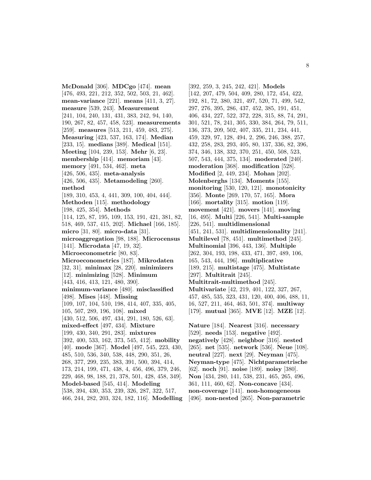**McDonald** [306]. **MDCgo** [474]. **mean** [476, 493, 221, 212, 352, 502, 503, 21, 462]. **mean-variance** [221]. **means** [411, 3, 27]. **measure** [539, 243]. **Measurement** [241, 104, 240, 131, 431, 383, 242, 94, 140, 190, 267, 82, 457, 458, 523]. **measurements** [259]. **measures** [513, 211, 459, 483, 275]. **Measuring** [423, 537, 163, 174]. **Median** [233, 15]. **medians** [389]. **Medical** [151]. **Meeting** [104, 239, 153]. **Mehr** [6, 23]. **membership** [414]. **memoriam** [43]. **memory** [491, 534, 462]. **meta** [426, 506, 435]. **meta-analysis** [426, 506, 435]. **Metamodeling** [260]. **method** [189, 310, 453, 4, 441, 309, 100, 404, 444]. **Methoden** [115]. **methodology** [198, 425, 354]. **Methods** [114, 125, 87, 195, 109, 153, 191, 421, 381, 82, 518, 469, 537, 415, 202]. **Michael** [166, 185]. **micro** [31, 80]. **micro-data** [31]. **microaggregation** [98, 188]. **Microcensus** [141]. **Microdata** [47, 19, 32]. **Microeconometric** [80, 83]. **Microeconometrics** [187]. **Mikrodaten** [32, 31]. **minimax** [28, 220]. **minimizers** [12]. **minimizing** [528]. **Minimum** [443, 416, 413, 121, 480, 390]. **minimum-variance** [480]. **misclassified** [498]. **Mises** [448]. **Missing** [109, 107, 104, 510, 198, 414, 407, 335, 405, 105, 507, 289, 196, 108]. **mixed** [430, 512, 506, 497, 434, 291, 180, 526, 63]. **mixed-effect** [497, 434]. **Mixture** [199, 430, 340, 291, 283]. **mixtures** [392, 400, 533, 162, 373, 545, 412]. **mobility** [40]. **mode** [367]. **Model** [497, 545, 223, 430, 485, 510, 536, 340, 538, 448, 290, 351, 26, 268, 377, 299, 235, 383, 391, 500, 394, 414, 173, 214, 199, 471, 438, 4, 456, 496, 379, 246, 229, 468, 98, 188, 21, 378, 501, 428, 458, 349]. **Model-based** [545, 414]. **Modeling** [538, 394, 430, 353, 239, 326, 287, 322, 517, 466, 244, 282, 203, 324, 182, 116]. **Modelling**

[392, 259, 3, 245, 242, 421]. **Models** [142, 207, 479, 504, 409, 280, 172, 454, 422, 192, 81, 72, 380, 321, 497, 520, 71, 499, 542, 297, 276, 395, 286, 437, 452, 385, 191, 451, 406, 434, 227, 522, 372, 228, 315, 88, 74, 291, 301, 521, 78, 241, 305, 330, 384, 264, 79, 511, 136, 373, 209, 502, 407, 335, 211, 234, 441, 459, 329, 97, 128, 494, 2, 296, 246, 388, 257, 432, 258, 283, 293, 405, 80, 137, 336, 82, 396, 374, 346, 138, 332, 370, 251, 450, 508, 523, 507, 543, 444, 375, 134]. **moderated** [240]. **moderation** [368]. **modification** [528]. **Modified** [2, 449, 234]. **Mohan** [202]. **Molenberghs** [134]. **Moments** [155]. **monitoring** [530, 120, 121]. **monotonicity** [356]. **Monte** [269, 170, 57, 165]. **Mora** [166]. **mortality** [315]. **motion** [119]. **movement** [421]. **movers** [141]. **moving** [16, 495]. **Multi** [226, 541]. **Multi-sample** [226, 541]. **multidimensional** [451, 241, 531]. **multidimensionality** [241]. **Multilevel** [78, 451]. **multimethod** [245]. **Multinomial** [396, 443, 136]. **Multiple** [262, 304, 193, 198, 433, 471, 397, 489, 106, 165, 543, 444, 196]. **multiplicative** [189, 215]. **multistage** [475]. **Multistate** [297]. **Multitrait** [245]. **Multitrait-multimethod** [245]. **Multivariate** [42, 219, 401, 122, 327, 267, 457, 485, 535, 323, 431, 120, 400, 406, 488, 11, 16, 527, 211, 464, 463, 501, 374]. **multiway** [179]. **mutual** [365]. **MVE** [12]. **MZE** [12]. **Nature** [184]. **Nearest** [316]. **necessary**

[529]. **needs** [153]. **negative** [492]. **negatively** [428]. **neighbor** [316]. **nested** [265]. **net** [535]. **network** [536]. **Neue** [108]. **neutral** [227]. **next** [29]. **Neyman** [475]. **Neyman-type** [475]. **Nichtparametrische** [62]. **noch** [91]. **noise** [189]. **noisy** [380]. **Non** [434, 280, 141, 538, 231, 465, 265, 496, 361, 111, 460, 62]. **Non-concave** [434]. **non-coverage** [141]. **non-homogeneous** [496]. **non-nested** [265]. **Non-parametric**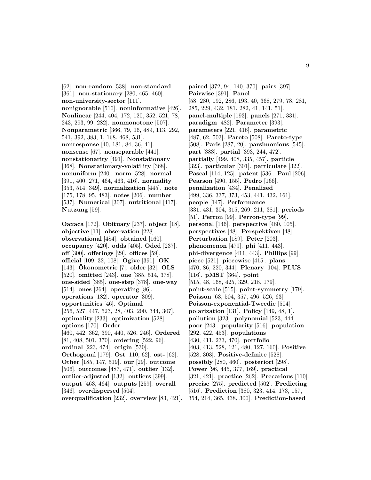[62]. **non-random** [538]. **non-standard** [361]. **non-stationary** [280, 465, 460]. **non-university-sector** [111]. **nonignorable** [510]. **noninformative** [426]. **Nonlinear** [244, 404, 172, 120, 352, 521, 78, 243, 293, 99, 282]. **nonmonotone** [507]. **Nonparametric** [366, 79, 16, 489, 113, 292, 541, 392, 383, 1, 168, 468, 531]. **nonresponse** [40, 181, 84, 36, 41]. **nonsense** [67]. **nonseparable** [441]. **nonstationarity** [491]. **Nonstationary** [368]. **Nonstationary-volatility** [368]. **nonuniform** [240]. **norm** [528]. **normal** [391, 400, 271, 464, 463, 416]. **normality** [353, 514, 349]. **normalization** [445]. **note** [175, 178, 95, 483]. **notes** [206]. **number** [537]. **Numerical** [307]. **nutritional** [417]. **Nutzung** [59].

**Oaxaca** [172]. **Obituary** [237]. **object** [18]. **objective** [11]. **observation** [228]. **observational** [484]. **obtained** [160]. **occupancy** [420]. **odds** [405]. **Oded** [237]. **off** [300]. **offerings** [29]. **offices** [59]. **official** [109, 32, 108]. **Ogive** [391]. **OK** [143]. **Okonometrie ¨** [7]. **older** [32]. **OLS** [520]. **omitted** [243]. **one** [385, 514, 378]. **one-sided** [385]. **one-step** [378]. **one-way** [514]. **ones** [264]. **operating** [86]. **operations** [182]. **operator** [309]. **opportunities** [46]. **Optimal** [256, 527, 447, 523, 28, 403, 200, 344, 307]. **optimality** [233]. **optimization** [528]. **options** [170]. **Order** [460, 442, 362, 390, 440, 526, 246]. **Ordered** [81, 408, 501, 370]. **ordering** [522, 96]. **ordinal** [223, 474]. **origin** [530]. **Orthogonal** [179]. **Ost** [110, 62]. **ost-** [62]. **Other** [185, 147, 519]. **our** [29]. **outcome** [506]. **outcomes** [487, 471]. **outlier** [132]. **outlier-adjusted** [132]. **outliers** [399]. **output** [463, 464]. **outputs** [259]. **overall** [346]. **overdispersed** [504]. **overqualification** [232]. **overview** [83, 421].

**paired** [372, 94, 140, 370]. **pairs** [397]. **Pairwise** [391]. **Panel** [58, 280, 192, 286, 193, 40, 368, 279, 78, 281, 285, 229, 432, 181, 282, 41, 141, 51]. **panel-multiple** [193]. **panels** [271, 331]. **paradigm** [482]. **Parameter** [393]. **parameters** [221, 416]. **parametric** [487, 62, 503]. **Pareto** [508]. **Pareto-type** [508]. **Paris** [287, 20]. **parsimonious** [545]. **part** [383]. **partial** [393, 244, 472]. **partially** [499, 408, 335, 457]. **particle** [323]. **particular** [301]. **particulate** [322]. **Pascal** [114, 125]. **patent** [536]. **Paul** [206]. **Pearson** [490, 155]. **Pedro** [166]. **penalization** [434]. **Penalized** [499, 336, 337, 373, 453, 441, 432, 161]. **people** [147]. **Performance** [331, 431, 304, 315, 269, 211, 381]. **periods** [51]. **Perron** [99]. **Perron-type** [99]. **personal** [146]. **perspective** [480, 105]. **perspectives** [48]. **Perspektiven** [48]. **Perturbation** [189]. **Peter** [203]. **phenomenon** [479]. **phi** [411, 443]. **phi-divergence** [411, 443]. **Phillips** [99]. **piece** [521]. **piecewise** [415]. **plans** [470, 86, 220, 344]. **Plenary** [104]. **PLUS** [116]. **pMST** [364]. **point** [515, 48, 168, 425, 329, 218, 179]. **point-scale** [515]. **point-symmetry** [179]. **Poisson** [63, 504, 357, 496, 526, 63]. **Poisson-exponential-Tweedie** [504]. **polarization** [131]. **Policy** [149, 48, 1]. **pollution** [323]. **polynomial** [523, 444]. **poor** [243]. **popularity** [516]. **population** [292, 422, 453]. **populations** [430, 411, 233, 470]. **portfolio** [403, 413, 528, 121, 480, 127, 160]. **Positive** [528, 303]. **Positive-definite** [528]. **possibly** [280, 460]. **posteriori** [298]. **Power** [96, 445, 377, 169]. **practical** [321, 421]. **practice** [262]. **Precarious** [110]. **precise** [275]. **predicted** [502]. **Predicting** [516]. **Prediction** [380, 323, 414, 173, 157, 354, 214, 365, 438, 300]. **Prediction-based**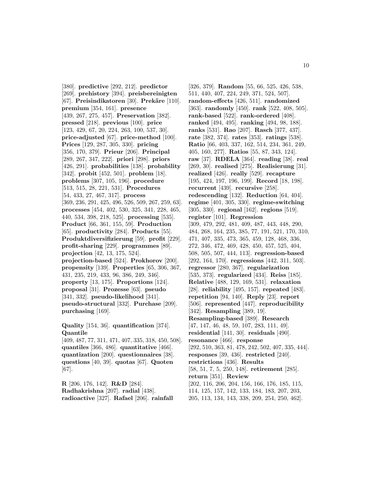[380]. **predictive** [292, 212]. **predictor** [269]. **prehistory** [394]. **preisbereinigten** [67]. **Preisindikatoren** [30]. **Prekäre** [110]. **premium** [354, 161]. **presence** [439, 267, 275, 457]. **Preservation** [382]. **pressed** [218]. **previous** [100]. **price** [123, 429, 67, 20, 224, 263, 100, 537, 30]. **price-adjusted** [67]. **price-method** [100]. **Prices** [129, 287, 305, 330]. **pricing** [356, 170, 379]. **Prieur** [206]. **Principal** [289, 267, 347, 222]. **priori** [298]. **priors** [426, 291]. **probabilities** [138]. **probability** [342]. **probit** [452, 501]. **problem** [18]. **problems** [307, 105, 196]. **procedure** [513, 515, 28, 221, 531]. **Procedures** [54, 433, 27, 467, 317]. **process** [369, 236, 291, 425, 496, 526, 509, 267, 259, 63]. **processes** [454, 402, 530, 325, 341, 228, 465, 440, 534, 398, 218, 525]. **processing** [535]. **Product** [66, 361, 155, 59]. **Production** [65]. **productivity** [284]. **Products** [55]. **Produktdiversifizierung** [59]. **profit** [229]. **profit-sharing** [229]. **programmes** [89]. **projection** [42, 13, 175, 524]. **projection-based** [524]. **Prokhorov** [200]. **propensity** [139]. **Properties** [65, 306, 367, 431, 235, 219, 433, 96, 386, 249, 346]. **property** [13, 175]. **Proportions** [124]. **proposal** [31]. **Prozesse** [63]. **pseudo** [341, 332]. **pseudo-likelihood** [341]. **pseudo-structural** [332]. **Purchase** [209]. **purchasing** [169].

**Quality** [154, 36]. **quantification** [374]. **Quantile**

[409, 487, 77, 311, 471, 407, 335, 318, 450, 508]. **quantiles** [366, 486]. **quantitative** [466]. **quantization** [200]. **questionnaires** [38]. **questions** [40, 39]. **quotas** [67]. **Quoten** [67].

**R** [206, 176, 142]. **R&D** [284]. **Radhakrishna** [207]. **radial** [438]. **radioactive** [327]. **Rafael** [206]. **rainfall**

[326, 379]. **Random** [55, 66, 525, 426, 538, 511, 440, 407, 224, 249, 371, 524, 507]. **random-effects** [426, 511]. **randomized** [363]. **randomly** [450]. **rank** [522, 408, 505]. **rank-based** [522]. **rank-ordered** [408]. **ranked** [494, 495]. **ranking** [494, 98, 188]. **ranks** [531]. **Rao** [207]. **Rasch** [377, 437]. **rate** [382, 374]. **rates** [353]. **ratings** [538]. **Ratio** [66, 403, 337, 162, 514, 234, 361, 249, 405, 160, 277]. **Ratios** [55, 87, 343, 124]. **raw** [37]. **RDELA** [364]. **reading** [38]. **real** [269, 30]. **realised** [275]. **Realisierung** [31]. **realized** [426]. **really** [529]. **recapture** [195, 424, 197, 196, 199]. **Record** [18, 198]. **recurrent** [439]. **recursive** [258]. **redescending** [132]. **Reduction** [64, 404]. **regime** [401, 305, 330]. **regime-switching** [305, 330]. **regional** [162]. **regions** [519]. **register** [101]. **Regression** [309, 479, 292, 481, 409, 487, 443, 448, 290, 484, 268, 164, 235, 385, 77, 191, 521, 170, 310, 471, 407, 335, 473, 365, 459, 128, 468, 336, 272, 346, 472, 469, 428, 450, 457, 525, 404, 508, 505, 507, 444, 113]. **regression-based** [292, 164, 170]. **regressions** [442, 311, 503]. **regressor** [280, 367]. **regularization** [535, 373]. **regularized** [434]. **Reiss** [185]. **Relative** [488, 129, 169, 531]. **relaxation** [28]. **reliability** [495, 157]. **repeated** [483]. **repetition** [94, 140]. **Reply** [23]. **report** [506]. **represented** [447]. **reproducibility** [342]. **Resampling** [389, 19]. **Resampling-based** [389]. **Research** [47, 147, 46, 48, 59, 107, 283, 111, 49]. **residential** [141, 30]. **residuals** [490]. **resonance** [466]. **response** [292, 510, 363, 81, 478, 242, 502, 407, 335, 444]. **responses** [39, 436]. **restricted** [240]. **restrictions** [436]. **Results** [58, 51, 7, 5, 250, 148]. **retirement** [285]. **return** [351]. **Review** [202, 116, 206, 204, 156, 166, 176, 185, 115, 114, 125, 157, 142, 133, 184, 183, 207, 203, 205, 113, 134, 143, 338, 209, 254, 250, 462].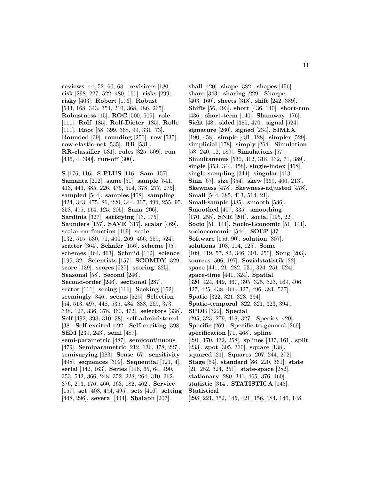**reviews** [44, 52, 60, 68]. **revisions** [180]. **risk** [298, 227, 522, 480, 161]. **risks** [299]. **risky** [403]. **Robert** [176]. **Robust** [533, 168, 343, 354, 210, 368, 486, 265]. **Robustness** [15]. **ROC** [500, 509]. **role** [111]. **Rolf** [185]. **Rolf-Dieter** [185]. **Rolle** [111]. **Root** [58, 399, 368, 99, 331, 73]. **Rounded** [39]. **rounding** [250]. **row** [535]. **row-elastic-net** [535]. **RR** [531]. **RR-classifier** [531]. **rules** [325, 509]. **run** [436, 4, 300]. **run-off** [300].

**S** [176, 116]. **S-PLUS** [116]. **Sam** [157]. **Samanta** [202]. **same** [51]. **sample** [541, 413, 443, 385, 226, 475, 514, 378, 277, 275]. **sampled** [544]. **samples** [408]. **sampling** [424, 343, 475, 86, 220, 344, 307, 494, 255, 95, 358, 495, 114, 125, 205]. **Sana** [206]. **Sardinia** [327]. **satisfying** [13, 175]. **Saunders** [157]. **SAVE** [317]. **scalar** [469]. **scalar-on-function** [469]. **scale** [132, 515, 530, 71, 400, 269, 466, 359, 524]. **scatter** [364]. **Schafer** [156]. **scheme** [95]. **schemes** [464, 463]. **Schmid** [112]. **science** [195, 32]. **Scientists** [157]. **SCOMDY** [329]. **score** [139]. **scores** [527]. **scoring** [325]. **Seasonal** [58]. **Second** [246]. **Second-order** [246]. **sectional** [287]. **sector** [111]. **seeing** [166]. **Seeking** [152]. **seemingly** [346]. **seems** [529]. **Selection** [54, 513, 497, 448, 535, 434, 338, 269, 373, 348, 127, 336, 378, 460, 472]. **selectors** [338]. **Self** [492, 398, 310, 38]. **self-administered** [38]. **Self-excited** [492]. **Self-exciting** [398]. **SEM** [239, 243]. **semi** [487]. **semi-parametric** [487]. **semicontinuous** [479]. **Semiparametric** [212, 136, 378, 227]. **semivarying** [383]. **Sense** [67]. **sensitivity** [498]. **sequences** [309]. **Sequential** [121, 4]. **serial** [342, 163]. **Series** [116, 65, 64, 490, 353, 542, 366, 248, 352, 228, 264, 310, 362, 376, 293, 176, 460, 163, 182, 462]. **Service** [157]. **set** [408, 494, 495]. **sets** [416]. **setting** [448, 296]. **several** [444]. **Shalabh** [207].

**shall** [420]. **shape** [382]. **shapes** [456]. **share** [343]. **sharing** [229]. **Sharpe** [403, 160]. **sheets** [318]. **shift** [242, 389]. **Shifts** [56, 493]. **short** [436, 140]. **short-run** [436]. **short-term** [140]. **Shumway** [176]. **Sicht** [48]. **sided** [385, 470]. **signal** [524]. **signature** [260]. **signed** [234]. **SIMEX** [190, 458]. **simple** [481, 128]. **simpler** [529]. **simplicial** [178]. **simply** [264]. **Simulation** [58, 240, 12, 189]. **Simulations** [57]. **Simultaneous** [530, 312, 318, 132, 71, 389]. **single** [353, 344, 458]. **single-index** [458]. **single-sampling** [344]. **singular** [413]. **Sinn** [67]. **size** [354]. **skew** [369, 400, 213]. **Skewness** [478]. **Skewness-adjusted** [478]. **Small** [544, 385, 413, 514, 21]. **Small-sample** [385]. **smooth** [536]. **Smoothed** [407, 335]. **smoothing** [170, 258]. **SNR** [201]. **social** [195, 22]. **Socio** [51, 141]. **Socio-Economic** [51, 141]. **socioeconomic** [544]. **SOEP** [37]. **Software** [156, 90]. **solution** [307]. **solutions** [108, 114, 125]. **Some** [109, 419, 57, 82, 346, 301, 250]. **Song** [203]. **sources** [506, 197]. **Sozialstatistik** [22]. **space** [441, 21, 282, 531, 324, 251, 524]. **space-time** [441, 324]. **Spatial** [320, 424, 449, 367, 395, 325, 323, 169, 406, 427, 425, 438, 466, 327, 496, 381, 537]. **Spatio** [322, 321, 323, 394]. **Spatio-temporal** [322, 321, 323, 394]. **SPDE** [322]. **Special** [295, 323, 279, 418, 327]. **Species** [420]. **Specific** [269]. **Specific-to-general** [269]. **specification** [71, 468]. **spline** [291, 170, 432, 258]. **splines** [337, 161]. **split** [233]. **spot** [305, 330]. **square** [138]. **squared** [21]. **Squares** [207, 244, 272]. **Stage** [54]. **standard** [86, 220, 361]. **state** [21, 282, 324, 251]. **state-space** [282]. **stationary** [280, 341, 465, 376, 460]. **statistic** [314]. **STATISTICA** [143]. **Statistical** [298, 221, 352, 145, 421, 156, 184, 146, 148,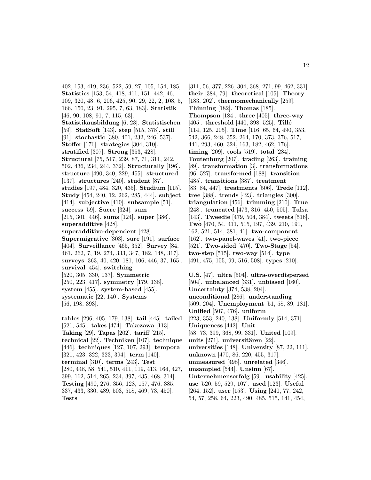402, 153, 419, 236, 522, 59, 27, 105, 154, 185]. **Statistics** [153, 54, 418, 411, 151, 442, 46, 109, 320, 48, 6, 206, 425, 90, 29, 22, 2, 108, 5, 166, 150, 23, 91, 295, 7, 63, 183]. **Statistik** [46, 90, 108, 91, 7, 115, 63]. **Statistikausbildung** [6, 23]. **Statistischen** [59]. **StatSoft** [143]. **step** [515, 378]. **still** [91]. **stochastic** [380, 401, 232, 246, 537]. **Stoffer** [176]. **strategies** [304, 310]. **stratified** [307]. **Strong** [353, 428]. **Structural** [75, 517, 239, 87, 71, 311, 242, 502, 436, 234, 244, 332]. **Structurally** [196]. **structure** [490, 340, 229, 455]. **structured** [137]. **structures** [240]. **student** [87]. **studies** [197, 484, 320, 435]. **Studium** [115]. **Study** [454, 240, 12, 262, 285, 444]. **subject** [414]. **subjective** [410]. **subsample** [51]. **success** [59]. **Sucre** [324]. **sum** [215, 301, 446]. **sums** [124]. **super** [386]. **superadditive** [428]. **superadditive-dependent** [428]. **Supermigrative** [303]. **sure** [191]. **surface** [404]. **Surveillance** [465, 352]. **Survey** [84, 461, 262, 7, 19, 274, 333, 347, 182, 148, 317]. **surveys** [363, 40, 420, 181, 106, 446, 37, 165]. **survival** [454]. **switching** [520, 305, 330, 137]. **Symmetric** [250, 223, 417]. **symmetry** [179, 138]. **system** [455]. **system-based** [455]. **systematic** [22, 140]. **Systems** [56, 198, 393]. **tables** [296, 405, 179, 138]. **tail** [445]. **tailed** [521, 545]. **takes** [474]. **Takezawa** [113]. **Taking** [29]. **Tapas** [202]. **tariff** [215].

**technical** [22]. **Techniken** [107]. **technique** [446]. **techniques** [127, 107, 293]. **temporal** [321, 423, 322, 323, 394]. **term** [140]. **terminal** [310]. **terms** [243]. **Test** [280, 448, 58, 541, 510, 411, 119, 413, 164, 427, 399, 162, 514, 265, 234, 397, 435, 468, 314]. **Testing** [490, 276, 356, 128, 157, 476, 385, 337, 433, 330, 489, 503, 518, 469, 73, 450]. **Tests**

[311, 56, 377, 226, 304, 368, 271, 99, 462, 331]. **their** [384, 79]. **theoretical** [105]. **Theory** [183, 202]. **thermomechanically** [259]. **Thinning** [182]. **Thomas** [185]. **Thompson** [184]. **three** [405]. **three-way** [405]. **threshold** [440, 398, 525]. **Tillé** [114, 125, 205]. **Time** [116, 65, 64, 490, 353, 542, 366, 248, 352, 264, 170, 373, 376, 517, 441, 293, 460, 324, 163, 182, 462, 176]. **timing** [209]. **tools** [519]. **total** [284]. **Toutenburg** [207]. **trading** [263]. **training** [89]. **transformation** [3]. **transformations** [96, 527]. **transformed** [188]. **transition** [485]. **transitions** [387]. **treatment** [83, 84, 447]. **treatments** [506]. **Trede** [112]. **tree** [388]. **trends** [423]. **triangles** [300]. **triangulation** [456]. **trimming** [210]. **True** [248]. **truncated** [473, 316, 450, 505]. **Tulsa** [143]. **Tweedie** [479, 504, 384]. **tweets** [516]. **Two** [470, 54, 411, 515, 197, 439, 210, 191, 162, 521, 514, 381, 41]. **two-component** [162]. **two-panel-waves** [41]. **two-piece** [521]. **Two-sided** [470]. **Two-Stage** [54]. **two-step** [515]. **two-way** [514]. **type** [491, 475, 155, 99, 516, 508]. **types** [210].

**U.S.** [47]. **ultra** [504]. **ultra-overdispersed** [504]. **unbalanced** [331]. **unbiased** [160]. **Uncertainty** [374, 538, 204]. **unconditional** [286]. **understanding** [509, 204]. **Unemployment** [51, 58, 89, 181]. **Unified** [507, 476]. **uniform** [223, 353, 240, 138]. **Uniformly** [514, 371]. **Uniqueness** [442]. **Unit** [58, 73, 399, 368, 99, 331]. **United** [109]. **units** [271]. **universitären** [22]. **universities** [148]. **University** [87, 22, 111]. **unknown** [470, 86, 220, 455, 317]. **unmeasured** [498]. **unrelated** [346]. **unsampled** [544]. **Unsinn** [67]. **Unternehmenserfolg** [59]. **usability** [425]. **use** [520, 59, 529, 107]. **used** [123]. **Useful** [264, 152]. **user** [153]. **Using** [240, 77, 242, 54, 57, 258, 64, 223, 490, 485, 515, 141, 454,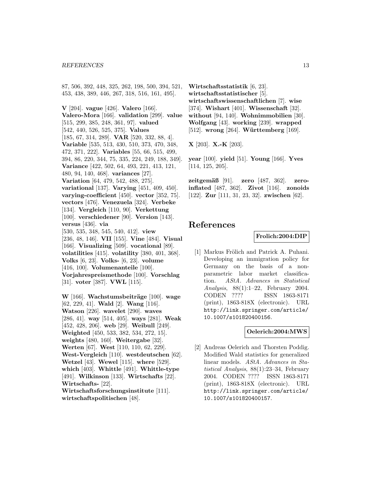#### *REFERENCES* 13

87, 506, 392, 448, 325, 262, 198, 500, 394, 521, 453, 438, 389, 446, 267, 318, 516, 161, 495].

**V** [204]. **vague** [426]. **Valero** [166]. **Valero-Mora** [166]. **validation** [299]. **value** [515, 299, 385, 248, 361, 97]. **valued** [542, 440, 526, 525, 375]. **Values** [185, 67, 314, 289]. **VAR** [520, 332, 88, 4]. **Variable** [535, 513, 430, 510, 373, 470, 348, 472, 371, 222]. **Variables** [55, 66, 515, 499, 394, 86, 220, 344, 75, 335, 224, 249, 188, 349]. **Variance** [422, 502, 64, 493, 221, 413, 121, 480, 94, 140, 468]. **variances** [27]. **Variation** [64, 479, 542, 488, 275]. **variational** [137]. **Varying** [451, 409, 450]. **varying-coefficient** [450]. **vector** [352, 75]. **vectors** [476]. **Venezuela** [324]. **Verbeke** [134]. **Vergleich** [110, 90]. **Verkettung** [100]. **verschiedener** [90]. **Version** [143]. **versus** [436]. **via** [530, 535, 348, 545, 540, 412]. **view** [236, 48, 146]. **VII** [155]. **Vine** [484]. **Visual** [166]. **Visualizing** [509]. **vocational** [89]. **volatilities** [415]. **volatility** [380, 401, 368]. **Volks** [6, 23]. **Volks-** [6, 23]. **volume** [416, 100]. **Volumenanteile** [100]. **Vorjahrespreismethode** [100]. **Vorschlag** [31]. **voter** [387]. **VWL** [115].

**W** [166]. Wachstumsbeiträge [100]. wage [62, 229, 41]. **Wald** [2]. **Wang** [116]. **Watson** [226]. **wavelet** [290]. **waves** [286, 41]. **way** [514, 405]. **ways** [281]. **Weak** [452, 428, 206]. **web** [29]. **Weibull** [249]. **Weighted** [450, 533, 382, 534, 272, 15]. **weights** [480, 160]. **Weitergabe** [32]. **Werten** [67]. **West** [110, 110, 62, 229]. **West-Vergleich** [110]. **westdeutschen** [62]. **Wetzel** [43]. **Wewel** [115]. **where** [529]. **which** [403]. **Whittle** [491]. **Whittle-type** [491]. **Wilkinson** [133]. **Wirtschafts** [22]. **Wirtschafts-** [22]. **Wirtschaftsforschungsinstitute** [111]. **wirtschaftspolitischen** [48].

**Wirtschaftsstatistik** [6, 23]. **wirtschaftsstatistischer** [5]. **wirtschaftswissenschaftlichen** [7]. **wise** [374]. **Wishart** [401]. **Wissenschaft** [32]. **without** [94, 140]. **Wohnimmobilien** [30]. **Wolfgang** [43]. **working** [239]. **wrapped** [512]. **wrong** [264]. **Württemberg** [169].

**X** [203]. **X.-K** [203].

**year** [100]. **yield** [51]. **Young** [166]. **Yves** [114, 125, 205].

**zeitgem¨aß** [91]. **zero** [487, 362]. **zeroinflated** [487, 362]. **Zivot** [116]. **zonoids** [122]. **Zur** [111, 31, 23, 32]. **zwischen** [62].

## **References**

#### **Frolich:2004:DIP**

[1] Markus Frölich and Patrick A. Puhani. Developing an immigration policy for Germany on the basis of a nonparametric labor market classification. AStA. Advances in Statistical Analysis, 88(1):1–22, February 2004. CODEN ???? ISSN 1863-8171 (print), 1863-818X (electronic). URL http://link.springer.com/article/ 10.1007/s101820400156.

#### **Oelerich:2004:MWS**

[2] Andreas Oelerich and Thorsten Poddig. Modified Wald statistics for generalized linear models. AStA. Advances in Statistical Analysis, 88(1):23–34, February 2004. CODEN ???? ISSN 1863-8171 (print), 1863-818X (electronic). URL http://link.springer.com/article/ 10.1007/s101820400157.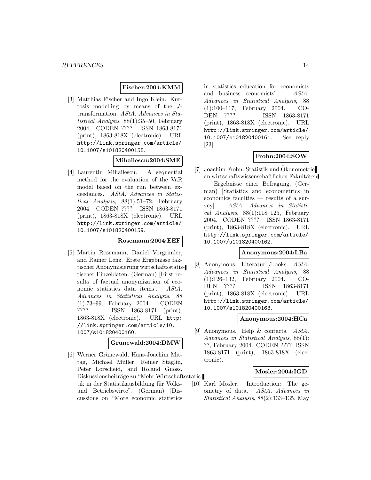### **Fischer:2004:KMM**

[3] Matthias Fischer and Ingo Klein. Kurtosis modelling by means of the Jtransformation. AStA. Advances in Statistical Analysis, 88(1):35–50, February 2004. CODEN ???? ISSN 1863-8171 (print), 1863-818X (electronic). URL http://link.springer.com/article/ 10.1007/s101820400158.

### **Mihailescu:2004:SME**

[4] Laurentiu Mihailescu. A sequential method for the evaluation of the VaR model based on the run between exceedances. AStA. Advances in Statistical Analysis, 88(1):51–72, February 2004. CODEN ???? ISSN 1863-8171 (print), 1863-818X (electronic). URL http://link.springer.com/article/ 10.1007/s101820400159.

### **Rosemann:2004:EEF**

[5] Martin Rosemann, Daniel Vorgrimler, and Rainer Lenz. Erste Ergebnisse faktischer Anonymisierung wirtschaftsstatistischer Einzeldaten. (German) [First results of factual anonymization of economic statistics data items. AStA. Advances in Statistical Analysis, 88 (1):73–99, February 2004. CODEN ???? ISSN 1863-8171 (print), 1863-818X (electronic). URL http: //link.springer.com/article/10. 1007/s101820400160.

### **Grunewald:2004:DMW**

[6] Werner Grünewald, Hans-Joachim Mittag, Michael Müller, Reiner Stäglin, Peter Lorscheid, and Roland Gnoss. Diskussionsbeiträge zu "Mehr Wirtschaftsstatistik in der Statistikausbildung für Volksund Betriebswirte". (German) [Discussions on "More economic statistics

in statistics education for economists and business economists"]. AStA. Advances in Statistical Analysis, 88 (1):100–117, February 2004. CO-DEN ???? ISSN 1863-8171 (print), 1863-818X (electronic). URL http://link.springer.com/article/ 10.1007/s101820400161. See reply [23].

### **Frohn:2004:SOW**

[7] Joachim Frohn. Statistik und Okonometrie an wirtschaftswissenschaftlichen Fakultäten — Ergebnisse einer Befragung. (German) [Statistics and econometrics in economics faculties — results of a survey]. AStA. Advances in Statistical Analysis,  $88(1):118-125$ , February 2004. CODEN ???? ISSN 1863-8171 (print), 1863-818X (electronic). URL http://link.springer.com/article/ 10.1007/s101820400162.

#### **Anonymous:2004:LBa**

[8] Anonymous. Literatur /books. AStA. Advances in Statistical Analysis, 88 (1):126–132, February 2004. CO-DEN ???? ISSN 1863-8171 (print), 1863-818X (electronic). URL http://link.springer.com/article/ 10.1007/s101820400163.

#### **Anonymous:2004:HCa**

[9] Anonymous. Help & contacts. AStA. Advances in Statistical Analysis, 88(1): ??, February 2004. CODEN ???? ISSN 1863-8171 (print), 1863-818X (electronic).

### **Mosler:2004:IGD**

[10] Karl Mosler. Introduction: The geometry of data. AStA. Advances in Statistical Analysis, 88(2):133–135, May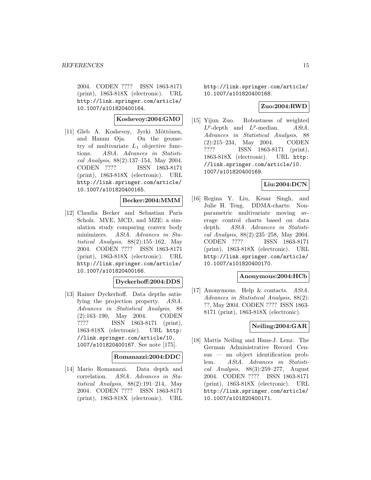2004. CODEN ???? ISSN 1863-8171 (print), 1863-818X (electronic). URL http://link.springer.com/article/ 10.1007/s101820400164.

### **Koshevoy:2004:GMO**

[11] Gleb A. Koshevoy, Jyrki Möttönen, and Hannu Oja. On the geometry of multivariate  $L_1$  objective functions. AStA. Advances in Statistical Analysis, 88(2):137–154, May 2004. CODEN ???? ISSN 1863-8171 (print), 1863-818X (electronic). URL http://link.springer.com/article/ 10.1007/s101820400165.

### **Becker:2004:MMM**

[12] Claudia Becker and Sebastian Paris Scholz. MVE, MCD, and MZE: a simulation study comparing convex body minimizers. AStA. Advances in Statistical Analysis, 88(2):155–162, May 2004. CODEN ???? ISSN 1863-8171 (print), 1863-818X (electronic). URL http://link.springer.com/article/ 10.1007/s101820400166.

### **Dyckerhoff:2004:DDS**

[13] Rainer Dyckerhoff. Data depths satisfying the projection property. AStA. Advances in Statistical Analysis, 88 (2):163–190, May 2004. CODEN ???? ISSN 1863-8171 (print), 1863-818X (electronic). URL http: //link.springer.com/article/10. 1007/s101820400167. See note [175].

### **Romanazzi:2004:DDC**

[14] Mario Romanazzi. Data depth and correlation. AStA. Advances in Statistical Analysis, 88(2):191–214, May 2004. CODEN ???? ISSN 1863-8171 (print), 1863-818X (electronic). URL

http://link.springer.com/article/ 10.1007/s101820400168.

### **Zuo:2004:RWD**

[15] Yijun Zuo. Robustness of weighted  $L^p$ -depth and  $L^p$ -median. AStA. Advances in Statistical Analysis, 88 (2):215–234, May 2004. CODEN ???? ISSN 1863-8171 (print), 1863-818X (electronic). URL http: //link.springer.com/article/10. 1007/s101820400169.

### **Liu:2004:DCN**

[16] Regina Y. Liu, Kesar Singh, and Julie H. Teng. DDMA-charts: Nonparametric multivariate moving average control charts based on data depth. AStA. Advances in Statistical Analysis, 88(2):235–258, May 2004. CODEN ???? ISSN 1863-8171 (print), 1863-818X (electronic). URL http://link.springer.com/article/ 10.1007/s101820400170.

### **Anonymous:2004:HCb**

[17] Anonymous. Help & contacts. AStA. Advances in Statistical Analysis, 88(2): ??, May 2004. CODEN ???? ISSN 1863- 8171 (print), 1863-818X (electronic).

### **Neiling:2004:GAR**

[18] Mattis Neiling and Hans-J. Lenz. The German Administrative Record Census — an object identification problem. AStA. Advances in Statistical Analysis, 88(3):259–277, August 2004. CODEN ???? ISSN 1863-8171 (print), 1863-818X (electronic). URL http://link.springer.com/article/ 10.1007/s101820400171.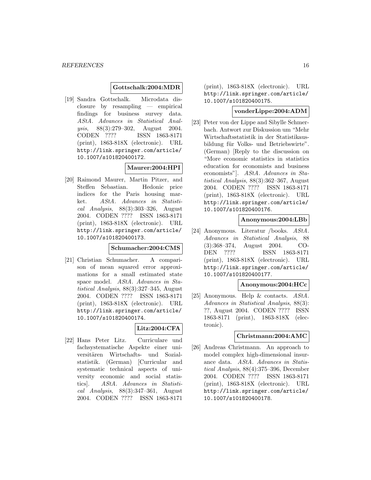#### **Gottschalk:2004:MDR**

[19] Sandra Gottschalk. Microdata disclosure by resampling — empirical findings for business survey data. AStA. Advances in Statistical Analysis, 88(3):279–302, August 2004. CODEN ???? ISSN 1863-8171 (print), 1863-818X (electronic). URL http://link.springer.com/article/ 10.1007/s101820400172.

#### **Maurer:2004:HPI**

[20] Raimond Maurer, Martin Pitzer, and Steffen Sebastian. Hedonic price indices for the Paris housing market. AStA. Advances in Statistical Analysis, 88(3):303–326, August 2004. CODEN ???? ISSN 1863-8171 (print), 1863-818X (electronic). URL http://link.springer.com/article/ 10.1007/s101820400173.

#### **Schumacher:2004:CMS**

[21] Christian Schumacher. A comparison of mean squared error approximations for a small estimated state space model. AStA. Advances in Statistical Analysis, 88(3):327–345, August 2004. CODEN ???? ISSN 1863-8171 (print), 1863-818X (electronic). URL http://link.springer.com/article/ 10.1007/s101820400174.

### **Litz:2004:CFA**

[22] Hans Peter Litz. Curriculare und fachsystematische Aspekte einer universitären Wirtschafts- und Sozialstatistik. (German) [Curricular and systematic technical aspects of university economic and social statistics]. AStA. Advances in Statistical Analysis,  $88(3):347-361$ , August 2004. CODEN ???? ISSN 1863-8171

(print), 1863-818X (electronic). URL http://link.springer.com/article/ 10.1007/s101820400175.

### **vonderLippe:2004:ADM**

[23] Peter von der Lippe and Sibylle Schmerbach. Antwort zur Diskussion um "Mehr Wirtschaftsstatistik in der Statistikausbildung für Volks- und Betriebswirte". (German) [Reply to the discussion on "More economic statistics in statistics education for economists and business economists"]. AStA. Advances in Statistical Analysis, 88(3):362–367, August 2004. CODEN ???? ISSN 1863-8171 (print), 1863-818X (electronic). URL http://link.springer.com/article/ 10.1007/s101820400176.

### **Anonymous:2004:LBb**

[24] Anonymous. Literatur /books. AStA. Advances in Statistical Analysis, 88 (3):368–374, August 2004. CO-DEN ???? ISSN 1863-8171 (print), 1863-818X (electronic). URL http://link.springer.com/article/ 10.1007/s101820400177.

#### **Anonymous:2004:HCc**

[25] Anonymous. Help & contacts. AStA. Advances in Statistical Analysis, 88(3): ??, August 2004. CODEN ???? ISSN 1863-8171 (print), 1863-818X (electronic).

#### **Christmann:2004:AMC**

[26] Andreas Christmann. An approach to model complex high-dimensional insurance data. AStA. Advances in Statistical Analysis, 88(4):375–396, December 2004. CODEN ???? ISSN 1863-8171 (print), 1863-818X (electronic). URL http://link.springer.com/article/ 10.1007/s101820400178.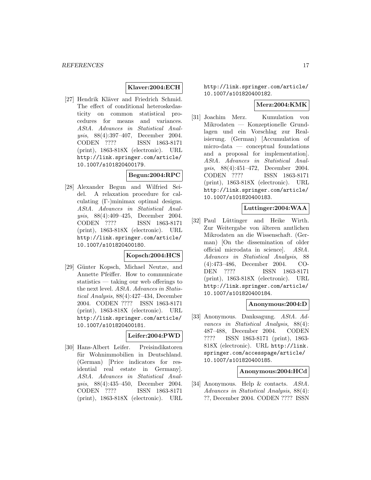### **Klaver:2004:ECH**

[27] Hendrik Kläver and Friedrich Schmid. The effect of conditional heteroskedasticity on common statistical procedures for means and variances. AStA. Advances in Statistical Analysis, 88(4):397–407, December 2004. CODEN ???? ISSN 1863-8171 (print), 1863-818X (electronic). URL http://link.springer.com/article/ 10.1007/s101820400179.

### **Begun:2004:RPC**

[28] Alexander Begun and Wilfried Seidel. A relaxation procedure for calculating (Γ-)minimax optimal designs. AStA. Advances in Statistical Analysis, 88(4):409–425, December 2004. CODEN ???? ISSN 1863-8171 (print), 1863-818X (electronic). URL http://link.springer.com/article/ 10.1007/s101820400180.

### **Kopsch:2004:HCS**

[29] Günter Kopsch, Michael Neutze, and Annette Pfeiffer. How to communicate statistics — taking our web offerings to the next level. AStA. Advances in Statistical Analysis, 88(4):427–434, December 2004. CODEN ???? ISSN 1863-8171 (print), 1863-818X (electronic). URL http://link.springer.com/article/ 10.1007/s101820400181.

### **Leifer:2004:PWD**

[30] Hans-Albert Leifer. Preisindikatoren für Wohnimmobilien in Deutschland. (German) [Price indicators for residential real estate in Germany]. AStA. Advances in Statistical Analysis, 88(4):435–450, December 2004. CODEN ???? ISSN 1863-8171 (print), 1863-818X (electronic). URL

http://link.springer.com/article/ 10.1007/s101820400182.

### **Merz:2004:KMK**

[31] Joachim Merz. Kumulation von Mikrodaten — Konzeptionelle Grundlagen und ein Vorschlag zur Realisierung. (German) [Accumulation of micro-data — conceptual foundations and a proposal for implementation]. AStA. Advances in Statistical Analysis, 88(4):451–472, December 2004. CODEN ???? ISSN 1863-8171 (print), 1863-818X (electronic). URL http://link.springer.com/article/ 10.1007/s101820400183.

### **Luttinger:2004:WAA**

[32] Paul Lüttinger and Heike Wirth. Zur Weitergabe von älteren amtlichen Mikrodaten an die Wissenschaft. (German) [On the dissemination of older official microdata in science]. AStA. Advances in Statistical Analysis, 88 (4):473–486, December 2004. CO-DEN ???? ISSN 1863-8171 (print), 1863-818X (electronic). URL http://link.springer.com/article/ 10.1007/s101820400184.

#### **Anonymous:2004:D**

[33] Anonymous. Danksagung. AStA. Advances in Statistical Analysis, 88(4): 487–488, December 2004. CODEN ???? ISSN 1863-8171 (print), 1863- 818X (electronic). URL http://link. springer.com/accesspage/article/ 10.1007/s101820400185.

### **Anonymous:2004:HCd**

[34] Anonymous. Help & contacts. AStA. Advances in Statistical Analysis, 88(4): ??, December 2004. CODEN ???? ISSN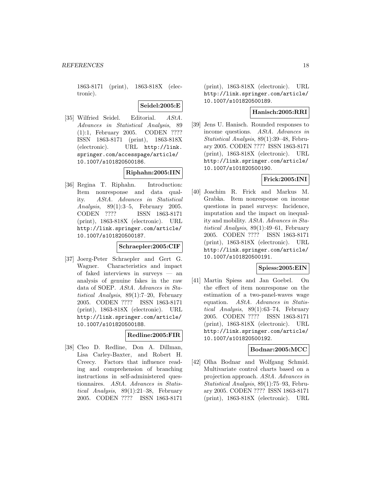1863-8171 (print), 1863-818X (electronic).

**Seidel:2005:E**

[35] Wilfried Seidel. Editorial. AStA. Advances in Statistical Analysis, 89 (1):1, February 2005. CODEN ???? ISSN 1863-8171 (print), 1863-818X (electronic). URL http://link. springer.com/accesspage/article/ 10.1007/s101820500186.

### **Riphahn:2005:IIN**

[36] Regina T. Riphahn. Introduction: Item nonresponse and data quality. AStA. Advances in Statistical Analysis, 89(1):3–5, February 2005. CODEN ???? ISSN 1863-8171 (print), 1863-818X (electronic). URL http://link.springer.com/article/ 10.1007/s101820500187.

### **Schraepler:2005:CIF**

[37] Joerg-Peter Schraepler and Gert G. Wagner. Characteristics and impact of faked interviews in surveys — an analysis of genuine fakes in the raw data of SOEP. AStA. Advances in Statistical Analysis, 89(1):7–20, February 2005. CODEN ???? ISSN 1863-8171 (print), 1863-818X (electronic). URL http://link.springer.com/article/ 10.1007/s101820500188.

### **Redline:2005:FIR**

[38] Cleo D. Redline, Don A. Dillman, Lisa Carley-Baxter, and Robert H. Creecy. Factors that influence reading and comprehension of branching instructions in self-administered questionnaires. AStA. Advances in Statistical Analysis, 89(1):21–38, February 2005. CODEN ???? ISSN 1863-8171

(print), 1863-818X (electronic). URL http://link.springer.com/article/ 10.1007/s101820500189.

### **Hanisch:2005:RRI**

[39] Jens U. Hanisch. Rounded responses to income questions. AStA. Advances in Statistical Analysis, 89(1):39–48, February 2005. CODEN ???? ISSN 1863-8171 (print), 1863-818X (electronic). URL http://link.springer.com/article/ 10.1007/s101820500190.

### **Frick:2005:INI**

[40] Joachim R. Frick and Markus M. Grabka. Item nonresponse on income questions in panel surveys: Incidence, imputation and the impact on inequality and mobility. AStA. Advances in Statistical Analysis, 89(1):49–61, February 2005. CODEN ???? ISSN 1863-8171 (print), 1863-818X (electronic). URL http://link.springer.com/article/ 10.1007/s101820500191.

### **Spiess:2005:EIN**

[41] Martin Spiess and Jan Goebel. On the effect of item nonresponse on the estimation of a two-panel-waves wage equation. AStA. Advances in Statistical Analysis, 89(1):63–74, February 2005. CODEN ???? ISSN 1863-8171 (print), 1863-818X (electronic). URL http://link.springer.com/article/ 10.1007/s101820500192.

### **Bodnar:2005:MCC**

[42] Olha Bodnar and Wolfgang Schmid. Multivariate control charts based on a projection approach. AStA. Advances in Statistical Analysis, 89(1):75–93, February 2005. CODEN ???? ISSN 1863-8171 (print), 1863-818X (electronic). URL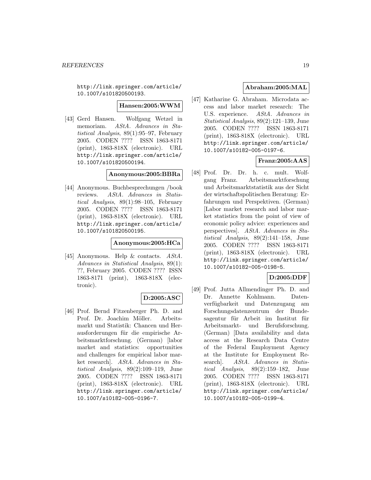http://link.springer.com/article/ 10.1007/s101820500193.

#### **Hansen:2005:WWM**

[43] Gerd Hansen. Wolfgang Wetzel in memoriam. AStA. Advances in Statistical Analysis, 89(1):95–97, February 2005. CODEN ???? ISSN 1863-8171 (print), 1863-818X (electronic). URL http://link.springer.com/article/ 10.1007/s101820500194.

#### **Anonymous:2005:BBRa**

[44] Anonymous. Buchbesprechungen /book reviews. AStA. Advances in Statistical Analysis, 89(1):98–105, February 2005. CODEN ???? ISSN 1863-8171 (print), 1863-818X (electronic). URL http://link.springer.com/article/ 10.1007/s101820500195.

#### **Anonymous:2005:HCa**

[45] Anonymous. Help & contacts. AStA. Advances in Statistical Analysis, 89(1): ??, February 2005. CODEN ???? ISSN 1863-8171 (print), 1863-818X (electronic).

### **D:2005:ASC**

[46] Prof. Bernd Fitzenberger Ph. D. and Prof. Dr. Joachim Möller. Arbeitsmarkt und Statistik: Chancen und Herausforderungen für die empirische Arbeitsmarktforschung. (German) [labor market and statistics: opportunities and challenges for empirical labor market research]. AStA. Advances in Statistical Analysis, 89(2):109–119, June 2005. CODEN ???? ISSN 1863-8171 (print), 1863-818X (electronic). URL http://link.springer.com/article/ 10.1007/s10182-005-0196-7.

### **Abraham:2005:MAL**

[47] Katharine G. Abraham. Microdata access and labor market research: The U.S. experience. AStA. Advances in Statistical Analysis, 89(2):121–139, June 2005. CODEN ???? ISSN 1863-8171 (print), 1863-818X (electronic). URL http://link.springer.com/article/ 10.1007/s10182-005-0197-6.

### **Franz:2005:AAS**

[48] Prof. Dr. Dr. h. c. mult. Wolfgang Franz. Arbeitsmarktforschung und Arbeitsmarktstatistik aus der Sicht der wirtschaftspolitischen Beratung: Erfahrungen und Perspektiven. (German) [Labor market research and labor market statistics from the point of view of economic policy advice: experiences and perspectives]. AStA. Advances in Statistical Analysis, 89(2):141–158, June 2005. CODEN ???? ISSN 1863-8171 (print), 1863-818X (electronic). URL http://link.springer.com/article/ 10.1007/s10182-005-0198-5.

### **D:2005:DDF**

[49] Prof. Jutta Allmendinger Ph. D. and Dr. Annette Kohlmann. Datenverfügbarkeit und Datenzugang am Forschungsdatenzentrum der Bundesagentur für Arbeit im Institut für Arbeitsmarkt- und Berufsforschung. (German) [Data availability and data access at the Research Data Centre of the Federal Employment Agency at the Institute for Employment Research]. AStA. Advances in Statistical Analysis, 89(2):159–182, June 2005. CODEN ???? ISSN 1863-8171 (print), 1863-818X (electronic). URL http://link.springer.com/article/ 10.1007/s10182-005-0199-4.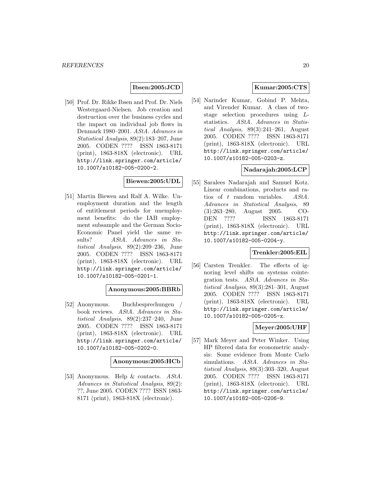### **Ibsen:2005:JCD**

[50] Prof. Dr. Rikke Ibsen and Prof. Dr. Niels Westergaard-Nielsen. Job creation and destruction over the business cycles and the impact on individual job flows in Denmark 1980–2001. AStA. Advances in Statistical Analysis, 89(2):183–207, June 2005. CODEN ???? ISSN 1863-8171 (print), 1863-818X (electronic). URL http://link.springer.com/article/ 10.1007/s10182-005-0200-2.

### **Biewen:2005:UDL**

[51] Martin Biewen and Ralf A. Wilke. Unemployment duration and the length of entitlement periods for unemployment benefits: do the IAB employment subsample and the German Socio-Economic Panel yield the same results? AStA. Advances in Statistical Analysis, 89(2):209–236, June 2005. CODEN ???? ISSN 1863-8171 (print), 1863-818X (electronic). URL http://link.springer.com/article/ 10.1007/s10182-005-0201-1.

### **Anonymous:2005:BBRb**

[52] Anonymous. Buchbesprechungen book reviews. AStA. Advances in Statistical Analysis, 89(2):237–240, June 2005. CODEN ???? ISSN 1863-8171 (print), 1863-818X (electronic). URL http://link.springer.com/article/ 10.1007/s10182-005-0202-0.

### **Anonymous:2005:HCb**

[53] Anonymous. Help & contacts. AStA. Advances in Statistical Analysis, 89(2): ??, June 2005. CODEN ???? ISSN 1863- 8171 (print), 1863-818X (electronic).

### **Kumar:2005:CTS**

[54] Narinder Kumar, Gobind P. Mehta, and Virender Kumar. A class of twostage selection procedures using Lstatistics. AStA. Advances in Statistical Analysis,  $89(3):241-261$ , August 2005. CODEN ???? ISSN 1863-8171 (print), 1863-818X (electronic). URL http://link.springer.com/article/ 10.1007/s10182-005-0203-z.

### **Nadarajah:2005:LCP**

[55] Saralees Nadarajah and Samuel Kotz. Linear combinations, products and ratios of t random variables. AStA. Advances in Statistical Analysis, 89 (3):263–280, August 2005. CO-DEN ???? ISSN 1863-8171 (print), 1863-818X (electronic). URL http://link.springer.com/article/ 10.1007/s10182-005-0204-y.

#### **Trenkler:2005:EIL**

[56] Carsten Trenkler. The effects of ignoring level shifts on systems cointegration tests. AStA. Advances in Statistical Analysis, 89(3):281–301, August 2005. CODEN ???? ISSN 1863-8171 (print), 1863-818X (electronic). URL http://link.springer.com/article/ 10.1007/s10182-005-0205-x.

### **Meyer:2005:UHF**

[57] Mark Meyer and Peter Winker. Using HP filtered data for econometric analysis: Some evidence from Monte Carlo simulations. *AStA*, *Advances in Sta*tistical Analysis, 89(3):303–320, August 2005. CODEN ???? ISSN 1863-8171 (print), 1863-818X (electronic). URL http://link.springer.com/article/ 10.1007/s10182-005-0206-9.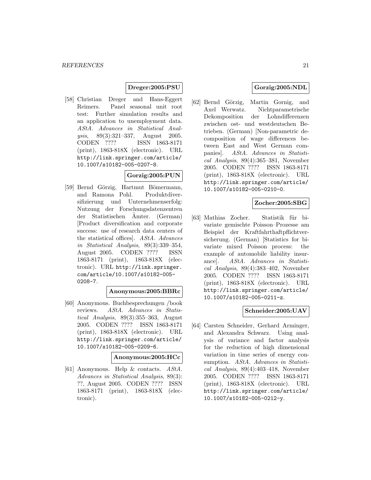### **Dreger:2005:PSU**

[58] Christian Dreger and Hans-Eggert Reimers. Panel seasonal unit root test: Further simulation results and an application to unemployment data. AStA. Advances in Statistical Analysis, 89(3):321–337, August 2005. CODEN ???? ISSN 1863-8171 (print), 1863-818X (electronic). URL http://link.springer.com/article/ 10.1007/s10182-005-0207-8.

### **Gorzig:2005:PUN**

[59] Bernd Görzig, Hartmut Bömermann, and Ramona Pohl. Produktdiversifizierung und Unternehmenserfolg: Nutzung der Forschungsdatenzentren der Statistischen Ämter. (German) [Product diversification and corporate success: use of research data centers of the statistical offices]. AStA. Advances in Statistical Analysis, 89(3):339–354, August 2005. CODEN ???? ISSN 1863-8171 (print), 1863-818X (electronic). URL http://link.springer. com/article/10.1007/s10182-005- 0208-7.

### **Anonymous:2005:BBRc**

[60] Anonymous. Buchbesprechungen /book reviews. AStA. Advances in Statistical Analysis, 89(3):355–363, August 2005. CODEN ???? ISSN 1863-8171 (print), 1863-818X (electronic). URL http://link.springer.com/article/ 10.1007/s10182-005-0209-6.

#### **Anonymous:2005:HCc**

[61] Anonymous. Help & contacts. AStA. Advances in Statistical Analysis, 89(3): ??, August 2005. CODEN ???? ISSN 1863-8171 (print), 1863-818X (electronic).

### **Gorzig:2005:NDL**

[62] Bernd Görzig, Martin Gornig, and Axel Werwatz. Nichtparametrische Dekomposition der Lohndifferenzen zwischen ost- und westdeutschen Betrieben. (German) [Non-parametric decomposition of wage differences between East and West German companies]. AStA. Advances in Statistical Analysis, 89(4):365–381, November 2005. CODEN ???? ISSN 1863-8171 (print), 1863-818X (electronic). URL http://link.springer.com/article/ 10.1007/s10182-005-0210-0.

### **Zocher:2005:SBG**

[63] Mathias Zocher. Statistik für bivariate gemischte Poisson–Prozesse am Beispiel der Kraftfahrthaftpflichtversicherung. (German) [Statistics for bivariate mixed Poisson process: the example of automobile liability insurance]. AStA. Advances in Statistical Analysis, 89(4):383–402, November 2005. CODEN ???? ISSN 1863-8171 (print), 1863-818X (electronic). URL http://link.springer.com/article/ 10.1007/s10182-005-0211-z.

### **Schneider:2005:UAV**

[64] Carsten Schneider, Gerhard Arminger, and Alexandra Schwarz. Using analysis of variance and factor analysis for the reduction of high dimensional variation in time series of energy consumption. AStA. Advances in Statistical Analysis, 89(4):403–418, November 2005. CODEN ???? ISSN 1863-8171 (print), 1863-818X (electronic). URL http://link.springer.com/article/ 10.1007/s10182-005-0212-y.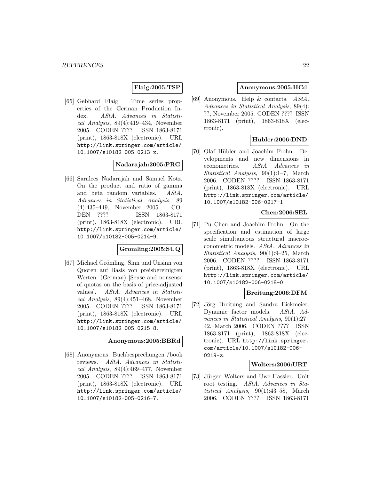#### **Flaig:2005:TSP**

[65] Gebhard Flaig. Time series properties of the German Production Index. AStA. Advances in Statistical Analysis, 89(4):419–434, November 2005. CODEN ???? ISSN 1863-8171 (print), 1863-818X (electronic). URL http://link.springer.com/article/ 10.1007/s10182-005-0213-x.

#### **Nadarajah:2005:PRG**

[66] Saralees Nadarajah and Samuel Kotz. On the product and ratio of gamma and beta random variables. AStA. Advances in Statistical Analysis, 89 (4):435–449, November 2005. CO-DEN ???? ISSN 1863-8171 (print), 1863-818X (electronic). URL http://link.springer.com/article/ 10.1007/s10182-005-0214-9.

### **Gromling:2005:SUQ**

[67] Michael Grömling. Sinn und Unsinn von Quoten auf Basis von preisbereinigten Werten. (German) [Sense and nonsense of quotas on the basis of price-adjusted values]. AStA. Advances in Statistical Analysis, 89(4):451–468, November 2005. CODEN ???? ISSN 1863-8171 (print), 1863-818X (electronic). URL http://link.springer.com/article/ 10.1007/s10182-005-0215-8.

### **Anonymous:2005:BBRd**

[68] Anonymous. Buchbesprechungen /book reviews. AStA. Advances in Statistical Analysis, 89(4):469–477, November 2005. CODEN ???? ISSN 1863-8171 (print), 1863-818X (electronic). URL http://link.springer.com/article/ 10.1007/s10182-005-0216-7.

#### **Anonymous:2005:HCd**

[69] Anonymous. Help & contacts. AStA. Advances in Statistical Analysis, 89(4): ??, November 2005. CODEN ???? ISSN 1863-8171 (print), 1863-818X (electronic).

### **Hubler:2006:DND**

[70] Olaf Hübler and Joachim Frohn. Developments and new dimensions in econometrics. AStA. Advances in Statistical Analysis, 90(1):1–7, March 2006. CODEN ???? ISSN 1863-8171 (print), 1863-818X (electronic). URL http://link.springer.com/article/ 10.1007/s10182-006-0217-1.

### **Chen:2006:SEL**

[71] Pu Chen and Joachim Frohn. On the specification and estimation of large scale simultaneous structural macroeconometric models. AStA. Advances in Statistical Analysis, 90(1):9–25, March 2006. CODEN ???? ISSN 1863-8171 (print), 1863-818X (electronic). URL http://link.springer.com/article/ 10.1007/s10182-006-0218-0.

#### **Breitung:2006:DFM**

[72] Jörg Breitung and Sandra Eickmeier. Dynamic factor models. AStA. Advances in Statistical Analysis, 90(1):27– 42, March 2006. CODEN ???? ISSN 1863-8171 (print), 1863-818X (electronic). URL http://link.springer. com/article/10.1007/s10182-006- 0219-z.

#### **Wolters:2006:URT**

[73] Jürgen Wolters and Uwe Hassler. Unit root testing. AStA. Advances in Statistical Analysis, 90(1):43–58, March 2006. CODEN ???? ISSN 1863-8171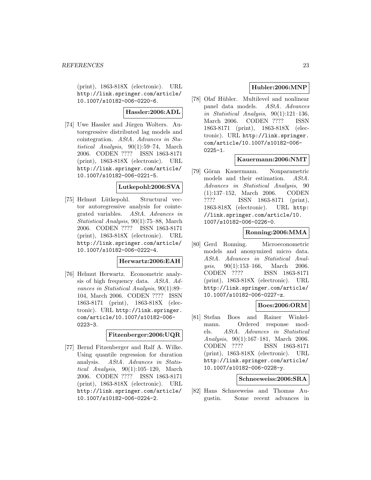(print), 1863-818X (electronic). URL http://link.springer.com/article/ 10.1007/s10182-006-0220-6.

### **Hassler:2006:ADL**

[74] Uwe Hassler and Jürgen Wolters. Autoregressive distributed lag models and cointegration. AStA. Advances in Statistical Analysis, 90(1):59–74, March 2006. CODEN ???? ISSN 1863-8171 (print), 1863-818X (electronic). URL http://link.springer.com/article/ 10.1007/s10182-006-0221-5.

### **Lutkepohl:2006:SVA**

[75] Helmut Lütkepohl. Structural vector autoregressive analysis for cointegrated variables. AStA. Advances in Statistical Analysis, 90(1):75–88, March 2006. CODEN ???? ISSN 1863-8171 (print), 1863-818X (electronic). URL http://link.springer.com/article/ 10.1007/s10182-006-0222-4.

### **Herwartz:2006:EAH**

[76] Helmut Herwartz. Econometric analysis of high frequency data. AStA. Advances in Statistical Analysis, 90(1):89– 104, March 2006. CODEN ???? ISSN 1863-8171 (print), 1863-818X (electronic). URL http://link.springer. com/article/10.1007/s10182-006- 0223-3.

### **Fitzenberger:2006:UQR**

[77] Bernd Fitzenberger and Ralf A. Wilke. Using quantile regression for duration analysis. AStA. Advances in Statistical Analysis,  $90(1):105-120$ , March 2006. CODEN ???? ISSN 1863-8171 (print), 1863-818X (electronic). URL http://link.springer.com/article/ 10.1007/s10182-006-0224-2.

### **Hubler:2006:MNP**

[78] Olaf Hübler. Multilevel and nonlinear panel data models. AStA. Advances in Statistical Analysis, 90(1):121–136, March 2006. CODEN ???? ISSN 1863-8171 (print), 1863-818X (electronic). URL http://link.springer. com/article/10.1007/s10182-006-  $0225 - 1.$ 

### **Kauermann:2006:NMT**

[79] Göran Kauermann. Nonparametric models and their estimation. AStA. Advances in Statistical Analysis, 90 (1):137–152, March 2006. CODEN ???? ISSN 1863-8171 (print), 1863-818X (electronic). URL http: //link.springer.com/article/10. 1007/s10182-006-0226-0.

### **Ronning:2006:MMA**

[80] Gerd Ronning. Microeconometric models and anonymized micro data. AStA. Advances in Statistical Analysis, 90(1):153–166, March 2006. CODEN ???? ISSN 1863-8171 (print), 1863-818X (electronic). URL http://link.springer.com/article/ 10.1007/s10182-006-0227-z.

### **Boes:2006:ORM**

[81] Stefan Boes and Rainer Winkelmann. Ordered response models. AStA. Advances in Statistical Analysis, 90(1):167–181, March 2006. CODEN ???? ISSN 1863-8171 (print), 1863-818X (electronic). URL http://link.springer.com/article/ 10.1007/s10182-006-0228-y.

### **Schneeweiss:2006:SRA**

[82] Hans Schneeweiss and Thomas Augustin. Some recent advances in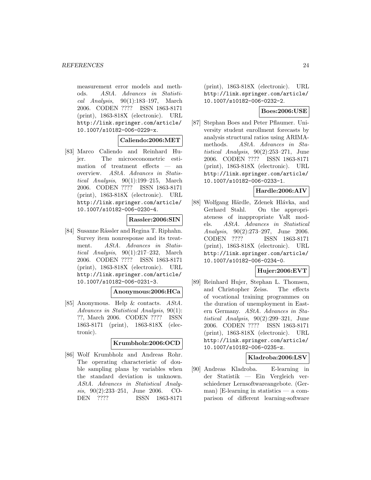measurement error models and methods. AStA. Advances in Statistical Analysis, 90(1):183–197, March 2006. CODEN ???? ISSN 1863-8171 (print), 1863-818X (electronic). URL http://link.springer.com/article/ 10.1007/s10182-006-0229-x.

**Caliendo:2006:MET**

[83] Marco Caliendo and Reinhard Hujer. The microeconometric estimation of treatment effects — an overview. AStA. Advances in Statistical Analysis, 90(1):199–215, March 2006. CODEN ???? ISSN 1863-8171 (print), 1863-818X (electronic). URL http://link.springer.com/article/ 10.1007/s10182-006-0230-4.

**Rassler:2006:SIN**

[84] Susanne Rässler and Regina T. Riphahn. Survey item nonresponse and its treatment. AStA. Advances in Statistical Analysis, 90(1):217–232, March 2006. CODEN ???? ISSN 1863-8171 (print), 1863-818X (electronic). URL http://link.springer.com/article/ 10.1007/s10182-006-0231-3.

#### **Anonymous:2006:HCa**

[85] Anonymous. Help & contacts. AStA. Advances in Statistical Analysis, 90(1): ??, March 2006. CODEN ???? ISSN 1863-8171 (print), 1863-818X (electronic).

### **Krumbholz:2006:OCD**

[86] Wolf Krumbholz and Andreas Rohr. The operating characteristic of double sampling plans by variables when the standard deviation is unknown. AStA. Advances in Statistical Analysis, 90(2):233–251, June 2006. CO-DEN ???? ISSN 1863-8171

(print), 1863-818X (electronic). URL http://link.springer.com/article/ 10.1007/s10182-006-0232-2.

### **Boes:2006:USE**

[87] Stephan Boes and Peter Pflaumer. University student enrollment forecasts by analysis structural ratios using ARIMAmethods. AStA. Advances in Statistical Analysis, 90(2):253–271, June 2006. CODEN ???? ISSN 1863-8171 (print), 1863-818X (electronic). URL http://link.springer.com/article/ 10.1007/s10182-006-0233-1.

### **Hardle:2006:AIV**

[88] Wolfgang Härdle, Zdenek Hlávka, and Gerhard Stahl. On the appropriateness of inappropriate VaR models. AStA. Advances in Statistical Analysis, 90(2):273–297, June 2006. CODEN ???? ISSN 1863-8171 (print), 1863-818X (electronic). URL http://link.springer.com/article/ 10.1007/s10182-006-0234-0.

### **Hujer:2006:EVT**

[89] Reinhard Hujer, Stephan L. Thomsen, and Christopher Zeiss. The effects of vocational training programmes on the duration of unemployment in Eastern Germany. AStA. Advances in Statistical Analysis, 90(2):299–321, June 2006. CODEN ???? ISSN 1863-8171 (print), 1863-818X (electronic). URL http://link.springer.com/article/ 10.1007/s10182-006-0235-z.

### **Kladroba:2006:LSV**

[90] Andreas Kladroba. E-learning in der Statistik — Ein Vergleich verschiedener Lernsoftwareangebote. (German) [E-learning in statistics — a comparison of different learning-software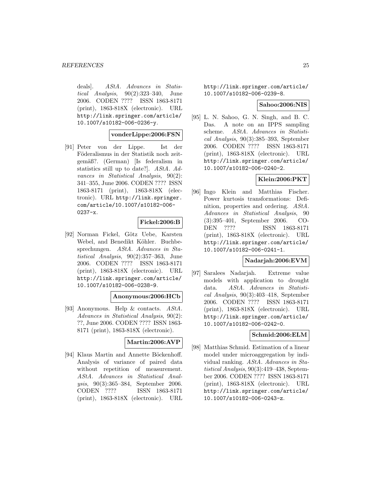deals). AStA. Advances in Statistical Analysis, 90(2):323–340, June 2006. CODEN ???? ISSN 1863-8171 (print), 1863-818X (electronic). URL http://link.springer.com/article/ 10.1007/s10182-006-0236-y.

#### **vonderLippe:2006:FSN**

[91] Peter von der Lippe. Ist der Föderalismus in der Statistik noch zeitgemäß?. (German) [Is federalism in statistics still up to date?]. AStA. Advances in Statistical Analysis, 90(2): 341–355, June 2006. CODEN ???? ISSN 1863-8171 (print), 1863-818X (electronic). URL http://link.springer. com/article/10.1007/s10182-006- 0237-x.

#### **Fickel:2006:B**

[92] Norman Fickel, Götz Uebe, Karsten Webel, and Benedikt Köhler. Buchbesprechungen. AStA. Advances in Statistical Analysis, 90(2):357–363, June 2006. CODEN ???? ISSN 1863-8171 (print), 1863-818X (electronic). URL http://link.springer.com/article/ 10.1007/s10182-006-0238-9.

#### **Anonymous:2006:HCb**

[93] Anonymous. Help & contacts. AStA. Advances in Statistical Analysis, 90(2): ??, June 2006. CODEN ???? ISSN 1863- 8171 (print), 1863-818X (electronic).

### **Martin:2006:AVP**

[94] Klaus Martin and Annette Böckenhoff. Analysis of variance of paired data without repetition of measurement. AStA. Advances in Statistical Analysis, 90(3):365–384, September 2006. CODEN ???? ISSN 1863-8171 (print), 1863-818X (electronic). URL

http://link.springer.com/article/ 10.1007/s10182-006-0239-8.

#### **Sahoo:2006:NIS**

[95] L. N. Sahoo, G. N. Singh, and B. C. Das. A note on an IPPS sampling scheme. AStA. Advances in Statistical Analysis, 90(3):385–393, September 2006. CODEN ???? ISSN 1863-8171 (print), 1863-818X (electronic). URL http://link.springer.com/article/ 10.1007/s10182-006-0240-2.

### **Klein:2006:PKT**

[96] Ingo Klein and Matthias Fischer. Power kurtosis transformations: Definition, properties and ordering. AStA. Advances in Statistical Analysis, 90 (3):395–401, September 2006. CO-DEN ???? ISSN 1863-8171 (print), 1863-818X (electronic). URL http://link.springer.com/article/ 10.1007/s10182-006-0241-1.

### **Nadarjah:2006:EVM**

[97] Saralees Nadarjah. Extreme value models with application to drought data. AStA. Advances in Statistical Analysis, 90(3):403–418, September 2006. CODEN ???? ISSN 1863-8171 (print), 1863-818X (electronic). URL http://link.springer.com/article/ 10.1007/s10182-006-0242-0.

### **Schmid:2006:ELM**

[98] Matthias Schmid. Estimation of a linear model under microaggregation by individual ranking. AStA. Advances in Statistical Analysis, 90(3):419–438, September 2006. CODEN ???? ISSN 1863-8171 (print), 1863-818X (electronic). URL http://link.springer.com/article/ 10.1007/s10182-006-0243-z.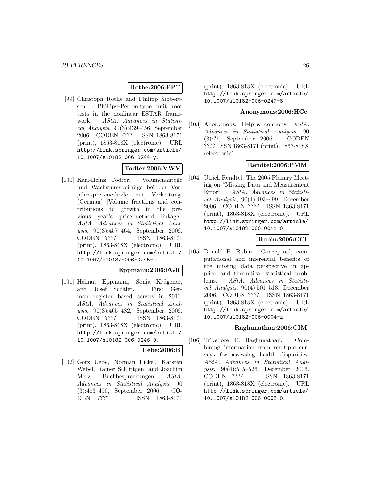### **Rothe:2006:PPT**

[99] Christoph Rothe and Philipp Sibbertsen. Phillips–Perron-type unit root tests in the nonlinear ESTAR framework. AStA. Advances in Statistical Analysis, 90(3):439–456, September 2006. CODEN ???? ISSN 1863-8171 (print), 1863-818X (electronic). URL http://link.springer.com/article/ 10.1007/s10182-006-0244-y.

### **Todter:2006:VWV**

[100] Karl-Heinz Tödter. Volumenanteile und Wachstumsbeiträge bei der Vorjahrespreismethode mit Verkettung. (German) [Volume fractions and contributions to growth in the previous year's price-method linkage]. AStA. Advances in Statistical Analysis, 90(3):457–464, September 2006. CODEN ???? ISSN 1863-8171 (print), 1863-818X (electronic). URL http://link.springer.com/article/ 10.1007/s10182-006-0245-x.

### **Eppmann:2006:FGR**

[101] Helmut Eppmann, Sonja Krügener, and Josef Schäfer. First German register based census in 2011. AStA. Advances in Statistical Analysis, 90(3):465–482, September 2006. CODEN ???? ISSN 1863-8171 (print), 1863-818X (electronic). URL http://link.springer.com/article/ 10.1007/s10182-006-0246-9.

### **Uebe:2006:B**

[102] Götz Uebe, Norman Fickel, Karsten Webel, Rainer Schlittgen, and Joachim Merz. Buchbesprechungen. AStA. Advances in Statistical Analysis, 90 (3):483–490, September 2006. CO-DEN ???? ISSN 1863-8171

(print), 1863-818X (electronic). URL http://link.springer.com/article/ 10.1007/s10182-006-0247-8.

#### **Anonymous:2006:HCc**

[103] Anonymous. Help & contacts. AStA. Advances in Statistical Analysis, 90 (3):??, September 2006. CODEN ???? ISSN 1863-8171 (print), 1863-818X (electronic).

#### **Rendtel:2006:PMM**

[104] Ulrich Rendtel. The 2005 Plenary Meeting on "Missing Data and Measurement Error". AStA. Advances in Statistical Analysis, 90(4):493–499, December 2006. CODEN ???? ISSN 1863-8171 (print), 1863-818X (electronic). URL http://link.springer.com/article/ 10.1007/s10182-006-0011-0.

### **Rubin:2006:CCI**

[105] Donald B. Rubin. Conceptual, computational and inferential benefits of the missing data perspective in applied and theoretical statistical problems. AStA. Advances in Statistical Analysis,  $90(4):501-513$ , December 2006. CODEN ???? ISSN 1863-8171 (print), 1863-818X (electronic). URL http://link.springer.com/article/ 10.1007/s10182-006-0004-z.

### **Raghunathan:2006:CIM**

[106] Trivellore E. Raghunathan. Combining information from multiple surveys for assessing health disparities. AStA. Advances in Statistical Analysis, 90(4):515–526, December 2006. CODEN ???? ISSN 1863-8171 (print), 1863-818X (electronic). URL http://link.springer.com/article/ 10.1007/s10182-006-0003-0.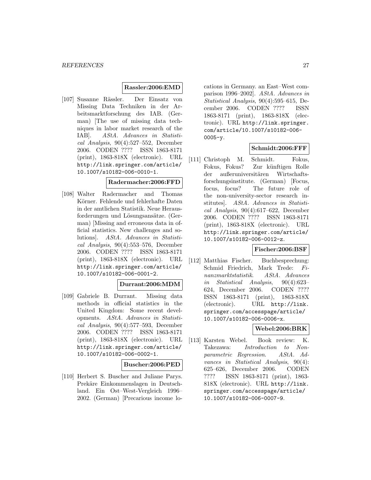#### **Rassler:2006:EMD**

[107] Susanne Rässler. Der Einsatz von Missing Data Techniken in der Arbeitsmarktforschung des IAB. (German) [The use of missing data techniques in labor market research of the IAB]. AStA. Advances in Statistical Analysis, 90(4):527–552, December 2006. CODEN ???? ISSN 1863-8171 (print), 1863-818X (electronic). URL http://link.springer.com/article/ 10.1007/s10182-006-0010-1.

#### **Radermacher:2006:FFD**

[108] Walter Radermacher and Thomas Körner. Fehlende und fehlerhafte Daten in der amtlichen Statistik. Neue Herausforderungen und Lösungsansätze. (German) [Missing and erroneous data in official statistics. New challenges and solutions]. AStA. Advances in Statistical Analysis, 90(4):553–576, December 2006. CODEN ???? ISSN 1863-8171 (print), 1863-818X (electronic). URL http://link.springer.com/article/ 10.1007/s10182-006-0001-2.

#### **Durrant:2006:MDM**

[109] Gabriele B. Durrant. Missing data methods in official statistics in the United Kingdom: Some recent developments. AStA. Advances in Statistical Analysis, 90(4):577–593, December 2006. CODEN ???? ISSN 1863-8171 (print), 1863-818X (electronic). URL http://link.springer.com/article/ 10.1007/s10182-006-0002-1.

#### **Buscher:2006:PED**

[110] Herbert S. Buscher and Juliane Parys. Prekäre Einkommenslagen in Deutschland. Ein Ost–West-Vergleich 1996– 2002. (German) [Precarious income locations in Germany. an East–West comparison 1996–2002]. AStA. Advances in Statistical Analysis, 90(4):595–615, December 2006. CODEN ???? ISSN 1863-8171 (print), 1863-818X (electronic). URL http://link.springer. com/article/10.1007/s10182-006-  $0005 - v.$ 

#### **Schmidt:2006:FFF**

[111] Christoph M. Schmidt. Fokus, Fokus, Fokus? Zur künftigen Rolle der außeruniversitären Wirtschaftsforschungsinstitute. (German) [Focus, focus, focus? The future role of the non-university-sector research institutes]. AStA. Advances in Statistical Analysis, 90(4):617–622, December 2006. CODEN ???? ISSN 1863-8171 (print), 1863-818X (electronic). URL http://link.springer.com/article/ 10.1007/s10182-006-0012-z.

### **Fischer:2006:BSF**

[112] Matthias Fischer. Buchbesprechung: Schmid Friedrich, Mark Trede: Finanzmarktstatistik. AStA. Advances in Statistical Analysis, 90(4):623– 624, December 2006. CODEN ???? ISSN 1863-8171 (print), 1863-818X (electronic). URL http://link. springer.com/accesspage/article/ 10.1007/s10182-006-0006-x.

### **Webel:2006:BRK**

[113] Karsten Webel. Book review: K. Takezawa: Introduction to Nonparametric Regression. AStA. Advances in Statistical Analysis, 90(4): 625–626, December 2006. CODEN ???? ISSN 1863-8171 (print), 1863- 818X (electronic). URL http://link. springer.com/accesspage/article/ 10.1007/s10182-006-0007-9.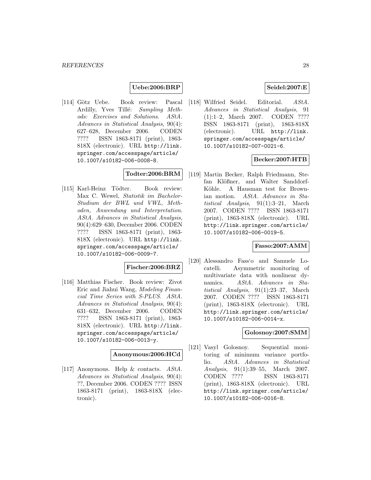### **Uebe:2006:BRP**

[114] Götz Uebe. Book review: Pascal Ardilly, Yves Tillé: Sampling Methods: Exercises and Solutions. AStA. Advances in Statistical Analysis, 90(4): 627–628, December 2006. CODEN ???? ISSN 1863-8171 (print), 1863- 818X (electronic). URL http://link. springer.com/accesspage/article/ 10.1007/s10182-006-0008-8.

### **Todter:2006:BRM**

[115] Karl-Heinz Tödter. Book review: Max C. Wewel, Statistik im Bachelor-Studium der BWL und VWL, Methoden, Anwendung und Interpretation. AStA. Advances in Statistical Analysis, 90(4):629–630, December 2006. CODEN ???? ISSN 1863-8171 (print), 1863- 818X (electronic). URL http://link. springer.com/accesspage/article/ 10.1007/s10182-006-0009-7.

#### **Fischer:2006:BRZ**

[116] Matthias Fischer. Book review: Zivot Eric and Jiahui Wang, Modeling Financial Time Series with S-PLUS. AStA. Advances in Statistical Analysis, 90(4): 631–632, December 2006. CODEN ???? ISSN 1863-8171 (print), 1863- 818X (electronic). URL http://link. springer.com/accesspage/article/ 10.1007/s10182-006-0013-y.

#### **Anonymous:2006:HCd**

[117] Anonymous. Help & contacts. AStA. Advances in Statistical Analysis, 90(4): ??, December 2006. CODEN ???? ISSN 1863-8171 (print), 1863-818X (electronic).

### **Seidel:2007:E**

[118] Wilfried Seidel. Editorial. AStA. Advances in Statistical Analysis, 91 (1):1–2, March 2007. CODEN ???? ISSN 1863-8171 (print), 1863-818X (electronic). URL http://link. springer.com/accesspage/article/ 10.1007/s10182-007-0021-6.

### **Becker:2007:HTB**

[119] Martin Becker, Ralph Friedmann, Stefan Klößner, and Walter Sanddorf-Köhle. A Hausman test for Brownian motion. AStA. Advances in Statistical Analysis, 91(1):3–21, March 2007. CODEN ???? ISSN 1863-8171 (print), 1863-818X (electronic). URL http://link.springer.com/article/ 10.1007/s10182-006-0019-5.

### **Fasso:2007:AMM**

[120] Alessandro Fass'o and Samuele Locatelli. Asymmetric monitoring of multivariate data with nonlinear dynamics. AStA. Advances in Statistical Analysis, 91(1):23–37, March 2007. CODEN ???? ISSN 1863-8171 (print), 1863-818X (electronic). URL http://link.springer.com/article/ 10.1007/s10182-006-0014-x.

### **Golosnoy:2007:SMM**

[121] Vasyl Golosnoy. Sequential monitoring of minimum variance portfolio. AStA. Advances in Statistical Analysis, 91(1):39–55, March 2007. CODEN ???? ISSN 1863-8171 (print), 1863-818X (electronic). URL http://link.springer.com/article/ 10.1007/s10182-006-0016-8.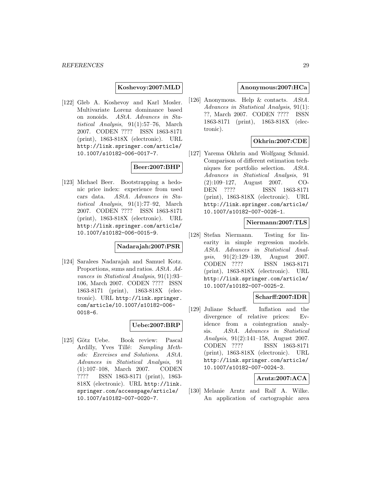**Koshevoy:2007:MLD**

[122] Gleb A. Koshevoy and Karl Mosler. Multivariate Lorenz dominance based on zonoids. AStA. Advances in Statistical Analysis, 91(1):57–76, March 2007. CODEN ???? ISSN 1863-8171 (print), 1863-818X (electronic). URL http://link.springer.com/article/ 10.1007/s10182-006-0017-7.

### **Beer:2007:BHP**

[123] Michael Beer. Bootstrapping a hedonic price index: experience from used cars data. AStA. Advances in Statistical Analysis, 91(1):77–92, March 2007. CODEN ???? ISSN 1863-8171 (print), 1863-818X (electronic). URL http://link.springer.com/article/ 10.1007/s10182-006-0015-9.

### **Nadarajah:2007:PSR**

[124] Saralees Nadarajah and Samuel Kotz. Proportions, sums and ratios. AStA. Advances in Statistical Analysis, 91(1):93– 106, March 2007. CODEN ???? ISSN 1863-8171 (print), 1863-818X (electronic). URL http://link.springer. com/article/10.1007/s10182-006- 0018-6.

#### **Uebe:2007:BRP**

[125] Götz Uebe. Book review: Pascal Ardilly, Yves Tillé: Sampling Methods: Exercises and Solutions. AStA. Advances in Statistical Analysis, 91 (1):107–108, March 2007. CODEN ???? ISSN 1863-8171 (print), 1863- 818X (electronic). URL http://link. springer.com/accesspage/article/ 10.1007/s10182-007-0020-7.

### **Anonymous:2007:HCa**

[126] Anonymous. Help & contacts. AStA. Advances in Statistical Analysis, 91(1): ??, March 2007. CODEN ???? ISSN 1863-8171 (print), 1863-818X (electronic).

### **Okhrin:2007:CDE**

[127] Yarema Okhrin and Wolfgang Schmid. Comparison of different estimation techniques for portfolio selection. AStA. Advances in Statistical Analysis, 91 (2):109–127, August 2007. CO-DEN ???? ISSN 1863-8171 (print), 1863-818X (electronic). URL http://link.springer.com/article/ 10.1007/s10182-007-0026-1.

### **Niermann:2007:TLS**

[128] Stefan Niermann. Testing for linearity in simple regression models. AStA. Advances in Statistical Analysis, 91(2):129–139, August 2007. CODEN ???? ISSN 1863-8171 (print), 1863-818X (electronic). URL http://link.springer.com/article/ 10.1007/s10182-007-0025-2.

### **Scharff:2007:IDR**

[129] Juliane Scharff. Inflation and the divergence of relative prices: Evidence from a cointegration analysis. AStA. Advances in Statistical Analysis, 91(2):141–158, August 2007. CODEN ???? ISSN 1863-8171 (print), 1863-818X (electronic). URL http://link.springer.com/article/ 10.1007/s10182-007-0024-3.

### **Arntz:2007:ACA**

[130] Melanie Arntz and Ralf A. Wilke. An application of cartographic area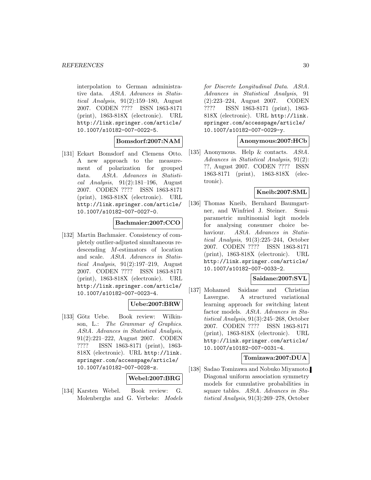interpolation to German administrative data. AStA. Advances in Statistical Analysis, 91(2):159–180, August 2007. CODEN ???? ISSN 1863-8171 (print), 1863-818X (electronic). URL http://link.springer.com/article/ 10.1007/s10182-007-0022-5.

**Bomsdorf:2007:NAM**

[131] Eckart Bomsdorf and Clemens Otto. A new approach to the measurement of polarization for grouped data. AStA. Advances in Statistical Analysis,  $91(2):181-196$ , August 2007. CODEN ???? ISSN 1863-8171 (print), 1863-818X (electronic). URL http://link.springer.com/article/ 10.1007/s10182-007-0027-0.

### **Bachmaier:2007:CCO**

[132] Martin Bachmaier. Consistency of completely outlier-adjusted simultaneous redescending M-estimators of location and scale. AStA. Advances in Statistical Analysis, 91(2):197–219, August 2007. CODEN ???? ISSN 1863-8171 (print), 1863-818X (electronic). URL http://link.springer.com/article/ 10.1007/s10182-007-0023-4.

### **Uebe:2007:BRW**

[133] Götz Uebe. Book review: Wilkinson, L.: The Grammar of Graphics. AStA. Advances in Statistical Analysis, 91(2):221–222, August 2007. CODEN ???? ISSN 1863-8171 (print), 1863- 818X (electronic). URL http://link. springer.com/accesspage/article/ 10.1007/s10182-007-0028-z.

### **Webel:2007:BRG**

[134] Karsten Webel. Book review: G. Molenberghs and G. Verbeke: Models for Discrete Longitudinal Data. AStA. Advances in Statistical Analysis, 91 (2):223–224, August 2007. CODEN ???? ISSN 1863-8171 (print), 1863- 818X (electronic). URL http://link. springer.com/accesspage/article/ 10.1007/s10182-007-0029-y.

### **Anonymous:2007:HCb**

[135] Anonymous. Help & contacts. AStA. Advances in Statistical Analysis, 91(2): ??, August 2007. CODEN ???? ISSN 1863-8171 (print), 1863-818X (electronic).

### **Kneib:2007:SML**

[136] Thomas Kneib, Bernhard Baumgartner, and Winfried J. Steiner. Semiparametric multinomial logit models for analysing consumer choice behaviour. AStA. Advances in Statistical Analysis, 91(3):225–244, October 2007. CODEN ???? ISSN 1863-8171 (print), 1863-818X (electronic). URL http://link.springer.com/article/ 10.1007/s10182-007-0033-2.

### **Saidane:2007:SVL**

[137] Mohamed Saidane and Christian Lavergne. A structured variational learning approach for switching latent factor models. AStA. Advances in Statistical Analysis, 91(3):245–268, October 2007. CODEN ???? ISSN 1863-8171 (print), 1863-818X (electronic). URL http://link.springer.com/article/ 10.1007/s10182-007-0031-4.

### **Tomizawa:2007:DUA**

[138] Sadao Tomizawa and Nobuko Miyamoto. Diagonal uniform association symmetry models for cumulative probabilities in square tables. AStA. Advances in Statistical Analysis, 91(3):269–278, October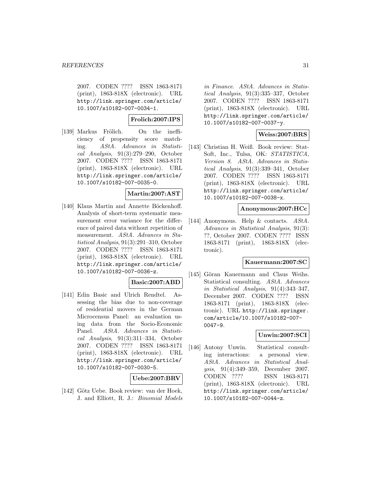2007. CODEN ???? ISSN 1863-8171 (print), 1863-818X (electronic). URL http://link.springer.com/article/ 10.1007/s10182-007-0034-1.

**Frolich:2007:IPS**

[139] Markus Frölich. On the inefficiency of propensity score matching. AStA. Advances in Statistical Analysis, 91(3):279–290, October 2007. CODEN ???? ISSN 1863-8171 (print), 1863-818X (electronic). URL http://link.springer.com/article/ 10.1007/s10182-007-0035-0.

### **Martin:2007:AST**

[140] Klaus Martin and Annette Böckenhoff. Analysis of short-term systematic measurement error variance for the difference of paired data without repetition of measurement. AStA. Advances in Statistical Analysis, 91(3):291–310, October 2007. CODEN ???? ISSN 1863-8171 (print), 1863-818X (electronic). URL http://link.springer.com/article/ 10.1007/s10182-007-0036-z.

### **Basic:2007:ABD**

[141] Edin Basic and Ulrich Rendtel. Assessing the bias due to non-coverage of residential movers in the German Microcensus Panel: an evaluation using data from the Socio-Economic Panel. AStA. Advances in Statistical Analysis, 91(3):311–334, October 2007. CODEN ???? ISSN 1863-8171 (print), 1863-818X (electronic). URL http://link.springer.com/article/ 10.1007/s10182-007-0030-5.

### **Uebe:2007:BRV**

[142] Götz Uebe. Book review: van der Hoek, J. and Elliott, R. J.: Binomial Models

in Finance. AStA. Advances in Statistical Analysis, 91(3):335–337, October 2007. CODEN ???? ISSN 1863-8171 (print), 1863-818X (electronic). URL http://link.springer.com/article/ 10.1007/s10182-007-0037-y.

### **Weiss:2007:BRS**

[143] Christian H. Weiß. Book review: Stat-Soft, Inc., Tulsa, OK: STATISTICA, Version 8. AStA. Advances in Statistical Analysis, 91(3):339–341, October 2007. CODEN ???? ISSN 1863-8171 (print), 1863-818X (electronic). URL http://link.springer.com/article/ 10.1007/s10182-007-0038-x.

#### **Anonymous:2007:HCc**

[144] Anonymous. Help & contacts. AStA. Advances in Statistical Analysis, 91(3): ??, October 2007. CODEN ???? ISSN 1863-8171 (print), 1863-818X (electronic).

#### **Kauermann:2007:SC**

[145] Göran Kauermann and Claus Weihs. Statistical consulting. AStA. Advances in Statistical Analysis, 91(4):343–347, December 2007. CODEN ???? ISSN 1863-8171 (print), 1863-818X (electronic). URL http://link.springer. com/article/10.1007/s10182-007- 0047-9.

### **Unwin:2007:SCI**

[146] Antony Unwin. Statistical consulting interactions: a personal view. AStA. Advances in Statistical Analysis, 91(4):349–359, December 2007. CODEN ???? ISSN 1863-8171 (print), 1863-818X (electronic). URL http://link.springer.com/article/ 10.1007/s10182-007-0044-z.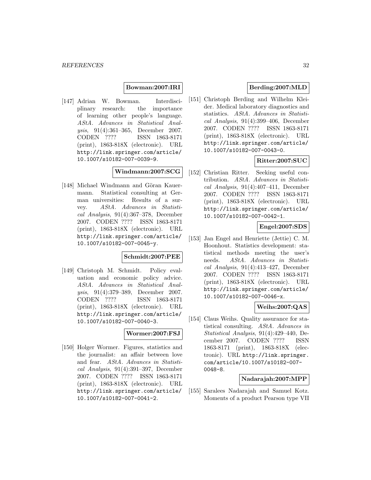#### **Bowman:2007:IRI**

[147] Adrian W. Bowman. Interdisciplinary research: the importance of learning other people's language. AStA. Advances in Statistical Analysis, 91(4):361–365, December 2007. CODEN ???? ISSN 1863-8171 (print), 1863-818X (electronic). URL http://link.springer.com/article/ 10.1007/s10182-007-0039-9.

### **Windmann:2007:SCG**

[148] Michael Windmann and Göran Kauermann. Statistical consulting at German universities: Results of a survey. AStA. Advances in Statistical Analysis, 91(4):367–378, December 2007. CODEN ???? ISSN 1863-8171 (print), 1863-818X (electronic). URL http://link.springer.com/article/ 10.1007/s10182-007-0045-y.

### **Schmidt:2007:PEE**

[149] Christoph M. Schmidt. Policy evaluation and economic policy advice. AStA. Advances in Statistical Analysis, 91(4):379–389, December 2007. CODEN ???? ISSN 1863-8171 (print), 1863-818X (electronic). URL http://link.springer.com/article/ 10.1007/s10182-007-0040-3.

### **Wormer:2007:FSJ**

[150] Holger Wormer. Figures, statistics and the journalist: an affair between love and fear. AStA. Advances in Statistical Analysis, 91(4):391–397, December 2007. CODEN ???? ISSN 1863-8171 (print), 1863-818X (electronic). URL http://link.springer.com/article/ 10.1007/s10182-007-0041-2.

### **Berding:2007:MLD**

[151] Christoph Berding and Wilhelm Kleider. Medical laboratory diagnostics and statistics. AStA. Advances in Statistical Analysis, 91(4):399–406, December 2007. CODEN ???? ISSN 1863-8171 (print), 1863-818X (electronic). URL http://link.springer.com/article/ 10.1007/s10182-007-0043-0.

### **Ritter:2007:SUC**

[152] Christian Ritter. Seeking useful contribution. AStA. Advances in Statistical Analysis,  $91(4):407-411$ , December 2007. CODEN ???? ISSN 1863-8171 (print), 1863-818X (electronic). URL http://link.springer.com/article/ 10.1007/s10182-007-0042-1.

### **Engel:2007:SDS**

[153] Jan Engel and Henriette (Jettie) C. M. Hoonhout. Statistics development: statistical methods meeting the user's needs. AStA. Advances in Statistical Analysis,  $91(4):413-427$ , December 2007. CODEN ???? ISSN 1863-8171 (print), 1863-818X (electronic). URL http://link.springer.com/article/ 10.1007/s10182-007-0046-x.

### **Weihs:2007:QAS**

[154] Claus Weihs. Quality assurance for statistical consulting. AStA. Advances in Statistical Analysis, 91(4):429–440, December 2007. CODEN ???? ISSN 1863-8171 (print), 1863-818X (electronic). URL http://link.springer. com/article/10.1007/s10182-007- 0048-8.

### **Nadarajah:2007:MPP**

[155] Saralees Nadarajah and Samuel Kotz. Moments of a product Pearson type VII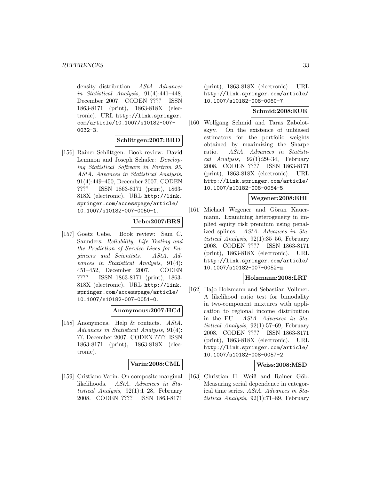density distribution. AStA. Advances in Statistical Analysis, 91(4):441–448, December 2007. CODEN ???? ISSN 1863-8171 (print), 1863-818X (electronic). URL http://link.springer. com/article/10.1007/s10182-007- 0032-3.

### **Schlittgen:2007:BRD**

[156] Rainer Schlittgen. Book review: David Lemmon and Joseph Schafer: Developing Statistical Software in Fortran 95. AStA. Advances in Statistical Analysis, 91(4):449–450, December 2007. CODEN ???? ISSN 1863-8171 (print), 1863- 818X (electronic). URL http://link. springer.com/accesspage/article/ 10.1007/s10182-007-0050-1.

### **Uebe:2007:BRS**

[157] Goetz Uebe. Book review: Sam C. Saunders: Reliability, Life Testing and the Prediction of Service Lives for Engineers and Scientists. AStA. Advances in Statistical Analysis, 91(4): 451–452, December 2007. CODEN ???? ISSN 1863-8171 (print), 1863- 818X (electronic). URL http://link. springer.com/accesspage/article/ 10.1007/s10182-007-0051-0.

#### **Anonymous:2007:HCd**

[158] Anonymous. Help & contacts. AStA. Advances in Statistical Analysis, 91(4): ??, December 2007. CODEN ???? ISSN 1863-8171 (print), 1863-818X (electronic).

### **Varin:2008:CML**

[159] Cristiano Varin. On composite marginal likelihoods. AStA. Advances in Statistical Analysis, 92(1):1–28, February 2008. CODEN ???? ISSN 1863-8171

(print), 1863-818X (electronic). URL http://link.springer.com/article/ 10.1007/s10182-008-0060-7.

### **Schmid:2008:EUE**

[160] Wolfgang Schmid and Taras Zabolotskyy. On the existence of unbiased estimators for the portfolio weights obtained by maximizing the Sharpe ratio. AStA. Advances in Statistical Analysis, 92(1):29–34, February 2008. CODEN ???? ISSN 1863-8171 (print), 1863-818X (electronic). URL http://link.springer.com/article/ 10.1007/s10182-008-0054-5.

### **Wegener:2008:EHI**

[161] Michael Wegener and Göran Kauermann. Examining heterogeneity in implied equity risk premium using penalized splines. AStA. Advances in Statistical Analysis, 92(1):35–56, February 2008. CODEN ???? ISSN 1863-8171 (print), 1863-818X (electronic). URL http://link.springer.com/article/ 10.1007/s10182-007-0052-z.

#### **Holzmann:2008:LRT**

[162] Hajo Holzmann and Sebastian Vollmer. A likelihood ratio test for bimodality in two-component mixtures with application to regional income distribution in the EU. AStA. Advances in Statistical Analysis, 92(1):57–69, February 2008. CODEN ???? ISSN 1863-8171 (print), 1863-818X (electronic). URL http://link.springer.com/article/ 10.1007/s10182-008-0057-2.

#### **Weiss:2008:MSD**

[163] Christian H. Weiß and Rainer Göb. Measuring serial dependence in categorical time series. AStA. Advances in Statistical Analysis, 92(1):71–89, February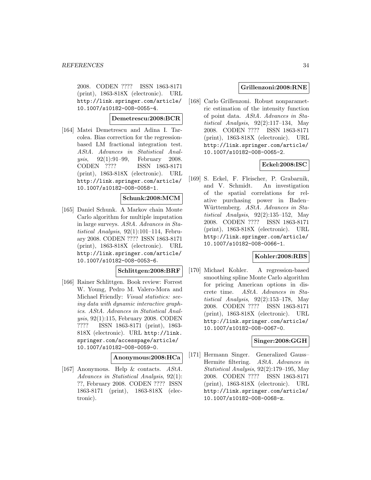2008. CODEN ???? ISSN 1863-8171 (print), 1863-818X (electronic). URL http://link.springer.com/article/ 10.1007/s10182-008-0055-4.

### **Demetrescu:2008:BCR**

[164] Matei Demetrescu and Adina I. Tarcolea. Bias correction for the regressionbased LM fractional integration test. AStA. Advances in Statistical Analysis, 92(1):91–99, February 2008. CODEN ???? ISSN 1863-8171 (print), 1863-818X (electronic). URL http://link.springer.com/article/ 10.1007/s10182-008-0058-1.

#### **Schunk:2008:MCM**

[165] Daniel Schunk. A Markov chain Monte Carlo algorithm for multiple imputation in large surveys. AStA. Advances in Statistical Analysis, 92(1):101–114, February 2008. CODEN ???? ISSN 1863-8171 (print), 1863-818X (electronic). URL http://link.springer.com/article/ 10.1007/s10182-008-0053-6.

### **Schlittgen:2008:BRF**

[166] Rainer Schlittgen. Book review: Forrest W. Young, Pedro M. Valero-Mora and Michael Friendly: Visual statistics: seeing data with dynamic interactive graphics. AStA. Advances in Statistical Analysis, 92(1):115, February 2008. CODEN ???? ISSN 1863-8171 (print), 1863- 818X (electronic). URL http://link. springer.com/accesspage/article/ 10.1007/s10182-008-0059-0.

#### **Anonymous:2008:HCa**

[167] Anonymous. Help & contacts. AStA. Advances in Statistical Analysis, 92(1): ??, February 2008. CODEN ???? ISSN 1863-8171 (print), 1863-818X (electronic).

#### **Grillenzoni:2008:RNE**

[168] Carlo Grillenzoni. Robust nonparametric estimation of the intensity function of point data. AStA. Advances in Statistical Analysis,  $92(2):117-134$ , May 2008. CODEN ???? ISSN 1863-8171 (print), 1863-818X (electronic). URL http://link.springer.com/article/ 10.1007/s10182-008-0065-2.

### **Eckel:2008:ISC**

[169] S. Eckel, F. Fleischer, P. Grabarnik, and V. Schmidt. An investigation of the spatial correlations for relative purchasing power in Baden– Württemberg. AStA. Advances in Statistical Analysis, 92(2):135–152, May 2008. CODEN ???? ISSN 1863-8171 (print), 1863-818X (electronic). URL http://link.springer.com/article/ 10.1007/s10182-008-0066-1.

### **Kohler:2008:RBS**

[170] Michael Kohler. A regression-based smoothing spline Monte Carlo algorithm for pricing American options in discrete time. AStA. Advances in Statistical Analysis,  $92(2):153-178$ , May 2008. CODEN ???? ISSN 1863-8171 (print), 1863-818X (electronic). URL http://link.springer.com/article/ 10.1007/s10182-008-0067-0.

#### **Singer:2008:GGH**

[171] Hermann Singer. Generalized Gauss– Hermite filtering. AStA. Advances in Statistical Analysis, 92(2):179–195, May 2008. CODEN ???? ISSN 1863-8171 (print), 1863-818X (electronic). URL http://link.springer.com/article/ 10.1007/s10182-008-0068-z.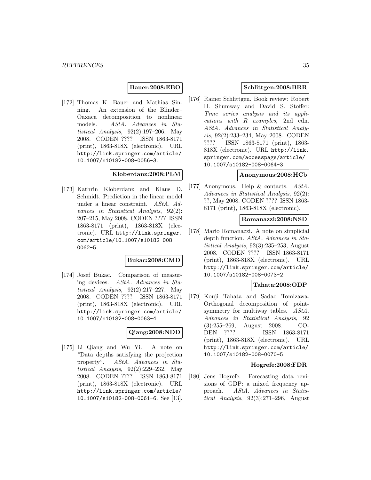### **Bauer:2008:EBO**

[172] Thomas K. Bauer and Mathias Sinning. An extension of the Blinder– Oaxaca decomposition to nonlinear models. AStA. Advances in Statistical Analysis, 92(2):197–206, May 2008. CODEN ???? ISSN 1863-8171 (print), 1863-818X (electronic). URL http://link.springer.com/article/ 10.1007/s10182-008-0056-3.

#### **Kloberdanz:2008:PLM**

[173] Kathrin Kloberdanz and Klaus D. Schmidt. Prediction in the linear model under a linear constraint. AStA. Advances in Statistical Analysis, 92(2): 207–215, May 2008. CODEN ???? ISSN 1863-8171 (print), 1863-818X (electronic). URL http://link.springer. com/article/10.1007/s10182-008- 0062-5.

#### **Bukac:2008:CMD**

[174] Josef Bukac. Comparison of measuring devices. AStA. Advances in Statistical Analysis, 92(2):217–227, May 2008. CODEN ???? ISSN 1863-8171 (print), 1863-818X (electronic). URL http://link.springer.com/article/ 10.1007/s10182-008-0063-4.

### **Qiang:2008:NDD**

[175] Li Qiang and Wu Yi. A note on "Data depths satisfying the projection property". AStA. Advances in Statistical Analysis, 92(2):229–232, May 2008. CODEN ???? ISSN 1863-8171 (print), 1863-818X (electronic). URL http://link.springer.com/article/ 10.1007/s10182-008-0061-6. See [13].

### **Schlittgen:2008:BRR**

[176] Rainer Schlittgen. Book review: Robert H. Shumway and David S. Stoffer: Time series analysis and its applications with R examples, 2nd edn. AStA. Advances in Statistical Analysis, 92(2):233–234, May 2008. CODEN ???? ISSN 1863-8171 (print), 1863- 818X (electronic). URL http://link. springer.com/accesspage/article/ 10.1007/s10182-008-0064-3.

#### **Anonymous:2008:HCb**

[177] Anonymous. Help & contacts. AStA. Advances in Statistical Analysis, 92(2): ??, May 2008. CODEN ???? ISSN 1863- 8171 (print), 1863-818X (electronic).

### **Romanazzi:2008:NSD**

[178] Mario Romanazzi. A note on simplicial depth function. AStA. Advances in Statistical Analysis, 92(3):235–253, August 2008. CODEN ???? ISSN 1863-8171 (print), 1863-818X (electronic). URL http://link.springer.com/article/ 10.1007/s10182-008-0073-2.

#### **Tahata:2008:ODP**

[179] Kouji Tahata and Sadao Tomizawa. Orthogonal decomposition of pointsymmetry for multiway tables. AStA. Advances in Statistical Analysis, 92 (3):255–269, August 2008. CO-DEN ???? ISSN 1863-8171 (print), 1863-818X (electronic). URL http://link.springer.com/article/ 10.1007/s10182-008-0070-5.

#### **Hogrefe:2008:FDR**

[180] Jens Hogrefe. Forecasting data revisions of GDP: a mixed frequency approach. AStA. Advances in Statistical Analysis,  $92(3):271-296$ , August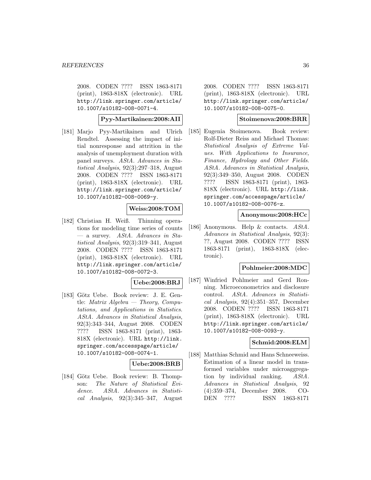2008. CODEN ???? ISSN 1863-8171 (print), 1863-818X (electronic). URL http://link.springer.com/article/ 10.1007/s10182-008-0071-4.

**Pyy-Martikainen:2008:AII**

[181] Marjo Pyy-Martikainen and Ulrich Rendtel. Assessing the impact of initial nonresponse and attrition in the analysis of unemployment duration with panel surveys. AStA. Advances in Statistical Analysis, 92(3):297–318, August 2008. CODEN ???? ISSN 1863-8171 (print), 1863-818X (electronic). URL http://link.springer.com/article/ 10.1007/s10182-008-0069-y.

### **Weiss:2008:TOM**

[182] Christian H. Weiß. Thinning operations for modeling time series of counts  $-$  a survey. AStA. Advances in Statistical Analysis, 92(3):319–341, August 2008. CODEN ???? ISSN 1863-8171 (print), 1863-818X (electronic). URL http://link.springer.com/article/ 10.1007/s10182-008-0072-3.

#### **Uebe:2008:BRJ**

[183] Götz Uebe. Book review: J. E. Gentle: Matrix Algebra — Theory, Computations, and Applications in Statistics. AStA. Advances in Statistical Analysis, 92(3):343–344, August 2008. CODEN ???? ISSN 1863-8171 (print), 1863- 818X (electronic). URL http://link. springer.com/accesspage/article/ 10.1007/s10182-008-0074-1.

#### **Uebe:2008:BRB**

[184] Götz Uebe. Book review: B. Thompson: The Nature of Statistical Evidence. AStA. Advances in Statistical Analysis,  $92(3):345-347$ , August

2008. CODEN ???? ISSN 1863-8171 (print), 1863-818X (electronic). URL http://link.springer.com/article/ 10.1007/s10182-008-0075-0.

#### **Stoimenova:2008:BRR**

[185] Eugenia Stoimenova. Book review: Rolf-Dieter Reiss and Michael Thomas: Statistical Analysis of Extreme Values. With Applications to Insurance, Finance, Hydrology and Other Fields. AStA. Advances in Statistical Analysis, 92(3):349–350, August 2008. CODEN ???? ISSN 1863-8171 (print), 1863- 818X (electronic). URL http://link. springer.com/accesspage/article/ 10.1007/s10182-008-0076-z.

#### **Anonymous:2008:HCc**

[186] Anonymous. Help & contacts. AStA. Advances in Statistical Analysis, 92(3): ??, August 2008. CODEN ???? ISSN 1863-8171 (print), 1863-818X (electronic).

#### **Pohlmeier:2008:MDC**

[187] Winfried Pohlmeier and Gerd Ronning. Microeconometrics and disclosure control. AStA. Advances in Statistical Analysis, 92(4):351–357, December 2008. CODEN ???? ISSN 1863-8171 (print), 1863-818X (electronic). URL http://link.springer.com/article/ 10.1007/s10182-008-0093-y.

### **Schmid:2008:ELM**

[188] Matthias Schmid and Hans Schneeweiss. Estimation of a linear model in transformed variables under microaggregation by individual ranking. AStA. Advances in Statistical Analysis, 92 (4):359–374, December 2008. CO-DEN ???? ISSN 1863-8171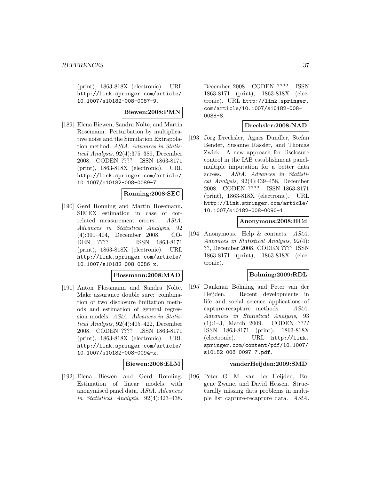(print), 1863-818X (electronic). URL http://link.springer.com/article/ 10.1007/s10182-008-0087-9.

# **Biewen:2008:PMN**

[189] Elena Biewen, Sandra Nolte, and Martin Rosemann. Perturbation by multiplicative noise and the Simulation Extrapolation method. AStA. Advances in Statistical Analysis, 92(4):375–389, December 2008. CODEN ???? ISSN 1863-8171 (print), 1863-818X (electronic). URL http://link.springer.com/article/ 10.1007/s10182-008-0089-7.

## **Ronning:2008:SEC**

[190] Gerd Ronning and Martin Rosemann. SIMEX estimation in case of correlated measurement errors. AStA. Advances in Statistical Analysis, 92 (4):391–404, December 2008. CO-DEN ???? ISSN 1863-8171 (print), 1863-818X (electronic). URL http://link.springer.com/article/ 10.1007/s10182-008-0086-x.

## **Flossmann:2008:MAD**

[191] Anton Flossmann and Sandra Nolte. Make assurance double sure: combination of two disclosure limitation methods and estimation of general regression models. AStA. Advances in Statistical Analysis, 92(4):405–422, December 2008. CODEN ???? ISSN 1863-8171 (print), 1863-818X (electronic). URL http://link.springer.com/article/ 10.1007/s10182-008-0094-x.

#### **Biewen:2008:ELM**

[192] Elena Biewen and Gerd Ronning. Estimation of linear models with anonymised panel data. AStA. Advances in Statistical Analysis, 92(4):423–438,

December 2008. CODEN ???? ISSN 1863-8171 (print), 1863-818X (electronic). URL http://link.springer. com/article/10.1007/s10182-008- 0088-8.

## **Drechsler:2008:NAD**

[193] Jörg Drechsler, Agnes Dundler, Stefan Bender, Susanne Rässler, and Thomas Zwick. A new approach for disclosure control in the IAB establishment panelmultiple imputation for a better data access. AStA. Advances in Statistical Analysis, 92(4):439–458, December 2008. CODEN ???? ISSN 1863-8171 (print), 1863-818X (electronic). URL http://link.springer.com/article/ 10.1007/s10182-008-0090-1.

## **Anonymous:2008:HCd**

[194] Anonymous. Help & contacts. AStA. Advances in Statistical Analysis, 92(4): ??, December 2008. CODEN ???? ISSN 1863-8171 (print), 1863-818X (electronic).

## **Bohning:2009:RDL**

[195] Dankmar Böhning and Peter van der Heijden. Recent developments in life and social science applications of capture-recapture methods. AStA. Advances in Statistical Analysis, 93 (1):1–3, March 2009. CODEN ???? ISSN 1863-8171 (print), 1863-818X (electronic). URL http://link. springer.com/content/pdf/10.1007/ s10182-008-0097-7.pdf.

#### **vanderHeijden:2009:SMD**

[196] Peter G. M. van der Heijden, Eugene Zwane, and David Hessen. Structurally missing data problems in multiple list capture-recapture data. AStA.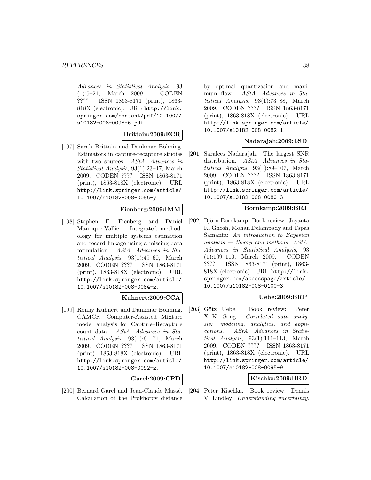Advances in Statistical Analysis, 93 (1):5–21, March 2009. CODEN ???? ISSN 1863-8171 (print), 1863- 818X (electronic). URL http://link. springer.com/content/pdf/10.1007/ s10182-008-0098-6.pdf.

## **Brittain:2009:ECR**

[197] Sarah Brittain and Dankmar Böhning. Estimators in capture-recapture studies with two sources. AStA. Advances in Statistical Analysis, 93(1):23–47, March 2009. CODEN ???? ISSN 1863-8171 (print), 1863-818X (electronic). URL http://link.springer.com/article/ 10.1007/s10182-008-0085-y.

## **Fienberg:2009:IMM**

[198] Stephen E. Fienberg and Daniel Manrique-Vallier. Integrated methodology for multiple systems estimation and record linkage using a missing data formulation. AStA. Advances in Statistical Analysis, 93(1):49–60, March 2009. CODEN ???? ISSN 1863-8171 (print), 1863-818X (electronic). URL http://link.springer.com/article/ 10.1007/s10182-008-0084-z.

## **Kuhnert:2009:CCA**

[199] Ronny Kuhnert and Dankmar Böhning. CAMCR: Computer-Assisted Mixture model analysis for Capture–Recapture count data. AStA. Advances in Statistical Analysis, 93(1):61–71, March 2009. CODEN ???? ISSN 1863-8171 (print), 1863-818X (electronic). URL http://link.springer.com/article/ 10.1007/s10182-008-0092-z.

## **Garel:2009:CPD**

[200] Bernard Garel and Jean-Claude Massé. Calculation of the Prokhorov distance by optimal quantization and maximum flow. AStA. Advances in Statistical Analysis, 93(1):73–88, March 2009. CODEN ???? ISSN 1863-8171 (print), 1863-818X (electronic). URL http://link.springer.com/article/ 10.1007/s10182-008-0082-1.

#### **Nadarajah:2009:LSD**

[201] Saralees Nadarajah. The largest SNR distribution. AStA. Advances in Statistical Analysis, 93(1):89–107, March 2009. CODEN ???? ISSN 1863-8171 (print), 1863-818X (electronic). URL http://link.springer.com/article/ 10.1007/s10182-008-0080-3.

#### **Bornkamp:2009:BRJ**

[202] Björn Bornkamp. Book review: Jayanta K. Ghosh, Mohan Delampady and Tapas Samanta: An introduction to Bayesian  $analysis - theory and methods. AStA.$ Advances in Statistical Analysis, 93 (1):109–110, March 2009. CODEN ???? ISSN 1863-8171 (print), 1863- 818X (electronic). URL http://link. springer.com/accesspage/article/ 10.1007/s10182-008-0100-3.

## **Uebe:2009:BRP**

[203] Götz Uebe. Book review: Peter X.-K. Song: Correlated data analysis: modeling, analytics, and applications. AStA. Advances in Statistical Analysis, 93(1):111–113, March 2009. CODEN ???? ISSN 1863-8171 (print), 1863-818X (electronic). URL http://link.springer.com/article/ 10.1007/s10182-008-0095-9.

## **Kischka:2009:BRD**

[204] Peter Kischka. Book review: Dennis V. Lindley: Understanding uncertainty.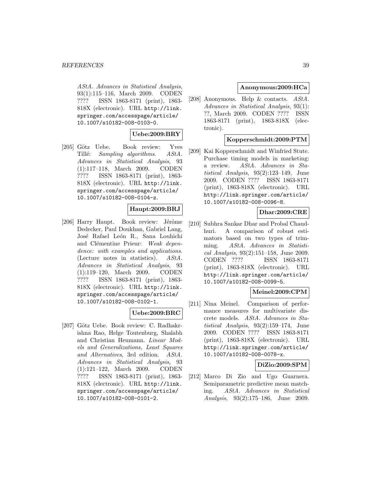AStA. Advances in Statistical Analysis, 93(1):115–116, March 2009. CODEN ???? ISSN 1863-8171 (print), 1863- 818X (electronic). URL http://link. springer.com/accesspage/article/ 10.1007/s10182-008-0103-0.

## **Uebe:2009:BRY**

[205] Götz Uebe. Book review: Yves Tillé: Sampling algorithms. AStA. Advances in Statistical Analysis, 93 (1):117–118, March 2009. CODEN ???? ISSN 1863-8171 (print), 1863- 818X (electronic). URL http://link. springer.com/accesspage/article/ 10.1007/s10182-008-0104-z.

# **Haupt:2009:BRJ**

 $[206]$  Harry Haupt. Book review: Jérôme Dedecker, Paul Doukhan, Gabriel Lang, José Rafael León R., Sana Louhichi and Clémentine Prieur: Weak dependence: with examples and applications. (Lecture notes in statistics). AStA. Advances in Statistical Analysis, 93 (1):119–120, March 2009. CODEN ???? ISSN 1863-8171 (print), 1863- 818X (electronic). URL http://link. springer.com/accesspage/article/ 10.1007/s10182-008-0102-1.

#### **Uebe:2009:BRC**

[207] Götz Uebe. Book review: C. Radhakrishna Rao, Helge Toutenburg, Shalabh and Christian Heumann. Linear Models and Generalizations, Least Squares and Alternatives, 3rd edition. AStA. Advances in Statistical Analysis, 93 (1):121–122, March 2009. CODEN ???? ISSN 1863-8171 (print), 1863- 818X (electronic). URL http://link. springer.com/accesspage/article/ 10.1007/s10182-008-0101-2.

## **Anonymous:2009:HCa**

[208] Anonymous. Help & contacts. AStA. Advances in Statistical Analysis, 93(1): ??, March 2009. CODEN ???? ISSN 1863-8171 (print), 1863-818X (electronic).

## **Kopperschmidt:2009:PTM**

[209] Kai Kopperschmidt and Winfried Stute. Purchase timing models in marketing: a review. AStA. Advances in Statistical Analysis, 93(2):123–149, June 2009. CODEN ???? ISSN 1863-8171 (print), 1863-818X (electronic). URL http://link.springer.com/article/ 10.1007/s10182-008-0096-8.

# **Dhar:2009:CRE**

[210] Subhra Sankar Dhar and Probal Chaudhuri. A comparison of robust estimators based on two types of trimming. AStA. Advances in Statistical Analysis, 93(2):151–158, June 2009. CODEN ???? ISSN 1863-8171 (print), 1863-818X (electronic). URL http://link.springer.com/article/ 10.1007/s10182-008-0099-5.

## **Meinel:2009:CPM**

[211] Nina Meinel. Comparison of performance measures for multivariate discrete models. AStA. Advances in Statistical Analysis, 93(2):159–174, June 2009. CODEN ???? ISSN 1863-8171 (print), 1863-818X (electronic). URL http://link.springer.com/article/ 10.1007/s10182-008-0078-x.

## **DiZio:2009:SPM**

[212] Marco Di Zio and Ugo Guarnera. Semiparametric predictive mean matching. AStA. Advances in Statistical Analysis, 93(2):175–186, June 2009.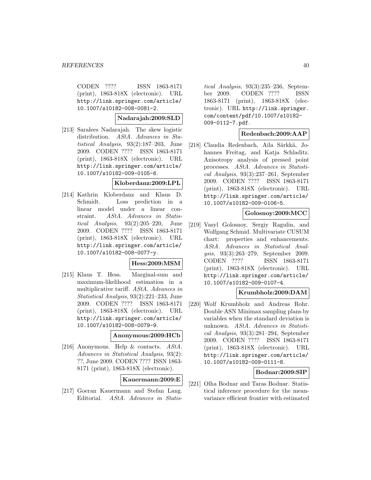CODEN ???? ISSN 1863-8171 (print), 1863-818X (electronic). URL http://link.springer.com/article/ 10.1007/s10182-008-0081-2.

#### **Nadarajah:2009:SLD**

[213] Saralees Nadarajah. The skew logistic distribution. AStA. Advances in Statistical Analysis, 93(2):187–203, June 2009. CODEN ???? ISSN 1863-8171 (print), 1863-818X (electronic). URL http://link.springer.com/article/ 10.1007/s10182-009-0105-6.

#### **Kloberdanz:2009:LPL**

[214] Kathrin Kloberdanz and Klaus D. Schmidt. Loss prediction in a linear model under a linear constraint. AStA. Advances in Statistical Analysis, 93(2):205–220, June 2009. CODEN ???? ISSN 1863-8171 (print), 1863-818X (electronic). URL http://link.springer.com/article/ 10.1007/s10182-008-0077-y.

#### **Hess:2009:MSM**

[215] Klaus T. Hess. Marginal-sum and maximum-likelihood estimation in a multiplicative tariff. AStA. Advances in Statistical Analysis, 93(2):221–233, June 2009. CODEN ???? ISSN 1863-8171 (print), 1863-818X (electronic). URL http://link.springer.com/article/ 10.1007/s10182-008-0079-9.

#### **Anonymous:2009:HCb**

[216] Anonymous. Help & contacts. AStA. Advances in Statistical Analysis, 93(2): ??, June 2009. CODEN ???? ISSN 1863- 8171 (print), 1863-818X (electronic).

# **Kauermann:2009:E**

[217] Goeran Kauermann and Stefan Lang. Editorial. AStA. Advances in Statistical Analysis, 93(3):235–236, September 2009. CODEN ???? ISSN 1863-8171 (print), 1863-818X (electronic). URL http://link.springer. com/content/pdf/10.1007/s10182- 009-0112-7.pdf.

#### **Redenbach:2009:AAP**

[218] Claudia Redenbach, Aila Särkkä, Johannes Freitag, and Katja Schladitz. Anisotropy analysis of pressed point processes. AStA. Advances in Statistical Analysis, 93(3):237–261, September 2009. CODEN ???? ISSN 1863-8171 (print), 1863-818X (electronic). URL http://link.springer.com/article/ 10.1007/s10182-009-0106-5.

## **Golosnoy:2009:MCC**

[219] Vasyl Golosnoy, Sergiy Ragulin, and Wolfgang Schmid. Multivariate CUSUM chart: properties and enhancements. AStA. Advances in Statistical Analysis, 93(3):263–279, September 2009. CODEN ???? ISSN 1863-8171 (print), 1863-818X (electronic). URL http://link.springer.com/article/ 10.1007/s10182-009-0107-4.

#### **Krumbholz:2009:DAM**

[220] Wolf Krumbholz and Andreas Rohr. Double ASN Minimax sampling plans by variables when the standard deviation is unknown. AStA. Advances in Statistical Analysis, 93(3):281–294, September 2009. CODEN ???? ISSN 1863-8171 (print), 1863-818X (electronic). URL http://link.springer.com/article/ 10.1007/s10182-009-0111-8.

## **Bodnar:2009:SIP**

[221] Olha Bodnar and Taras Bodnar. Statistical inference procedure for the meanvariance efficient frontier with estimated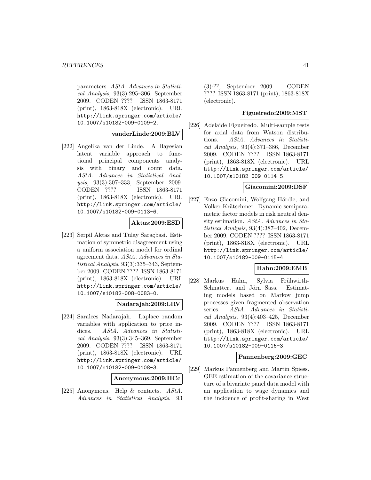parameters. AStA. Advances in Statistical Analysis, 93(3):295–306, September 2009. CODEN ???? ISSN 1863-8171 (print), 1863-818X (electronic). URL http://link.springer.com/article/ 10.1007/s10182-009-0109-2.

#### **vanderLinde:2009:BLV**

[222] Angelika van der Linde. A Bayesian latent variable approach to functional principal components analysis with binary and count data. AStA. Advances in Statistical Analysis, 93(3):307–333, September 2009. CODEN ???? ISSN 1863-8171 (print), 1863-818X (electronic). URL http://link.springer.com/article/ 10.1007/s10182-009-0113-6.

#### **Aktas:2009:ESD**

[223] Serpil Aktas and Tülay Saraçbasi. Estimation of symmetric disagreement using a uniform association model for ordinal agreement data. AStA. Advances in Statistical Analysis, 93(3):335–343, September 2009. CODEN ???? ISSN 1863-8171 (print), 1863-818X (electronic). URL http://link.springer.com/article/ 10.1007/s10182-008-0083-0.

## **Nadarajah:2009:LRV**

[224] Saralees Nadarajah. Laplace random variables with application to price indices. AStA. Advances in Statistical Analysis, 93(3):345–369, September 2009. CODEN ???? ISSN 1863-8171 (print), 1863-818X (electronic). URL http://link.springer.com/article/ 10.1007/s10182-009-0108-3.

## **Anonymous:2009:HCc**

[225] Anonymous. Help & contacts. AStA. Advances in Statistical Analysis, 93 (3):??, September 2009. CODEN ???? ISSN 1863-8171 (print), 1863-818X (electronic).

## **Figueiredo:2009:MST**

[226] Adelaide Figueiredo. Multi-sample tests for axial data from Watson distributions. AStA. Advances in Statistical Analysis, 93(4):371–386, December 2009. CODEN ???? ISSN 1863-8171 (print), 1863-818X (electronic). URL http://link.springer.com/article/ 10.1007/s10182-009-0114-5.

#### **Giacomini:2009:DSF**

[227] Enzo Giacomini, Wolfgang Härdle, and Volker Krätschmer. Dynamic semiparametric factor models in risk neutral density estimation. AStA. Advances in Statistical Analysis, 93(4):387–402, December 2009. CODEN ???? ISSN 1863-8171 (print), 1863-818X (electronic). URL http://link.springer.com/article/ 10.1007/s10182-009-0115-4.

#### **Hahn:2009:EMB**

[228] Markus Hahn, Sylvia Frühwirth-Schnatter, and Jörn Sass. Estimating models based on Markov jump processes given fragmented observation series. AStA. Advances in Statistical Analysis, 93(4):403–425, December 2009. CODEN ???? ISSN 1863-8171 (print), 1863-818X (electronic). URL http://link.springer.com/article/ 10.1007/s10182-009-0116-3.

## **Pannenberg:2009:GEC**

[229] Markus Pannenberg and Martin Spiess. GEE estimation of the covariance structure of a bivariate panel data model with an application to wage dynamics and the incidence of profit-sharing in West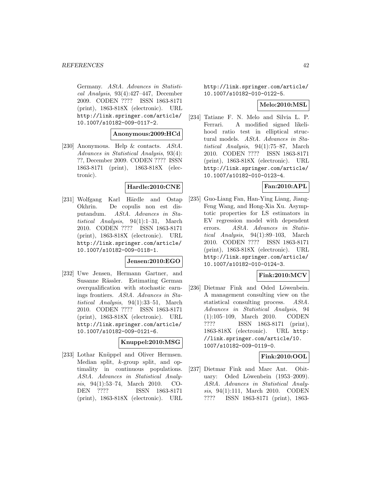Germany. AStA. Advances in Statistical Analysis, 93(4):427–447, December 2009. CODEN ???? ISSN 1863-8171 (print), 1863-818X (electronic). URL http://link.springer.com/article/ 10.1007/s10182-009-0117-2.

#### **Anonymous:2009:HCd**

[230] Anonymous. Help & contacts. AStA. Advances in Statistical Analysis, 93(4): ??, December 2009. CODEN ???? ISSN 1863-8171 (print), 1863-818X (electronic).

# **Hardle:2010:CNE**

[231] Wolfgang Karl Härdle and Ostap Okhrin. De copulis non est disputandum. AStA. Advances in Statistical Analysis, 94(1):1–31, March 2010. CODEN ???? ISSN 1863-8171 (print), 1863-818X (electronic). URL http://link.springer.com/article/ 10.1007/s10182-009-0118-1.

#### **Jensen:2010:EGO**

[232] Uwe Jensen, Hermann Gartner, and Susanne Rässler. Estimating German overqualification with stochastic earnings frontiers. AStA. Advances in Statistical Analysis, 94(1):33–51, March 2010. CODEN ???? ISSN 1863-8171 (print), 1863-818X (electronic). URL http://link.springer.com/article/ 10.1007/s10182-009-0121-6.

#### **Knuppel:2010:MSG**

[233] Lothar Knüppel and Oliver Hermsen. Median split, k-group split, and optimality in continuous populations. AStA. Advances in Statistical Analysis, 94(1):53–74, March 2010. CO-DEN ???? ISSN 1863-8171 (print), 1863-818X (electronic). URL

http://link.springer.com/article/ 10.1007/s10182-010-0122-5.

## **Melo:2010:MSL**

[234] Tatiane F. N. Melo and Silvia L. P. Ferrari. A modified signed likelihood ratio test in elliptical structural models. AStA. Advances in Statistical Analysis, 94(1):75–87, March 2010. CODEN ???? ISSN 1863-8171 (print), 1863-818X (electronic). URL http://link.springer.com/article/ 10.1007/s10182-010-0123-4.

# **Fan:2010:APL**

[235] Guo-Liang Fan, Han-Ying Liang, Jiang-Feng Wang, and Hong-Xia Xu. Asymptotic properties for LS estimators in EV regression model with dependent errors. AStA. Advances in Statistical Analysis, 94(1):89–103, March 2010. CODEN ???? ISSN 1863-8171 (print), 1863-818X (electronic). URL http://link.springer.com/article/ 10.1007/s10182-010-0124-3.

# **Fink:2010:MCV**

[236] Dietmar Fink and Oded Löwenbein. A management consulting view on the statistical consulting process. AStA. Advances in Statistical Analysis, 94 (1):105–109, March 2010. CODEN ???? ISSN 1863-8171 (print), 1863-818X (electronic). URL http: //link.springer.com/article/10. 1007/s10182-009-0119-0.

# **Fink:2010:OOL**

[237] Dietmar Fink and Marc Ant. Obituary: Oded Löwenbein (1953–2009). AStA. Advances in Statistical Analysis, 94(1):111, March 2010. CODEN ???? ISSN 1863-8171 (print), 1863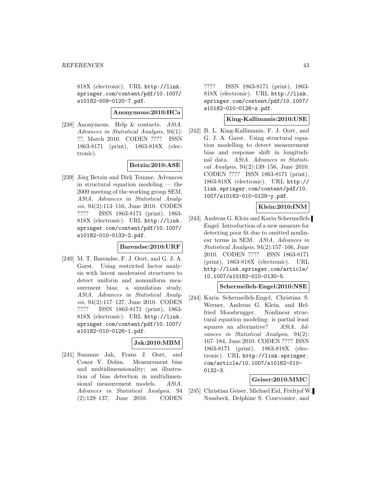818X (electronic). URL http://link. springer.com/content/pdf/10.1007/ s10182-009-0120-7.pdf.

#### **Anonymous:2010:HCa**

[238] Anonymous. Help & contacts. AStA. Advances in Statistical Analysis, 94(1): ??, March 2010. CODEN ???? ISSN 1863-8171 (print), 1863-818X (electronic).

# **Betzin:2010:ASE**

[239] Jörg Betzin and Dirk Temme. Advances in structural equation modeling — the 2009 meeting of the working group SEM. AStA. Advances in Statistical Analysis, 94(2):113–116, June 2010. CODEN ???? ISSN 1863-8171 (print), 1863- 818X (electronic). URL http://link. springer.com/content/pdf/10.1007/ s10182-010-0133-2.pdf.

# **Barendse:2010:URF**

[240] M. T. Barendse, F. J. Oort, and G. J. A. Garst. Using restricted factor analysis with latent moderated structures to detect uniform and nonuniform measurement bias; a simulation study. AStA. Advances in Statistical Analysis, 94(2):117–127, June 2010. CODEN ???? ISSN 1863-8171 (print), 1863- 818X (electronic). URL http://link. springer.com/content/pdf/10.1007/ s10182-010-0126-1.pdf.

## **Jak:2010:MBM**

[241] Suzanne Jak, Frans J. Oort, and Conor V. Dolan. Measurement bias and multidimensionality; an illustration of bias detection in multidimensional measurement models. AStA. Advances in Statistical Analysis, 94 (2):129–137, June 2010. CODEN

???? ISSN 1863-8171 (print), 1863- 818X (electronic). URL http://link. springer.com/content/pdf/10.1007/ s10182-010-0128-z.pdf.

## **King-Kallimanis:2010:USE**

[242] B. L. King-Kallimanis, F. J. Oort, and G. J. A. Garst. Using structural equation modelling to detect measurement bias and response shift in longitudinal data. AStA. Advances in Statistical Analysis, 94(2):139–156, June 2010. CODEN ???? ISSN 1863-8171 (print), 1863-818X (electronic). URL http:// link.springer.com/content/pdf/10. 1007/s10182-010-0129-y.pdf.

# **Klein:2010:INM**

[243] Andreas G. Klein and Karin Schermelleh-Engel. Introduction of a new measure for detecting poor fit due to omitted nonlinear terms in SEM. AStA. Advances in Statistical Analysis, 94(2):157–166, June 2010. CODEN ???? ISSN 1863-8171 (print), 1863-818X (electronic). URL http://link.springer.com/article/ 10.1007/s10182-010-0130-5.

#### **Schermelleh-Engel:2010:NSE**

[244] Karin Schermelleh-Engel, Christina S. Werner, Andreas G. Klein, and Helfried Moosbrugger. Nonlinear structural equation modeling: is partial least squares an alternative? AStA. Advances in Statistical Analysis, 94(2): 167–184, June 2010. CODEN ???? ISSN 1863-8171 (print), 1863-818X (electronic). URL http://link.springer. com/article/10.1007/s10182-010- 0132-3.

# **Geiser:2010:MMC**

[245] Christian Geiser, Michael Eid, Fridtjof W. Nussbeck, Delphine S. Courvoisier, and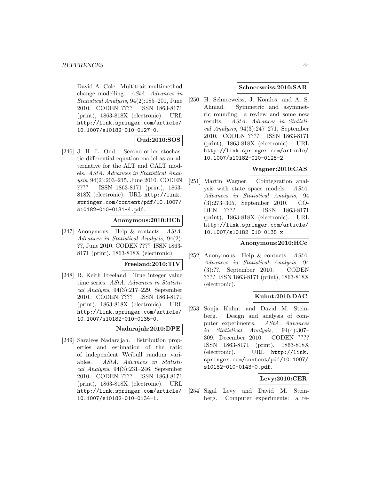David A. Cole. Multitrait-multimethod change modelling. AStA. Advances in Statistical Analysis, 94(2):185–201, June 2010. CODEN ???? ISSN 1863-8171 (print), 1863-818X (electronic). URL http://link.springer.com/article/ 10.1007/s10182-010-0127-0.

## **Oud:2010:SOS**

[246] J. H. L. Oud. Second-order stochastic differential equation model as an alternative for the ALT and CALT models. AStA. Advances in Statistical Analysis, 94(2):203–215, June 2010. CODEN ???? ISSN 1863-8171 (print), 1863- 818X (electronic). URL http://link. springer.com/content/pdf/10.1007/ s10182-010-0131-4.pdf.

## **Anonymous:2010:HCb**

[247] Anonymous. Help & contacts. AStA. Advances in Statistical Analysis, 94(2): ??, June 2010. CODEN ???? ISSN 1863- 8171 (print), 1863-818X (electronic).

#### **Freeland:2010:TIV**

[248] R. Keith Freeland. True integer value time series. AStA. Advances in Statistical Analysis, 94(3):217–229, September 2010. CODEN ???? ISSN 1863-8171 (print), 1863-818X (electronic). URL http://link.springer.com/article/ 10.1007/s10182-010-0135-0.

## **Nadarajah:2010:DPE**

[249] Saralees Nadarajah. Distribution properties and estimation of the ratio of independent Weibull random variables. AStA. Advances in Statistical Analysis, 94(3):231–246, September 2010. CODEN ???? ISSN 1863-8171 (print), 1863-818X (electronic). URL http://link.springer.com/article/ 10.1007/s10182-010-0134-1.

## **Schneeweiss:2010:SAR**

[250] H. Schneeweiss, J. Komlos, and A. S. Ahmad. Symmetric and asymmetric rounding: a review and some new results. AStA. Advances in Statistical Analysis, 94(3):247–271, September 2010. CODEN ???? ISSN 1863-8171 (print), 1863-818X (electronic). URL http://link.springer.com/article/ 10.1007/s10182-010-0125-2.

# **Wagner:2010:CAS**

[251] Martin Wagner. Cointegration analysis with state space models. AStA. Advances in Statistical Analysis, 94 (3):273–305, September 2010. CO-DEN ???? ISSN 1863-8171 (print), 1863-818X (electronic). URL http://link.springer.com/article/ 10.1007/s10182-010-0138-x.

## **Anonymous:2010:HCc**

[252] Anonymous. Help & contacts. AStA. Advances in Statistical Analysis, 94 (3):??, September 2010. CODEN ???? ISSN 1863-8171 (print), 1863-818X (electronic).

# **Kuhnt:2010:DAC**

[253] Sonja Kuhnt and David M. Steinberg. Design and analysis of computer experiments. AStA. Advances in Statistical Analysis, 94(4):307– 309, December 2010. CODEN ???? ISSN 1863-8171 (print), 1863-818X (electronic). URL http://link. springer.com/content/pdf/10.1007/ s10182-010-0143-0.pdf.

# **Levy:2010:CER**

[254] Sigal Levy and David M. Steinberg. Computer experiments: a re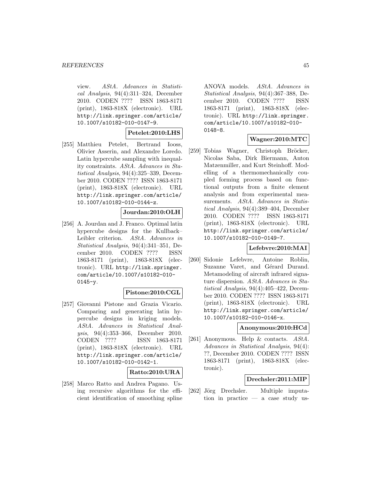view. AStA. Advances in Statistical Analysis, 94(4):311–324, December 2010. CODEN ???? ISSN 1863-8171 (print), 1863-818X (electronic). URL http://link.springer.com/article/ 10.1007/s10182-010-0147-9.

## **Petelet:2010:LHS**

[255] Matthieu Petelet, Bertrand Iooss, Olivier Asserin, and Alexandre Loredo. Latin hypercube sampling with inequality constraints. AStA. Advances in Statistical Analysis, 94(4):325–339, December 2010. CODEN ???? ISSN 1863-8171 (print), 1863-818X (electronic). URL http://link.springer.com/article/ 10.1007/s10182-010-0144-z.

## **Jourdan:2010:OLH**

[256] A. Jourdan and J. Franco. Optimal latin hypercube designs for the Kullback– Leibler criterion. AStA. Advances in Statistical Analysis, 94(4):341–351, December 2010. CODEN ???? ISSN 1863-8171 (print), 1863-818X (electronic). URL http://link.springer. com/article/10.1007/s10182-010- 0145-y.

#### **Pistone:2010:CGL**

[257] Giovanni Pistone and Grazia Vicario. Comparing and generating latin hypercube designs in kriging models. AStA. Advances in Statistical Analysis, 94(4):353–366, December 2010. CODEN ???? ISSN 1863-8171 (print), 1863-818X (electronic). URL http://link.springer.com/article/ 10.1007/s10182-010-0142-1.

## **Ratto:2010:URA**

[258] Marco Ratto and Andrea Pagano. Using recursive algorithms for the efficient identification of smoothing spline ANOVA models. AStA. Advances in Statistical Analysis, 94(4):367–388, December 2010. CODEN ???? ISSN 1863-8171 (print), 1863-818X (electronic). URL http://link.springer. com/article/10.1007/s10182-010- 0148-8.

## **Wagner:2010:MTC**

[259] Tobias Wagner, Christoph Bröcker, Nicolas Saba, Dirk Biermann, Anton Matzenmiller, and Kurt Steinhoff. Modelling of a thermomechanically coupled forming process based on functional outputs from a finite element analysis and from experimental measurements. AStA. Advances in Statistical Analysis, 94(4):389–404, December 2010. CODEN ???? ISSN 1863-8171 (print), 1863-818X (electronic). URL http://link.springer.com/article/ 10.1007/s10182-010-0149-7.

#### **Lefebvre:2010:MAI**

[260] Sidonie Lefebvre, Antoine Roblin, Suzanne Varet, and Gérard Durand. Metamodeling of aircraft infrared signature dispersion. AStA. Advances in Statistical Analysis, 94(4):405–422, December 2010. CODEN ???? ISSN 1863-8171 (print), 1863-818X (electronic). URL http://link.springer.com/article/ 10.1007/s10182-010-0146-x.

#### **Anonymous:2010:HCd**

[261] Anonymous. Help & contacts. AStA. Advances in Statistical Analysis, 94(4): ??, December 2010. CODEN ???? ISSN 1863-8171 (print), 1863-818X (electronic).

## **Drechsler:2011:MIP**

[262] Jörg Drechsler. Multiple imputation in practice — a case study us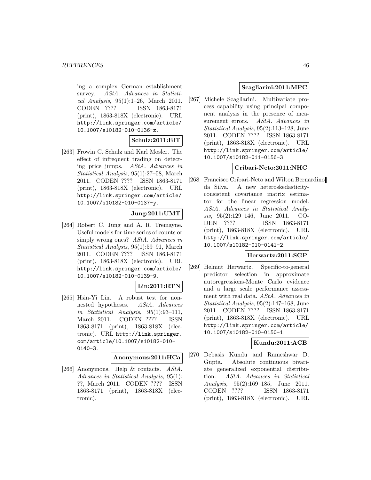ing a complex German establishment survey. AStA. Advances in Statistical Analysis, 95(1):1–26, March 2011. CODEN ???? ISSN 1863-8171 (print), 1863-818X (electronic). URL http://link.springer.com/article/ 10.1007/s10182-010-0136-z.

## **Schulz:2011:EIT**

[263] Frowin C. Schulz and Karl Mosler. The effect of infrequent trading on detecting price jumps. AStA. Advances in Statistical Analysis, 95(1):27–58, March 2011. CODEN ???? ISSN 1863-8171 (print), 1863-818X (electronic). URL http://link.springer.com/article/ 10.1007/s10182-010-0137-y.

# **Jung:2011:UMT**

[264] Robert C. Jung and A. R. Tremayne. Useful models for time series of counts or simply wrong ones? AStA. Advances in Statistical Analysis, 95(1):59–91, March 2011. CODEN ???? ISSN 1863-8171 (print), 1863-818X (electronic). URL http://link.springer.com/article/ 10.1007/s10182-010-0139-9.

# **Lin:2011:RTN**

[265] Hsin-Yi Lin. A robust test for nonnested hypotheses. AStA. Advances in Statistical Analysis, 95(1):93–111, March 2011. CODEN ???? ISSN 1863-8171 (print), 1863-818X (electronic). URL http://link.springer. com/article/10.1007/s10182-010- 0140-3.

#### **Anonymous:2011:HCa**

[266] Anonymous. Help & contacts. AStA. Advances in Statistical Analysis, 95(1): ??, March 2011. CODEN ???? ISSN 1863-8171 (print), 1863-818X (electronic).

# **Scagliarini:2011:MPC**

[267] Michele Scagliarini. Multivariate process capability using principal component analysis in the presence of measurement errors. AStA. Advances in Statistical Analysis, 95(2):113–128, June 2011. CODEN ???? ISSN 1863-8171 (print), 1863-818X (electronic). URL http://link.springer.com/article/ 10.1007/s10182-011-0156-3.

## **Cribari-Neto:2011:NHC**

[268] Francisco Cribari-Neto and Wilton Bernardino da Silva. A new heteroskedasticityconsistent covariance matrix estimator for the linear regression model. AStA. Advances in Statistical Analysis, 95(2):129–146, June 2011. CO-DEN ???? ISSN 1863-8171 (print), 1863-818X (electronic). URL http://link.springer.com/article/ 10.1007/s10182-010-0141-2.

## **Herwartz:2011:SGP**

[269] Helmut Herwartz. Specific-to-general predictor selection in approximate autoregressions-Monte Carlo evidence and a large scale performance assessment with real data. AStA. Advances in Statistical Analysis, 95(2):147–168, June 2011. CODEN ???? ISSN 1863-8171 (print), 1863-818X (electronic). URL http://link.springer.com/article/ 10.1007/s10182-010-0150-1.

# **Kundu:2011:ACB**

[270] Debasis Kundu and Rameshwar D. Gupta. Absolute continuous bivariate generalized exponential distribution. AStA. Advances in Statistical Analysis, 95(2):169–185, June 2011. CODEN ???? ISSN 1863-8171 (print), 1863-818X (electronic). URL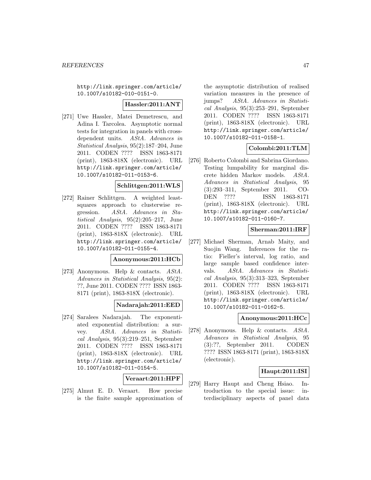http://link.springer.com/article/ 10.1007/s10182-010-0151-0.

#### **Hassler:2011:ANT**

[271] Uwe Hassler, Matei Demetrescu, and Adina I. Tarcolea. Asymptotic normal tests for integration in panels with crossdependent units. AStA. Advances in Statistical Analysis, 95(2):187–204, June 2011. CODEN ???? ISSN 1863-8171 (print), 1863-818X (electronic). URL http://link.springer.com/article/ 10.1007/s10182-011-0153-6.

#### **Schlittgen:2011:WLS**

[272] Rainer Schlittgen. A weighted leastsquares approach to clusterwise regression. AStA. Advances in Statistical Analysis, 95(2):205–217, June 2011. CODEN ???? ISSN 1863-8171 (print), 1863-818X (electronic). URL http://link.springer.com/article/ 10.1007/s10182-011-0155-4.

## **Anonymous:2011:HCb**

[273] Anonymous. Help & contacts. AStA. Advances in Statistical Analysis, 95(2): ??, June 2011. CODEN ???? ISSN 1863- 8171 (print), 1863-818X (electronic).

## **Nadarajah:2011:EED**

[274] Saralees Nadarajah. The exponentiated exponential distribution: a survey. AStA. Advances in Statistical Analysis, 95(3):219–251, September 2011. CODEN ???? ISSN 1863-8171 (print), 1863-818X (electronic). URL http://link.springer.com/article/ 10.1007/s10182-011-0154-5.

#### **Veraart:2011:HPF**

[275] Almut E. D. Veraart. How precise is the finite sample approximation of

the asymptotic distribution of realised variation measures in the presence of jumps? AStA. Advances in Statistical Analysis, 95(3):253–291, September 2011. CODEN ???? ISSN 1863-8171 (print), 1863-818X (electronic). URL http://link.springer.com/article/ 10.1007/s10182-011-0158-1.

## **Colombi:2011:TLM**

[276] Roberto Colombi and Sabrina Giordano. Testing lumpability for marginal discrete hidden Markov models. AStA. Advances in Statistical Analysis, 95 (3):293–311, September 2011. CO-DEN ???? ISSN 1863-8171 (print), 1863-818X (electronic). URL http://link.springer.com/article/ 10.1007/s10182-011-0160-7.

## **Sherman:2011:IRF**

[277] Michael Sherman, Arnab Maity, and Suojin Wang. Inferences for the ratio: Fieller's interval, log ratio, and large sample based confidence intervals. AStA. Advances in Statistical Analysis, 95(3):313–323, September 2011. CODEN ???? ISSN 1863-8171 (print), 1863-818X (electronic). URL http://link.springer.com/article/ 10.1007/s10182-011-0162-5.

## **Anonymous:2011:HCc**

[278] Anonymous. Help & contacts. AStA. Advances in Statistical Analysis, 95 (3):??, September 2011. CODEN ???? ISSN 1863-8171 (print), 1863-818X (electronic).

## **Haupt:2011:ISI**

[279] Harry Haupt and Cheng Hsiao. Introduction to the special issue: interdisciplinary aspects of panel data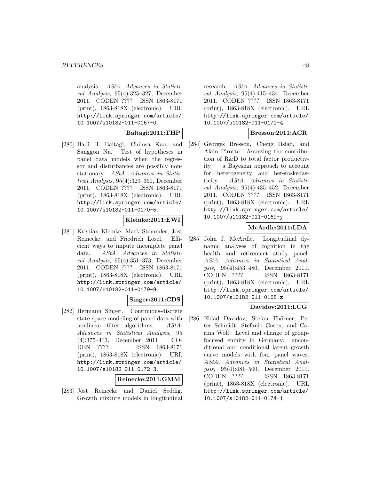analysis. AStA. Advances in Statistical Analysis, 95(4):325–327, December 2011. CODEN ???? ISSN 1863-8171 (print), 1863-818X (electronic). URL http://link.springer.com/article/ 10.1007/s10182-011-0167-0.

## **Baltagi:2011:THP**

[280] Badi H. Baltagi, Chihwa Kao, and Sanggon Na. Test of hypotheses in panel data models when the regressor and disturbances are possibly nonstationary. AStA. Advances in Statistical Analysis, 95(4):329–350, December 2011. CODEN ???? ISSN 1863-8171 (print), 1863-818X (electronic). URL http://link.springer.com/article/ 10.1007/s10182-011-0170-5.

## **Kleinke:2011:EWI**

[281] Kristian Kleinke, Mark Stemmler, Jost Reinecke, and Friedrich Lösel. Efficient ways to impute incomplete panel data. AStA. Advances in Statistical Analysis, 95(4):351–373, December 2011. CODEN ???? ISSN 1863-8171 (print), 1863-818X (electronic). URL http://link.springer.com/article/ 10.1007/s10182-011-0179-9.

## **Singer:2011:CDS**

[282] Hermann Singer. Continuous-discrete state-space modeling of panel data with nonlinear filter algorithms. AStA. Advances in Statistical Analysis, 95 (4):375–413, December 2011. CO-DEN ???? ISSN 1863-8171 (print), 1863-818X (electronic). URL http://link.springer.com/article/ 10.1007/s10182-011-0172-3.

## **Reinecke:2011:GMM**

[283] Jost Reinecke and Daniel Seddig. Growth mixture models in longitudinal research. AStA. Advances in Statistical Analysis, 95(4):415–434, December 2011. CODEN ???? ISSN 1863-8171 (print), 1863-818X (electronic). URL http://link.springer.com/article/ 10.1007/s10182-011-0171-4.

# **Bresson:2011:ACR**

[284] Georges Bresson, Cheng Hsiao, and Alain Pirotte. Assessing the contribution of R&D to total factor productivity — a Bayesian approach to account for heterogeneity and heteroskedasticity. AStA. Advances in Statistical Analysis, 95(4):435–452, December 2011. CODEN ???? ISSN 1863-8171 (print), 1863-818X (electronic). URL http://link.springer.com/article/ 10.1007/s10182-011-0169-y.

## **McArdle:2011:LDA**

[285] John J. McArdle. Longitudinal dynamic analyses of cognition in the health and retirement study panel. AStA. Advances in Statistical Analysis, 95(4):453–480, December 2011. CODEN ???? ISSN 1863-8171 (print), 1863-818X (electronic). URL http://link.springer.com/article/ 10.1007/s10182-011-0168-z.

# **Davidov:2011:LCG**

[286] Eldad Davidov, Stefan Thörner, Peter Schmidt, Stefanie Gosen, and Carina Wolf. Level and change of groupfocused enmity in Germany: unconditional and conditional latent growth curve models with four panel waves. AStA. Advances in Statistical Analysis, 95(4):481–500, December 2011. CODEN ???? ISSN 1863-8171 (print), 1863-818X (electronic). URL http://link.springer.com/article/ 10.1007/s10182-011-0174-1.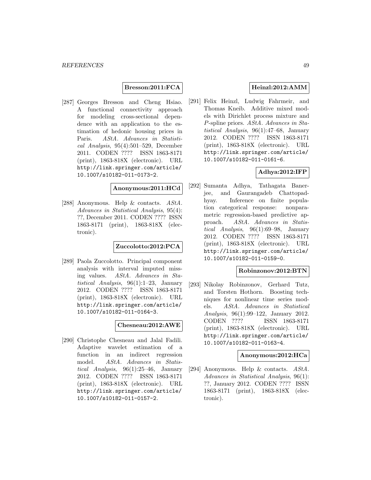## **Bresson:2011:FCA**

[287] Georges Bresson and Cheng Hsiao. A functional connectivity approach for modeling cross-sectional dependence with an application to the estimation of hedonic housing prices in Paris. AStA. Advances in Statisti $cal Analysis, 95(4):501-529, December$ 2011. CODEN ???? ISSN 1863-8171 (print), 1863-818X (electronic). URL http://link.springer.com/article/ 10.1007/s10182-011-0173-2.

# **Anonymous:2011:HCd**

[288] Anonymous. Help & contacts. AStA. Advances in Statistical Analysis, 95(4): ??, December 2011. CODEN ???? ISSN 1863-8171 (print), 1863-818X (electronic).

## **Zuccolotto:2012:PCA**

[289] Paola Zuccolotto. Principal component analysis with interval imputed missing values. AStA. Advances in Statistical Analysis, 96(1):1–23, January 2012. CODEN ???? ISSN 1863-8171 (print), 1863-818X (electronic). URL http://link.springer.com/article/ 10.1007/s10182-011-0164-3.

#### **Chesneau:2012:AWE**

[290] Christophe Chesneau and Jalal Fadili. Adaptive wavelet estimation of a function in an indirect regression model. AStA. Advances in Statistical Analysis, 96(1):25–46, January 2012. CODEN ???? ISSN 1863-8171 (print), 1863-818X (electronic). URL http://link.springer.com/article/ 10.1007/s10182-011-0157-2.

# **Heinzl:2012:AMM**

[291] Felix Heinzl, Ludwig Fahrmeir, and Thomas Kneib. Additive mixed models with Dirichlet process mixture and P-spline priors. AStA. Advances in Statistical Analysis, 96(1):47–68, January 2012. CODEN ???? ISSN 1863-8171 (print), 1863-818X (electronic). URL http://link.springer.com/article/ 10.1007/s10182-011-0161-6.

## **Adhya:2012:IFP**

[292] Sumanta Adhya, Tathagata Banerjee, and Gaurangadeb Chattopadhyay. Inference on finite population categorical response: nonparametric regression-based predictive approach. AStA. Advances in Statistical Analysis, 96(1):69–98, January 2012. CODEN ???? ISSN 1863-8171 (print), 1863-818X (electronic). URL http://link.springer.com/article/ 10.1007/s10182-011-0159-0.

# **Robinzonov:2012:BTN**

[293] Nikolay Robinzonov, Gerhard Tutz, and Torsten Hothorn. Boosting techniques for nonlinear time series models. AStA. Advances in Statistical Analysis, 96(1):99–122, January 2012. CODEN ???? ISSN 1863-8171 (print), 1863-818X (electronic). URL http://link.springer.com/article/ 10.1007/s10182-011-0163-4.

#### **Anonymous:2012:HCa**

[294] Anonymous. Help & contacts. AStA. Advances in Statistical Analysis, 96(1): ??, January 2012. CODEN ???? ISSN 1863-8171 (print), 1863-818X (electronic).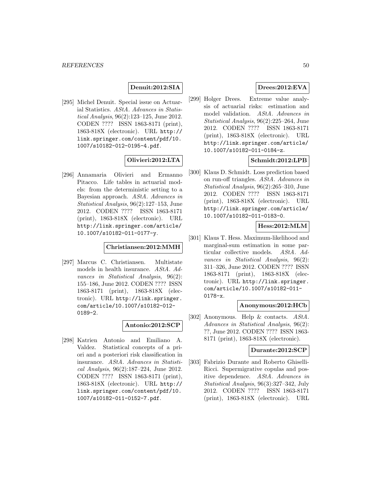## **Denuit:2012:SIA**

[295] Michel Denuit. Special issue on Actuarial Statistics. AStA. Advances in Statistical Analysis, 96(2):123–125, June 2012. CODEN ???? ISSN 1863-8171 (print), 1863-818X (electronic). URL http:// link.springer.com/content/pdf/10. 1007/s10182-012-0195-4.pdf.

# **Olivieri:2012:LTA**

[296] Annamaria Olivieri and Ermanno Pitacco. Life tables in actuarial models: from the deterministic setting to a Bayesian approach. AStA. Advances in Statistical Analysis, 96(2):127–153, June 2012. CODEN ???? ISSN 1863-8171 (print), 1863-818X (electronic). URL http://link.springer.com/article/ 10.1007/s10182-011-0177-y.

## **Christiansen:2012:MMH**

[297] Marcus C. Christiansen. Multistate models in health insurance. AStA. Advances in Statistical Analysis, 96(2): 155–186, June 2012. CODEN ???? ISSN 1863-8171 (print), 1863-818X (electronic). URL http://link.springer. com/article/10.1007/s10182-012- 0189-2.

## **Antonio:2012:SCP**

[298] Katrien Antonio and Emiliano A. Valdez. Statistical concepts of a priori and a posteriori risk classification in insurance. AStA. Advances in Statistical Analysis, 96(2):187–224, June 2012. CODEN ???? ISSN 1863-8171 (print), 1863-818X (electronic). URL http:// link.springer.com/content/pdf/10. 1007/s10182-011-0152-7.pdf.

# **Drees:2012:EVA**

[299] Holger Drees. Extreme value analysis of actuarial risks: estimation and model validation. AStA. Advances in Statistical Analysis, 96(2):225–264, June 2012. CODEN ???? ISSN 1863-8171 (print), 1863-818X (electronic). URL http://link.springer.com/article/ 10.1007/s10182-011-0184-z.

# **Schmidt:2012:LPB**

[300] Klaus D. Schmidt. Loss prediction based on run-off triangles. AStA. Advances in Statistical Analysis, 96(2):265–310, June 2012. CODEN ???? ISSN 1863-8171 (print), 1863-818X (electronic). URL http://link.springer.com/article/ 10.1007/s10182-011-0183-0.

## **Hess:2012:MLM**

[301] Klaus T. Hess. Maximum-likelihood and marginal-sum estimation in some particular collective models. AStA. Advances in Statistical Analysis, 96(2): 311–326, June 2012. CODEN ???? ISSN 1863-8171 (print), 1863-818X (electronic). URL http://link.springer. com/article/10.1007/s10182-011- 0178-x.

#### **Anonymous:2012:HCb**

[302] Anonymous. Help & contacts. AStA. Advances in Statistical Analysis, 96(2): ??, June 2012. CODEN ???? ISSN 1863- 8171 (print), 1863-818X (electronic).

## **Durante:2012:SCP**

[303] Fabrizio Durante and Roberto Ghiselli-Ricci. Supermigrative copulas and positive dependence. AStA. Advances in Statistical Analysis, 96(3):327–342, July 2012. CODEN ???? ISSN 1863-8171 (print), 1863-818X (electronic). URL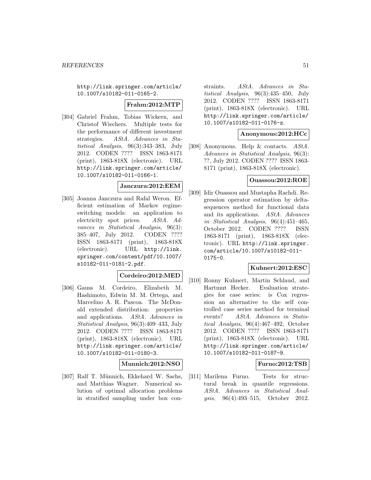http://link.springer.com/article/ 10.1007/s10182-011-0165-2.

#### **Frahm:2012:MTP**

[304] Gabriel Frahm, Tobias Wickern, and Christof Wiechers. Multiple tests for the performance of different investment strategies. AStA. Advances in Statistical Analysis, 96(3):343–383, July 2012. CODEN ???? ISSN 1863-8171 (print), 1863-818X (electronic). URL http://link.springer.com/article/ 10.1007/s10182-011-0166-1.

## **Janczura:2012:EEM**

[305] Joanna Janczura and Rafal Weron. Efficient estimation of Markov regimeswitching models: an application to electricity spot prices. AStA. Advances in Statistical Analysis, 96(3): 385–407, July 2012. CODEN ???? ISSN 1863-8171 (print), 1863-818X (electronic). URL http://link. springer.com/content/pdf/10.1007/ s10182-011-0181-2.pdf.

# **Cordeiro:2012:MED**

[306] Gauss M. Cordeiro, Elizabeth M. Hashimoto, Edwin M. M. Ortega, and Marcelino A. R. Pascoa. The McDonald extended distribution: properties and applications. AStA. Advances in Statistical Analysis, 96(3):409–433, July 2012. CODEN ???? ISSN 1863-8171 (print), 1863-818X (electronic). URL http://link.springer.com/article/ 10.1007/s10182-011-0180-3.

#### **Munnich:2012:NSO**

[307] Ralf T. Münnich, Ekkehard W. Sachs, and Matthias Wagner. Numerical solution of optimal allocation problems in stratified sampling under box constraints. AStA. Advances in Statistical Analysis, 96(3):435–450, July 2012. CODEN ???? ISSN 1863-8171 (print), 1863-818X (electronic). URL http://link.springer.com/article/ 10.1007/s10182-011-0176-z.

#### **Anonymous:2012:HCc**

[308] Anonymous. Help & contacts. AStA. Advances in Statistical Analysis, 96(3): ??, July 2012. CODEN ???? ISSN 1863- 8171 (print), 1863-818X (electronic).

# **Ouassou:2012:ROE**

[309] Idir Ouassou and Mustapha Rachdi. Regression operator estimation by deltasequences method for functional data and its applications. AStA. Advances in Statistical Analysis, 96(4):451–465, October 2012. CODEN ???? ISSN 1863-8171 (print), 1863-818X (electronic). URL http://link.springer. com/article/10.1007/s10182-011- 0175-0.

## **Kuhnert:2012:ESC**

[310] Ronny Kuhnert, Martin Schlaud, and Hartmut Hecker. Evaluation strategies for case series: is Cox regression an alternative to the self controlled case series method for terminal events? AStA. Advances in Statistical Analysis, 96(4):467–492, October 2012. CODEN ???? ISSN 1863-8171 (print), 1863-818X (electronic). URL http://link.springer.com/article/ 10.1007/s10182-011-0187-9.

## **Furno:2012:TSB**

[311] Marilena Furno. Tests for structural break in quantile regressions. AStA. Advances in Statistical Analysis, 96(4):493–515, October 2012.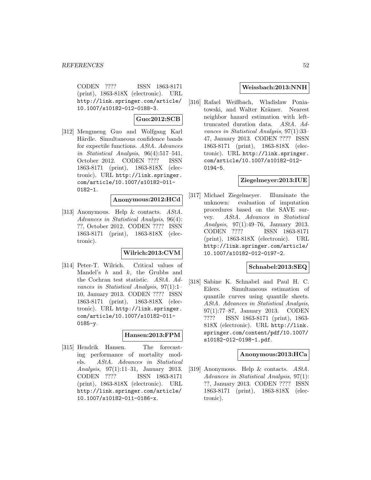CODEN ???? ISSN 1863-8171 (print), 1863-818X (electronic). URL http://link.springer.com/article/ 10.1007/s10182-012-0188-3.

**Guo:2012:SCB**

[312] Mengmeng Guo and Wolfgang Karl Härdle. Simultaneous confidence bands for expectile functions. AStA. Advances in Statistical Analysis, 96(4):517–541, October 2012. CODEN ???? ISSN 1863-8171 (print), 1863-818X (electronic). URL http://link.springer. com/article/10.1007/s10182-011- 0182-1.

**Anonymous:2012:HCd**

[313] Anonymous. Help & contacts.  $AStA$ . Advances in Statistical Analysis, 96(4): ??, October 2012. CODEN ???? ISSN 1863-8171 (print), 1863-818X (electronic).

## **Wilrich:2013:CVM**

[314] Peter-T. Wilrich. Critical values of Mandel's  $h$  and  $k$ , the Grubbs and the Cochran test statistic. AStA. Advances in Statistical Analysis, 97(1):1– 10, January 2013. CODEN ???? ISSN 1863-8171 (print), 1863-818X (electronic). URL http://link.springer. com/article/10.1007/s10182-011- 0185-y.

## **Hansen:2013:FPM**

[315] Hendrik Hansen. The forecasting performance of mortality models. AStA. Advances in Statistical Analysis, 97(1):11–31, January 2013. CODEN ???? ISSN 1863-8171 (print), 1863-818X (electronic). URL http://link.springer.com/article/ 10.1007/s10182-011-0186-x.

#### **Weissbach:2013:NNH**

[316] Rafael Weißbach, Wladislaw Poniatowski, and Walter Krämer. Nearest neighbor hazard estimation with lefttruncated duration data. AStA. Advances in Statistical Analysis, 97(1):33– 47, January 2013. CODEN ???? ISSN 1863-8171 (print), 1863-818X (electronic). URL http://link.springer. com/article/10.1007/s10182-012- 0194-5.

## **Ziegelmeyer:2013:IUE**

[317] Michael Ziegelmeyer. Illuminate the unknown: evaluation of imputation procedures based on the SAVE survey. AStA. Advances in Statistical Analysis, 97(1):49–76, January 2013. CODEN ???? ISSN 1863-8171 (print), 1863-818X (electronic). URL http://link.springer.com/article/ 10.1007/s10182-012-0197-2.

#### **Schnabel:2013:SEQ**

[318] Sabine K. Schnabel and Paul H. C. Eilers. Simultaneous estimation of quantile curves using quantile sheets. AStA. Advances in Statistical Analysis, 97(1):77–87, January 2013. CODEN ???? ISSN 1863-8171 (print), 1863- 818X (electronic). URL http://link. springer.com/content/pdf/10.1007/ s10182-012-0198-1.pdf.

#### **Anonymous:2013:HCa**

[319] Anonymous. Help & contacts. AStA. Advances in Statistical Analysis, 97(1): ??, January 2013. CODEN ???? ISSN 1863-8171 (print), 1863-818X (electronic).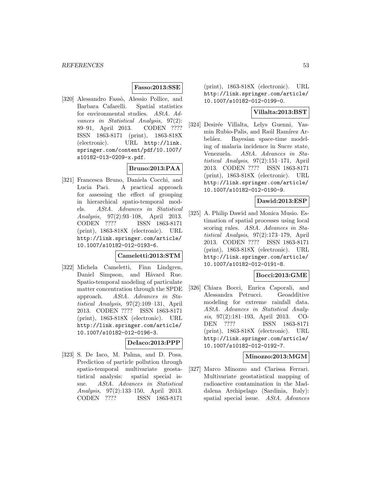## **Fasso:2013:SSE**

[320] Alessandro Fassò, Alessio Pollice, and Barbara Cafarelli. Spatial statistics for environmental studies. AStA. Advances in Statistical Analysis, 97(2): 89–91, April 2013. CODEN ???? ISSN 1863-8171 (print), 1863-818X (electronic). URL http://link. springer.com/content/pdf/10.1007/ s10182-013-0209-x.pdf.

## **Bruno:2013:PAA**

[321] Francesca Bruno, Daniela Cocchi, and Lucia Paci. A practical approach for assessing the effect of grouping in hierarchical spatio-temporal models. AStA. Advances in Statistical Analysis, 97(2):93–108, April 2013. CODEN ???? ISSN 1863-8171 (print), 1863-818X (electronic). URL http://link.springer.com/article/ 10.1007/s10182-012-0193-6.

#### **Cameletti:2013:STM**

[322] Michela Cameletti, Finn Lindgren, Daniel Simpson, and Håvard Rue. Spatio-temporal modeling of particulate matter concentration through the SPDE approach. AStA. Advances in Statistical Analysis, 97(2):109–131, April 2013. CODEN ???? ISSN 1863-8171 (print), 1863-818X (electronic). URL http://link.springer.com/article/ 10.1007/s10182-012-0196-3.

#### **DeIaco:2013:PPP**

[323] S. De Iaco, M. Palma, and D. Posa. Prediction of particle pollution through spatio-temporal multivariate geostatistical analysis: spatial special issue. AStA. Advances in Statistical Analysis, 97(2):133–150, April 2013. CODEN ???? ISSN 1863-8171

(print), 1863-818X (electronic). URL http://link.springer.com/article/ 10.1007/s10182-012-0199-0.

## **Villalta:2013:BST**

[324] Desirée Villalta, Lelys Guenni, Yasmin Rubio-Palis, and Raúl Ramírez Arbeláez. Bayesian space-time modeling of malaria incidence in Sucre state, Venezuela. AStA. Advances in Statistical Analysis, 97(2):151–171, April 2013. CODEN ???? ISSN 1863-8171 (print), 1863-818X (electronic). URL http://link.springer.com/article/ 10.1007/s10182-012-0190-9.

# **Dawid:2013:ESP**

[325] A. Philip Dawid and Monica Musio. Estimation of spatial processes using local scoring rules. AStA. Advances in Statistical Analysis, 97(2):173–179, April 2013. CODEN ???? ISSN 1863-8171 (print), 1863-818X (electronic). URL http://link.springer.com/article/ 10.1007/s10182-012-0191-8.

#### **Bocci:2013:GME**

[326] Chiara Bocci, Enrica Caporali, and Alessandra Petrucci. Geoadditive modeling for extreme rainfall data. AStA. Advances in Statistical Analysis, 97(2):181–193, April 2013. CO-DEN ???? ISSN 1863-8171 (print), 1863-818X (electronic). URL http://link.springer.com/article/ 10.1007/s10182-012-0192-7.

#### **Minozzo:2013:MGM**

[327] Marco Minozzo and Clarissa Ferrari. Multivariate geostatistical mapping of radioactive contamination in the Maddalena Archipelago (Sardinia, Italy): spatial special issue. AStA. Advances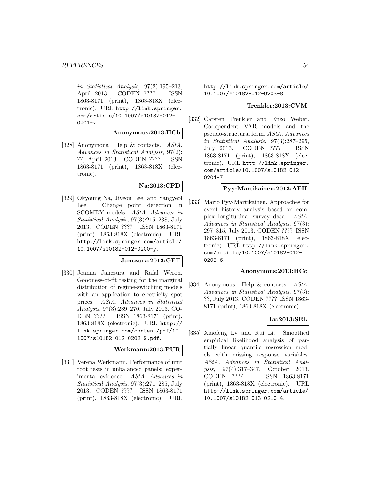in Statistical Analysis, 97(2):195–213, April 2013. CODEN ???? ISSN 1863-8171 (print), 1863-818X (electronic). URL http://link.springer. com/article/10.1007/s10182-012- 0201-x.

#### **Anonymous:2013:HCb**

[328] Anonymous. Help & contacts. AStA. Advances in Statistical Analysis, 97(2): ??, April 2013. CODEN ???? ISSN 1863-8171 (print), 1863-818X (electronic).

# **Na:2013:CPD**

[329] Okyoung Na, Jiyeon Lee, and Sangyeol Lee. Change point detection in SCOMDY models. AStA. Advances in Statistical Analysis, 97(3):215–238, July 2013. CODEN ???? ISSN 1863-8171 (print), 1863-818X (electronic). URL http://link.springer.com/article/ 10.1007/s10182-012-0200-y.

#### **Janczura:2013:GFT**

[330] Joanna Janczura and Rafal Weron. Goodness-of-fit testing for the marginal distribution of regime-switching models with an application to electricity spot prices. AStA. Advances in Statistical Analysis, 97(3):239–270, July 2013. CO-DEN ???? ISSN 1863-8171 (print), 1863-818X (electronic). URL http:// link.springer.com/content/pdf/10. 1007/s10182-012-0202-9.pdf.

# **Werkmann:2013:PUR**

[331] Verena Werkmann. Performance of unit root tests in unbalanced panels: experimental evidence. AStA. Advances in Statistical Analysis, 97(3):271–285, July 2013. CODEN ???? ISSN 1863-8171 (print), 1863-818X (electronic). URL

http://link.springer.com/article/ 10.1007/s10182-012-0203-8.

#### **Trenkler:2013:CVM**

[332] Carsten Trenkler and Enzo Weber. Codependent VAR models and the pseudo-structural form. AStA. Advances in Statistical Analysis, 97(3):287–295, July 2013. CODEN ???? ISSN 1863-8171 (print), 1863-818X (electronic). URL http://link.springer. com/article/10.1007/s10182-012- 0204-7.

#### **Pyy-Martikainen:2013:AEH**

[333] Marjo Pyy-Martikainen. Approaches for event history analysis based on complex longitudinal survey data. AStA. Advances in Statistical Analysis, 97(3): 297–315, July 2013. CODEN ???? ISSN 1863-8171 (print), 1863-818X (electronic). URL http://link.springer. com/article/10.1007/s10182-012- 0205-6.

## **Anonymous:2013:HCc**

[334] Anonymous. Help & contacts. AStA. Advances in Statistical Analysis, 97(3): ??, July 2013. CODEN ???? ISSN 1863- 8171 (print), 1863-818X (electronic).

# **Lv:2013:SEL**

[335] Xiaofeng Lv and Rui Li. Smoothed empirical likelihood analysis of partially linear quantile regression models with missing response variables. AStA. Advances in Statistical Analysis, 97(4):317–347, October 2013. CODEN ???? ISSN 1863-8171 (print), 1863-818X (electronic). URL http://link.springer.com/article/ 10.1007/s10182-013-0210-4.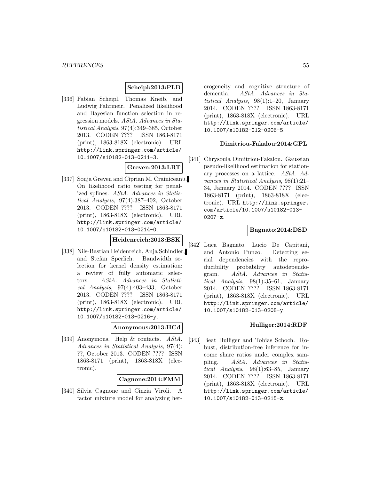## **Scheipl:2013:PLB**

[336] Fabian Scheipl, Thomas Kneib, and Ludwig Fahrmeir. Penalized likelihood and Bayesian function selection in regression models. AStA. Advances in Statistical Analysis, 97(4):349–385, October 2013. CODEN ???? ISSN 1863-8171 (print), 1863-818X (electronic). URL http://link.springer.com/article/ 10.1007/s10182-013-0211-3.

# **Greven:2013:LRT**

[337] Sonja Greven and Ciprian M. Crainiceanu. On likelihood ratio testing for penalized splines. AStA. Advances in Statistical Analysis, 97(4):387–402, October 2013. CODEN ???? ISSN 1863-8171 (print), 1863-818X (electronic). URL http://link.springer.com/article/ 10.1007/s10182-013-0214-0.

# **Heidenreich:2013:BSK**

[338] Nils-Bastian Heidenreich, Anja Schindler, and Stefan Sperlich. Bandwidth selection for kernel density estimation: a review of fully automatic selectors. AStA. Advances in Statistical Analysis, 97(4):403–433, October 2013. CODEN ???? ISSN 1863-8171 (print), 1863-818X (electronic). URL http://link.springer.com/article/ 10.1007/s10182-013-0216-y.

#### **Anonymous:2013:HCd**

[339] Anonymous. Help & contacts. AStA. Advances in Statistical Analysis, 97(4): ??, October 2013. CODEN ???? ISSN 1863-8171 (print), 1863-818X (electronic).

## **Cagnone:2014:FMM**

[340] Silvia Cagnone and Cinzia Viroli. A factor mixture model for analyzing het-

erogeneity and cognitive structure of dementia. AStA. Advances in Statistical Analysis, 98(1):1–20, January 2014. CODEN ???? ISSN 1863-8171 (print), 1863-818X (electronic). URL http://link.springer.com/article/ 10.1007/s10182-012-0206-5.

## **Dimitriou-Fakalou:2014:GPL**

[341] Chrysoula Dimitriou-Fakalou. Gaussian pseudo-likelihood estimation for stationary processes on a lattice. AStA. Advances in Statistical Analysis, 98(1):21– 34, January 2014. CODEN ???? ISSN 1863-8171 (print), 1863-818X (electronic). URL http://link.springer. com/article/10.1007/s10182-013- 0207-z.

## **Bagnato:2014:DSD**

[342] Luca Bagnato, Lucio De Capitani, and Antonio Punzo. Detecting serial dependencies with the reproducibility probability autodependogram. AStA. Advances in Statistical Analysis, 98(1):35–61, January 2014. CODEN ???? ISSN 1863-8171 (print), 1863-818X (electronic). URL http://link.springer.com/article/ 10.1007/s10182-013-0208-y.

## **Hulliger:2014:RDF**

[343] Beat Hulliger and Tobias Schoch. Robust, distribution-free inference for income share ratios under complex sampling. AStA. Advances in Statistical Analysis, 98(1):63–85, January 2014. CODEN ???? ISSN 1863-8171 (print), 1863-818X (electronic). URL http://link.springer.com/article/ 10.1007/s10182-013-0215-z.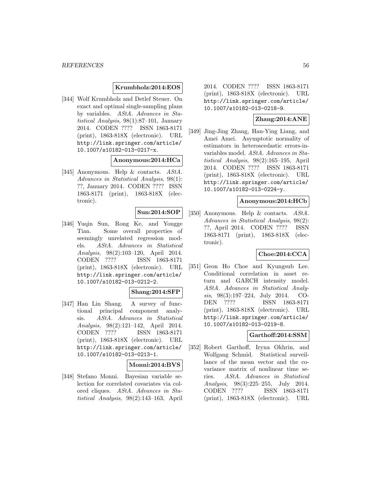## **Krumbholz:2014:EOS**

[344] Wolf Krumbholz and Detlef Steuer. On exact and optimal single-sampling plans by variables. AStA. Advances in Statistical Analysis, 98(1):87–101, January 2014. CODEN ???? ISSN 1863-8171 (print), 1863-818X (electronic). URL http://link.springer.com/article/ 10.1007/s10182-013-0217-x.

## **Anonymous:2014:HCa**

[345] Anonymous. Help & contacts. AStA. Advances in Statistical Analysis, 98(1): ??, January 2014. CODEN ???? ISSN 1863-8171 (print), 1863-818X (electronic).

# **Sun:2014:SOP**

[346] Yuqin Sun, Rong Ke, and Yongge Tian. Some overall properties of seemingly unrelated regression models. AStA. Advances in Statistical Analysis, 98(2):103–120, April 2014. CODEN ???? ISSN 1863-8171 (print), 1863-818X (electronic). URL http://link.springer.com/article/ 10.1007/s10182-013-0212-2.

## **Shang:2014:SFP**

[347] Han Lin Shang. A survey of functional principal component analysis. AStA. Advances in Statistical Analysis, 98(2):121–142, April 2014. CODEN ???? ISSN 1863-8171 (print), 1863-818X (electronic). URL http://link.springer.com/article/ 10.1007/s10182-013-0213-1.

## **Monni:2014:BVS**

[348] Stefano Monni. Bayesian variable selection for correlated covariates via colored cliques. AStA. Advances in Statistical Analysis, 98(2):143–163, April

2014. CODEN ???? ISSN 1863-8171 (print), 1863-818X (electronic). URL http://link.springer.com/article/ 10.1007/s10182-013-0218-9.

## **Zhang:2014:ANE**

[349] Jing-Jing Zhang, Han-Ying Liang, and Amei Amei. Asymptotic normality of estimators in heteroscedastic errors-invariables model. AStA. Advances in Statistical Analysis, 98(2):165–195, April 2014. CODEN ???? ISSN 1863-8171 (print), 1863-818X (electronic). URL http://link.springer.com/article/ 10.1007/s10182-013-0224-y.

#### **Anonymous:2014:HCb**

[350] Anonymous. Help & contacts. AStA. Advances in Statistical Analysis, 98(2): ??, April 2014. CODEN ???? ISSN 1863-8171 (print), 1863-818X (electronic).

## **Choe:2014:CCA**

[351] Geon Ho Choe and Kyungsub Lee. Conditional correlation in asset return and GARCH intensity model. AStA. Advances in Statistical Analysis, 98(3):197–224, July 2014. CO-DEN ???? ISSN 1863-8171 (print), 1863-818X (electronic). URL http://link.springer.com/article/ 10.1007/s10182-013-0219-8.

## **Garthoff:2014:SSM**

[352] Robert Garthoff, Iryna Okhrin, and Wolfgang Schmid. Statistical surveillance of the mean vector and the covariance matrix of nonlinear time series. AStA. Advances in Statistical Analysis, 98(3):225–255, July 2014. CODEN ???? ISSN 1863-8171 (print), 1863-818X (electronic). URL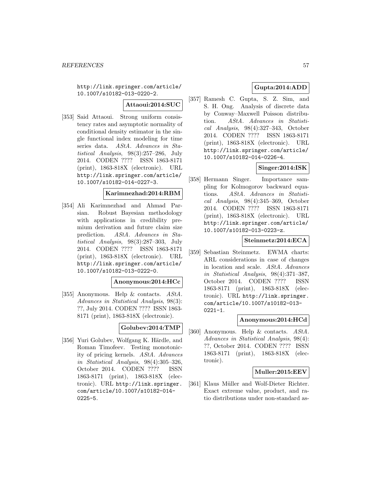http://link.springer.com/article/ 10.1007/s10182-013-0220-2.

**Attaoui:2014:SUC**

[353] Said Attaoui. Strong uniform consistency rates and asymptotic normality of conditional density estimator in the single functional index modeling for time series data. AStA. Advances in Statistical Analysis, 98(3):257–286, July 2014. CODEN ???? ISSN 1863-8171 (print), 1863-818X (electronic). URL http://link.springer.com/article/ 10.1007/s10182-014-0227-3.

#### **Karimnezhad:2014:RBM**

[354] Ali Karimnezhad and Ahmad Parsian. Robust Bayesian methodology with applications in credibility premium derivation and future claim size prediction. AStA. Advances in Statistical Analysis, 98(3):287–303, July 2014. CODEN ???? ISSN 1863-8171 (print), 1863-818X (electronic). URL http://link.springer.com/article/ 10.1007/s10182-013-0222-0.

## **Anonymous:2014:HCc**

[355] Anonymous. Help & contacts. AStA. Advances in Statistical Analysis, 98(3): ??, July 2014. CODEN ???? ISSN 1863- 8171 (print), 1863-818X (electronic).

## **Golubev:2014:TMP**

[356] Yuri Golubev, Wolfgang K. Härdle, and Roman Timofeev. Testing monotonicity of pricing kernels. AStA. Advances in Statistical Analysis, 98(4):305–326, October 2014. CODEN ???? ISSN 1863-8171 (print), 1863-818X (electronic). URL http://link.springer. com/article/10.1007/s10182-014- 0225-5.

# **Gupta:2014:ADD**

[357] Ramesh C. Gupta, S. Z. Sim, and S. H. Ong. Analysis of discrete data by Conway–Maxwell Poisson distribution. AStA. Advances in Statistical Analysis, 98(4):327–343, October 2014. CODEN ???? ISSN 1863-8171 (print), 1863-818X (electronic). URL http://link.springer.com/article/ 10.1007/s10182-014-0226-4.

## **Singer:2014:ISK**

[358] Hermann Singer. Importance sampling for Kolmogorov backward equations. AStA. Advances in Statistical Analysis, 98(4):345–369, October 2014. CODEN ???? ISSN 1863-8171 (print), 1863-818X (electronic). URL http://link.springer.com/article/ 10.1007/s10182-013-0223-z.

# **Steinmetz:2014:ECA**

[359] Sebastian Steinmetz. EWMA charts: ARL considerations in case of changes in location and scale. AStA. Advances in Statistical Analysis, 98(4):371–387, October 2014. CODEN ???? ISSN 1863-8171 (print), 1863-818X (electronic). URL http://link.springer. com/article/10.1007/s10182-013-  $0221 - 1.$ 

#### **Anonymous:2014:HCd**

[360] Anonymous. Help & contacts. AStA. Advances in Statistical Analysis, 98(4): ??, October 2014. CODEN ???? ISSN 1863-8171 (print), 1863-818X (electronic).

## **Muller:2015:EEV**

[361] Klaus Müller and Wolf-Dieter Richter. Exact extreme value, product, and ratio distributions under non-standard as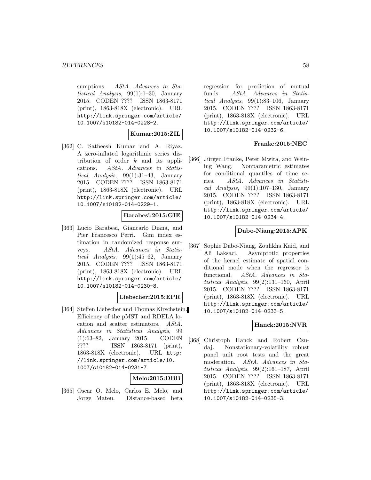sumptions. AStA. Advances in Statistical Analysis, 99(1):1–30, January 2015. CODEN ???? ISSN 1863-8171 (print), 1863-818X (electronic). URL http://link.springer.com/article/ 10.1007/s10182-014-0228-2.

## **Kumar:2015:ZIL**

[362] C. Satheesh Kumar and A. Riyaz. A zero-inflated logarithmic series distribution of order  $k$  and its applications. AStA. Advances in Statistical Analysis, 99(1):31–43, January 2015. CODEN ???? ISSN 1863-8171 (print), 1863-818X (electronic). URL http://link.springer.com/article/ 10.1007/s10182-014-0229-1.

## **Barabesi:2015:GIE**

[363] Lucio Barabesi, Giancarlo Diana, and Pier Francesco Perri. Gini index estimation in randomized response surveys. AStA. Advances in Statistical Analysis, 99(1):45–62, January 2015. CODEN ???? ISSN 1863-8171 (print), 1863-818X (electronic). URL http://link.springer.com/article/ 10.1007/s10182-014-0230-8.

## **Liebscher:2015:EPR**

[364] Steffen Liebscher and Thomas Kirschstein. Efficiency of the pMST and RDELA location and scatter estimators. AStA. Advances in Statistical Analysis, 99 (1):63–82, January 2015. CODEN ???? ISSN 1863-8171 (print), 1863-818X (electronic). URL http: //link.springer.com/article/10. 1007/s10182-014-0231-7.

## **Melo:2015:DBB**

[365] Oscar O. Melo, Carlos E. Melo, and Jorge Mateu. Distance-based beta

regression for prediction of mutual funds. AStA. Advances in Statistical Analysis, 99(1):83–106, January 2015. CODEN ???? ISSN 1863-8171 (print), 1863-818X (electronic). URL http://link.springer.com/article/ 10.1007/s10182-014-0232-6.

## **Franke:2015:NEC**

[366] Jürgen Franke, Peter Mwita, and Weining Wang. Nonparametric estimates for conditional quantiles of time series. AStA. Advances in Statistical Analysis,  $99(1):107-130$ , January 2015. CODEN ???? ISSN 1863-8171 (print), 1863-818X (electronic). URL http://link.springer.com/article/ 10.1007/s10182-014-0234-4.

# **Dabo-Niang:2015:APK**

[367] Sophie Dabo-Niang, Zoulikha Kaid, and Ali Laksaci. Asymptotic properties of the kernel estimate of spatial conditional mode when the regressor is functional. AStA. Advances in Statistical Analysis, 99(2):131–160, April 2015. CODEN ???? ISSN 1863-8171 (print), 1863-818X (electronic). URL http://link.springer.com/article/ 10.1007/s10182-014-0233-5.

## **Hanck:2015:NVR**

[368] Christoph Hanck and Robert Czudaj. Nonstationary-volatility robust panel unit root tests and the great moderation. AStA. Advances in Statistical Analysis, 99(2):161–187, April 2015. CODEN ???? ISSN 1863-8171 (print), 1863-818X (electronic). URL http://link.springer.com/article/ 10.1007/s10182-014-0235-3.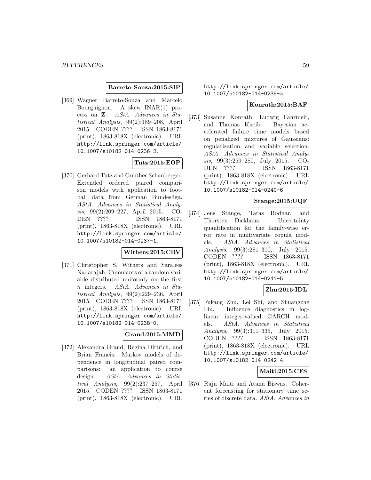#### **Barreto-Souza:2015:SIP**

[369] Wagner Barreto-Souza and Marcelo Bourguignon. A skew INAR(1) process on **Z**. AStA. Advances in Statistical Analysis, 99(2):189–208, April 2015. CODEN ???? ISSN 1863-8171 (print), 1863-818X (electronic). URL http://link.springer.com/article/ 10.1007/s10182-014-0236-2.

## **Tutz:2015:EOP**

[370] Gerhard Tutz and Gunther Schauberger. Extended ordered paired comparison models with application to football data from German Bundesliga. AStA. Advances in Statistical Analysis, 99(2):209–227, April 2015. CO-DEN ???? ISSN 1863-8171 (print), 1863-818X (electronic). URL http://link.springer.com/article/ 10.1007/s10182-014-0237-1.

# **Withers:2015:CRV**

[371] Christopher S. Withers and Saralees Nadarajah. Cumulants of a random variable distributed uniformly on the first n integers. AStA. Advances in Statistical Analysis, 99(2):229–236, April 2015. CODEN ???? ISSN 1863-8171 (print), 1863-818X (electronic). URL http://link.springer.com/article/ 10.1007/s10182-014-0238-0.

## **Grand:2015:MMD**

[372] Alexandra Grand, Regina Dittrich, and Brian Francis. Markov models of dependence in longitudinal paired comparisons: an application to course design. AStA. Advances in Statistical Analysis, 99(2):237–257, April 2015. CODEN ???? ISSN 1863-8171 (print), 1863-818X (electronic). URL

http://link.springer.com/article/ 10.1007/s10182-014-0239-z.

#### **Konrath:2015:BAF**

[373] Susanne Konrath, Ludwig Fahrmeir, and Thomas Kneib. Bayesian accelerated failure time models based on penalized mixtures of Gaussians: regularization and variable selection. AStA. Advances in Statistical Analysis, 99(3):259–280, July 2015. CO-DEN ???? ISSN 1863-8171 (print), 1863-818X (electronic). URL http://link.springer.com/article/ 10.1007/s10182-014-0240-6.

# **Stange:2015:UQF**

[374] Jens Stange, Taras Bodnar, and Thorsten Dickhaus. Uncertainty quantification for the family-wise error rate in multivariate copula models. AStA. Advances in Statistical Analysis, 99(3):281–310, July 2015. CODEN ???? ISSN 1863-8171 (print), 1863-818X (electronic). URL http://link.springer.com/article/ 10.1007/s10182-014-0241-5.

# **Zhu:2015:IDL**

[375] Fukang Zhu, Lei Shi, and Shuangzhe Liu. Influence diagnostics in loglinear integer-valued GARCH models. AStA. Advances in Statistical Analysis, 99(3):311–335, July 2015. CODEN ???? ISSN 1863-8171 (print), 1863-818X (electronic). URL http://link.springer.com/article/ 10.1007/s10182-014-0242-4.

## **Maiti:2015:CFS**

[376] Raju Maiti and Atanu Biswas. Coherent forecasting for stationary time series of discrete data. AStA. Advances in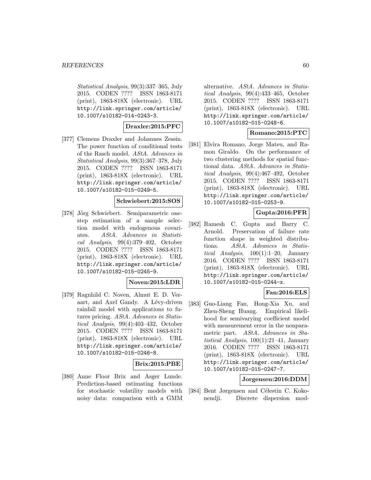Statistical Analysis, 99(3):337–365, July 2015. CODEN ???? ISSN 1863-8171 (print), 1863-818X (electronic). URL http://link.springer.com/article/ 10.1007/s10182-014-0243-3.

## **Draxler:2015:PFC**

[377] Clemens Draxler and Johannes Zessin. The power function of conditional tests of the Rasch model. AStA. Advances in Statistical Analysis, 99(3):367–378, July 2015. CODEN ???? ISSN 1863-8171 (print), 1863-818X (electronic). URL http://link.springer.com/article/ 10.1007/s10182-015-0249-5.

## **Schwiebert:2015:SOS**

[378] Jörg Schwiebert. Semiparametric onestep estimation of a sample selection model with endogenous covariates. AStA. Advances in Statistical Analysis, 99(4):379–402, October 2015. CODEN ???? ISSN 1863-8171 (print), 1863-818X (electronic). URL http://link.springer.com/article/ 10.1007/s10182-015-0245-9.

## **Noven:2015:LDR**

[379] Ragnhild C. Noven, Almut E. D. Veraart, and Axel Gandy. A Lévy-driven rainfall model with applications to futures pricing. AStA. Advances in Statistical Analysis, 99(4):403–432, October 2015. CODEN ???? ISSN 1863-8171 (print), 1863-818X (electronic). URL http://link.springer.com/article/ 10.1007/s10182-015-0246-8.

## **Brix:2015:PBE**

[380] Anne Floor Brix and Asger Lunde. Prediction-based estimating functions for stochastic volatility models with noisy data: comparison with a GMM

alternative. AStA. Advances in Statistical Analysis, 99(4):433–465, October 2015. CODEN ???? ISSN 1863-8171 (print), 1863-818X (electronic). URL http://link.springer.com/article/ 10.1007/s10182-015-0248-6.

# **Romano:2015:PTC**

[381] Elvira Romano, Jorge Mateu, and Ramon Giraldo. On the performance of two clustering methods for spatial functional data. AStA. Advances in Statistical Analysis, 99(4):467–492, October 2015. CODEN ???? ISSN 1863-8171 (print), 1863-818X (electronic). URL http://link.springer.com/article/ 10.1007/s10182-015-0253-9.

# **Gupta:2016:PFR**

[382] Ramesh C. Gupta and Barry C. Arnold. Preservation of failure rate function shape in weighted distributions. AStA. Advances in Statistical Analysis, 100(1):1–20, January 2016. CODEN ???? ISSN 1863-8171 (print), 1863-818X (electronic). URL http://link.springer.com/article/ 10.1007/s10182-015-0244-x.

## **Fan:2016:ELS**

[383] Guo-Liang Fan, Hong-Xia Xu, and Zhen-Sheng Huang. Empirical likelihood for semivarying coefficient model with measurement error in the nonparametric part. AStA. Advances in Statistical Analysis, 100(1):21–41, January 2016. CODEN ???? ISSN 1863-8171 (print), 1863-818X (electronic). URL http://link.springer.com/article/ 10.1007/s10182-015-0247-7.

## **Jorgensen:2016:DDM**

[384] Bent Jørgensen and Célestin C. Kokonendji. Discrete dispersion mod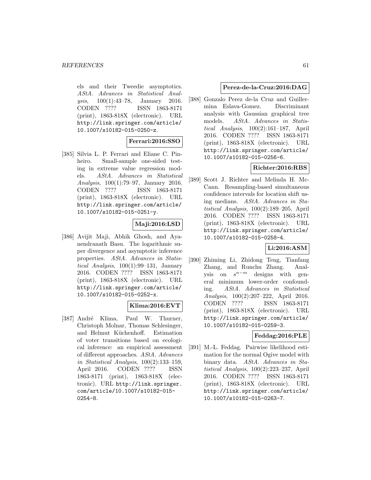els and their Tweedie asymptotics. AStA. Advances in Statistical Analysis, 100(1):43–78, January 2016. CODEN ???? ISSN 1863-8171 (print), 1863-818X (electronic). URL http://link.springer.com/article/ 10.1007/s10182-015-0250-z.

## **Ferrari:2016:SSO**

[385] Silvia L. P. Ferrari and Eliane C. Pinheiro. Small-sample one-sided testing in extreme value regression models. AStA. Advances in Statistical Analysis, 100(1):79–97, January 2016. CODEN ???? ISSN 1863-8171 (print), 1863-818X (electronic). URL http://link.springer.com/article/ 10.1007/s10182-015-0251-y.

## **Maji:2016:LSD**

[386] Avijit Maji, Abhik Ghosh, and Ayanendranath Basu. The logarithmic super divergence and asymptotic inference properties. AStA. Advances in Statistical Analysis,  $100(1):99-131$ , January 2016. CODEN ???? ISSN 1863-8171 (print), 1863-818X (electronic). URL http://link.springer.com/article/ 10.1007/s10182-015-0252-x.

## **Klima:2016:EVT**

[387] André Klima, Paul W. Thurner, Christoph Molnar, Thomas Schlesinger, and Helmut Küchenhoff. Estimation of voter transitions based on ecological inference: an empirical assessment of different approaches. AStA. Advances in Statistical Analysis, 100(2):133–159, April 2016. CODEN ???? ISSN 1863-8171 (print), 1863-818X (electronic). URL http://link.springer. com/article/10.1007/s10182-015- 0254-8.

## **Perez-de-la-Cruz:2016:DAG**

[388] Gonzalo Perez de-la Cruz and Guillermina Eslava-Gomez. Discriminant analysis with Gaussian graphical tree models. AStA. Advances in Statistical Analysis, 100(2):161–187, April 2016. CODEN ???? ISSN 1863-8171 (print), 1863-818X (electronic). URL http://link.springer.com/article/ 10.1007/s10182-015-0256-6.

## **Richter:2016:RBS**

[389] Scott J. Richter and Melinda H. Mc-Cann. Resampling-based simultaneous confidence intervals for location shift using medians. AStA. Advances in Statistical Analysis, 100(2):189–205, April 2016. CODEN ???? ISSN 1863-8171 (print), 1863-818X (electronic). URL http://link.springer.com/article/ 10.1007/s10182-015-0258-4.

# **Li:2016:ASM**

[390] Zhiming Li, Zhidong Teng, Tianfang Zhang, and Runchu Zhang. Analysis on  $s^{n-m}$  designs with general minimum lower-order confounding. AStA. Advances in Statistical Analysis, 100(2):207–222, April 2016. CODEN ???? ISSN 1863-8171 (print), 1863-818X (electronic). URL http://link.springer.com/article/ 10.1007/s10182-015-0259-3.

## **Feddag:2016:PLE**

[391] M.-L. Feddag. Pairwise likelihood estimation for the normal Ogive model with binary data. AStA. Advances in Statistical Analysis, 100(2):223–237, April 2016. CODEN ???? ISSN 1863-8171 (print), 1863-818X (electronic). URL http://link.springer.com/article/ 10.1007/s10182-015-0263-7.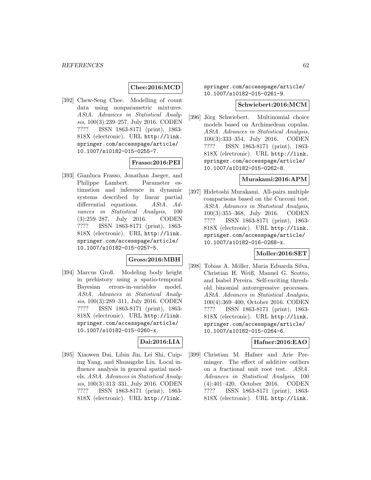# **Chee:2016:MCD**

[392] Chew-Seng Chee. Modelling of count data using nonparametric mixtures. AStA. Advances in Statistical Analysis, 100(3):239–257, July 2016. CODEN ???? ISSN 1863-8171 (print), 1863- 818X (electronic). URL http://link. springer.com/accesspage/article/ 10.1007/s10182-015-0255-7.

## **Frasso:2016:PEI**

[393] Gianluca Frasso, Jonathan Jaeger, and Philippe Lambert. Parameter estimation and inference in dynamic systems described by linear partial differential equations. AStA. Advances in Statistical Analysis, 100 (3):259–287, July 2016. CODEN ???? ISSN 1863-8171 (print), 1863- 818X (electronic). URL http://link. springer.com/accesspage/article/ 10.1007/s10182-015-0257-5.

## **Gross:2016:MBH**

[394] Marcus Groß. Modeling body height in prehistory using a spatio-temporal Bayesian errors-in-variables model. AStA. Advances in Statistical Analysis, 100(3):289–311, July 2016. CODEN ???? ISSN 1863-8171 (print), 1863- 818X (electronic). URL http://link. springer.com/accesspage/article/ 10.1007/s10182-015-0260-x.

## **Dai:2016:LIA**

[395] Xiaowen Dai, Libin Jin, Lei Shi, Cuiping Yang, and Shuangzhe Liu. Local influence analysis in general spatial models. AStA. Advances in Statistical Analysis, 100(3):313–331, July 2016. CODEN ???? ISSN 1863-8171 (print), 1863- 818X (electronic). URL http://link.

springer.com/accesspage/article/ 10.1007/s10182-015-0261-9.

#### **Schwiebert:2016:MCM**

[396] Jörg Schwiebert. Multinomial choice models based on Archimedean copulas. AStA. Advances in Statistical Analysis, 100(3):333–354, July 2016. CODEN ???? ISSN 1863-8171 (print), 1863- 818X (electronic). URL http://link. springer.com/accesspage/article/ 10.1007/s10182-015-0262-8.

#### **Murakami:2016:APM**

[397] Hidetoshi Murakami. All-pairs multiple comparisons based on the Cucconi test. AStA. Advances in Statistical Analysis, 100(3):355–368, July 2016. CODEN ???? ISSN 1863-8171 (print), 1863- 818X (electronic). URL http://link. springer.com/accesspage/article/ 10.1007/s10182-016-0268-x.

#### **Moller:2016:SET**

[398] Tobias A. Möller, Maria Eduarda Silva, Christian H. Weiß, Manuel G. Scotto, and Isabel Pereira. Self-exciting threshold binomial autoregressive processes. AStA. Advances in Statistical Analysis, 100(4):369–400, October 2016. CODEN ???? ISSN 1863-8171 (print), 1863- 818X (electronic). URL http://link. springer.com/accesspage/article/ 10.1007/s10182-015-0264-6.

## **Hafner:2016:EAO**

[399] Christian M. Hafner and Arie Preminger. The effect of additive outliers on a fractional unit root test. AStA. Advances in Statistical Analysis, 100 (4):401–420, October 2016. CODEN ???? ISSN 1863-8171 (print), 1863- 818X (electronic). URL http://link.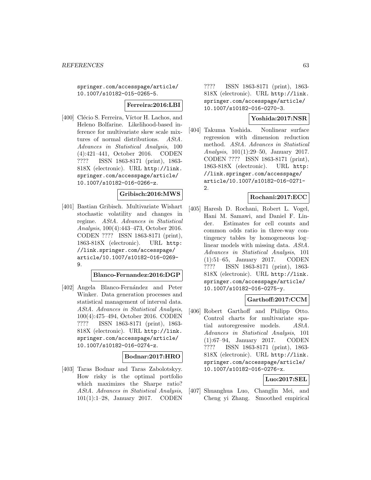springer.com/accesspage/article/ 10.1007/s10182-015-0265-5.

#### **Ferreira:2016:LBI**

[400] Clécio S. Ferreira, Víctor H. Lachos, and Heleno Bolfarine. Likelihood-based inference for multivariate skew scale mixtures of normal distributions. AStA. Advances in Statistical Analysis, 100 (4):421–441, October 2016. CODEN ???? ISSN 1863-8171 (print), 1863- 818X (electronic). URL http://link. springer.com/accesspage/article/ 10.1007/s10182-016-0266-z.

#### **Gribisch:2016:MWS**

[401] Bastian Gribisch. Multivariate Wishart stochastic volatility and changes in regime. AStA. Advances in Statistical Analysis, 100(4):443–473, October 2016. CODEN ???? ISSN 1863-8171 (print), 1863-818X (electronic). URL http: //link.springer.com/accesspage/ article/10.1007/s10182-016-0269- 9.

#### **Blanco-Fernandez:2016:DGP**

[402] Angela Blanco-Fernández and Peter Winker. Data generation processes and statistical management of interval data. AStA. Advances in Statistical Analysis, 100(4):475–494, October 2016. CODEN ???? ISSN 1863-8171 (print), 1863- 818X (electronic). URL http://link. springer.com/accesspage/article/ 10.1007/s10182-016-0274-z.

#### **Bodnar:2017:HRO**

[403] Taras Bodnar and Taras Zabolotskyy. How risky is the optimal portfolio which maximizes the Sharpe ratio? AStA. Advances in Statistical Analysis, 101(1):1–28, January 2017. CODEN ???? ISSN 1863-8171 (print), 1863- 818X (electronic). URL http://link. springer.com/accesspage/article/ 10.1007/s10182-016-0270-3.

# **Yoshida:2017:NSR**

[404] Takuma Yoshida. Nonlinear surface regression with dimension reduction method. AStA. Advances in Statistical Analysis, 101(1):29–50, January 2017. CODEN ???? ISSN 1863-8171 (print), 1863-818X (electronic). URL http: //link.springer.com/accesspage/ article/10.1007/s10182-016-0271- 2.

#### **Rochani:2017:ECC**

[405] Haresh D. Rochani, Robert L. Vogel, Hani M. Samawi, and Daniel F. Linder. Estimates for cell counts and common odds ratio in three-way contingency tables by homogeneous log– linear models with missing data. AStA. Advances in Statistical Analysis, 101 (1):51–65, January 2017. CODEN ???? ISSN 1863-8171 (print), 1863- 818X (electronic). URL http://link. springer.com/accesspage/article/ 10.1007/s10182-016-0275-y.

# **Garthoff:2017:CCM**

[406] Robert Garthoff and Philipp Otto. Control charts for multivariate spatial autoregressive models. AStA. Advances in Statistical Analysis, 101 (1):67–94, January 2017. CODEN ???? ISSN 1863-8171 (print), 1863- 818X (electronic). URL http://link. springer.com/accesspage/article/ 10.1007/s10182-016-0276-x.

## **Luo:2017:SEL**

[407] Shuanghua Luo, Changlin Mei, and Cheng yi Zhang. Smoothed empirical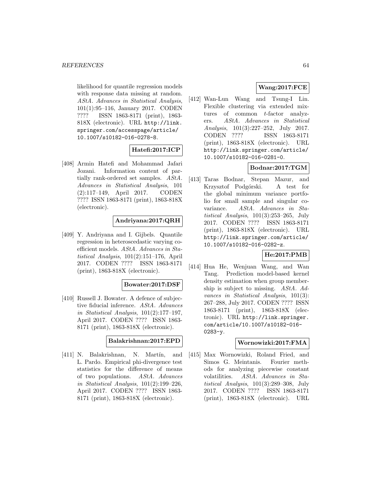likelihood for quantile regression models with response data missing at random. AStA. Advances in Statistical Analysis, 101(1):95–116, January 2017. CODEN ???? ISSN 1863-8171 (print), 1863- 818X (electronic). URL http://link. springer.com/accesspage/article/ 10.1007/s10182-016-0278-8.

# **Hatefi:2017:ICP**

[408] Armin Hatefi and Mohammad Jafari Jozani. Information content of partially rank-ordered set samples. AStA. Advances in Statistical Analysis, 101 (2):117–149, April 2017. CODEN ???? ISSN 1863-8171 (print), 1863-818X (electronic).

# **Andriyana:2017:QRH**

[409] Y. Andriyana and I. Gijbels. Quantile regression in heteroscedastic varying coefficient models. AStA. Advances in Statistical Analysis, 101(2):151–176, April 2017. CODEN ???? ISSN 1863-8171 (print), 1863-818X (electronic).

## **Bowater:2017:DSF**

[410] Russell J. Bowater. A defence of subjective fiducial inference. AStA. Advances in Statistical Analysis, 101(2):177–197, April 2017. CODEN ???? ISSN 1863- 8171 (print), 1863-818X (electronic).

## **Balakrishnan:2017:EPD**

[411] N. Balakrishnan, N. Martín, and L. Pardo. Empirical phi-divergence test statistics for the difference of means of two populations. AStA. Advances in Statistical Analysis, 101(2):199–226, April 2017. CODEN ???? ISSN 1863- 8171 (print), 1863-818X (electronic).

# **Wang:2017:FCE**

[412] Wan-Lun Wang and Tsung-I Lin. Flexible clustering via extended mixtures of common t-factor analyzers. AStA. Advances in Statistical Analysis, 101(3):227–252, July 2017. CODEN ???? ISSN 1863-8171 (print), 1863-818X (electronic). URL http://link.springer.com/article/ 10.1007/s10182-016-0281-0.

# **Bodnar:2017:TGM**

[413] Taras Bodnar, Stepan Mazur, and Krzysztof Podgórski. A test for the global minimum variance portfolio for small sample and singular covariance. AStA. Advances in Statistical Analysis, 101(3):253–265, July 2017. CODEN ???? ISSN 1863-8171 (print), 1863-818X (electronic). URL http://link.springer.com/article/ 10.1007/s10182-016-0282-z.

## **He:2017:PMB**

[414] Hua He, Wenjuan Wang, and Wan Tang. Prediction model-based kernel density estimation when group membership is subject to missing. AStA. Advances in Statistical Analysis, 101(3): 267–288, July 2017. CODEN ???? ISSN 1863-8171 (print), 1863-818X (electronic). URL http://link.springer. com/article/10.1007/s10182-016- 0283-y.

## **Wornowizki:2017:FMA**

[415] Max Wornowizki, Roland Fried, and Simos G. Meintanis. Fourier methods for analyzing piecewise constant volatilities. AStA. Advances in Statistical Analysis, 101(3):289–308, July 2017. CODEN ???? ISSN 1863-8171 (print), 1863-818X (electronic). URL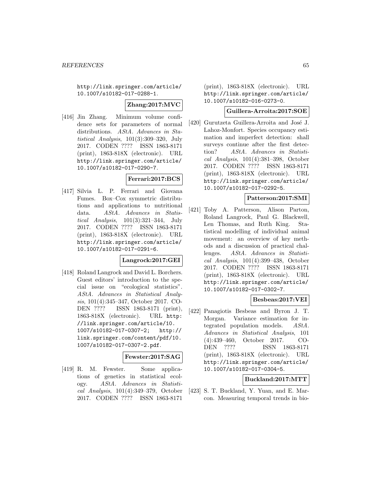http://link.springer.com/article/ 10.1007/s10182-017-0288-1.

**Zhang:2017:MVC**

[416] Jin Zhang. Minimum volume confidence sets for parameters of normal distributions. AStA. Advances in Statistical Analysis, 101(3):309–320, July 2017. CODEN ???? ISSN 1863-8171 (print), 1863-818X (electronic). URL http://link.springer.com/article/ 10.1007/s10182-017-0290-7.

#### **Ferrari:2017:BCS**

[417] Silvia L. P. Ferrari and Giovana Fumes. Box–Cox symmetric distributions and applications to nutritional data. AStA. Advances in Statistical Analysis, 101(3):321–344, July 2017. CODEN ???? ISSN 1863-8171 (print), 1863-818X (electronic). URL http://link.springer.com/article/ 10.1007/s10182-017-0291-6.

## **Langrock:2017:GEI**

[418] Roland Langrock and David L. Borchers. Guest editors' introduction to the special issue on "ecological statistics". AStA. Advances in Statistical Analysis, 101(4):345–347, October 2017. CO-DEN ???? ISSN 1863-8171 (print), 1863-818X (electronic). URL http: //link.springer.com/article/10. 1007/s10182-017-0307-2; http:// link.springer.com/content/pdf/10. 1007/s10182-017-0307-2.pdf.

#### **Fewster:2017:SAG**

[419] R. M. Fewster. Some applications of genetics in statistical ecology. AStA. Advances in Statistical Analysis, 101(4):349–379, October 2017. CODEN ???? ISSN 1863-8171

(print), 1863-818X (electronic). URL http://link.springer.com/article/ 10.1007/s10182-016-0273-0.

#### **Guillera-Arroita:2017:SOE**

[420] Gurutzeta Guillera-Arroita and José J. Lahoz-Monfort. Species occupancy estimation and imperfect detection: shall surveys continue after the first detection? AStA. Advances in Statistical Analysis, 101(4):381–398, October 2017. CODEN ???? ISSN 1863-8171 (print), 1863-818X (electronic). URL http://link.springer.com/article/ 10.1007/s10182-017-0292-5.

## **Patterson:2017:SMI**

[421] Toby A. Patterson, Alison Parton, Roland Langrock, Paul G. Blackwell, Len Thomas, and Ruth King. Statistical modelling of individual animal movement: an overview of key methods and a discussion of practical challenges. AStA. Advances in Statistical Analysis, 101(4):399–438, October 2017. CODEN ???? ISSN 1863-8171 (print), 1863-818X (electronic). URL http://link.springer.com/article/ 10.1007/s10182-017-0302-7.

# **Besbeas:2017:VEI**

[422] Panagiotis Besbeas and Byron J. T. Morgan. Variance estimation for integrated population models. AStA. Advances in Statistical Analysis, 101 (4):439–460, October 2017. CO-DEN ???? ISSN 1863-8171 (print), 1863-818X (electronic). URL http://link.springer.com/article/ 10.1007/s10182-017-0304-5.

# **Buckland:2017:MTT**

[423] S. T. Buckland, Y. Yuan, and E. Marcon. Measuring temporal trends in bio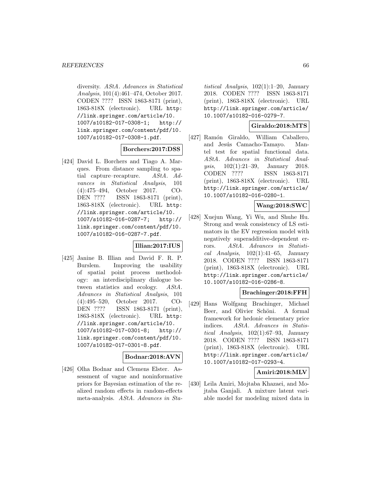diversity. AStA. Advances in Statistical Analysis, 101(4):461–474, October 2017. CODEN ???? ISSN 1863-8171 (print), 1863-818X (electronic). URL http: //link.springer.com/article/10. 1007/s10182-017-0308-1; http:// link.springer.com/content/pdf/10. 1007/s10182-017-0308-1.pdf.

## **Borchers:2017:DSS**

[424] David L. Borchers and Tiago A. Marques. From distance sampling to spatial capture–recapture. AStA. Advances in Statistical Analysis, 101 (4):475–494, October 2017. CO-DEN ???? ISSN 1863-8171 (print), 1863-818X (electronic). URL http: //link.springer.com/article/10. 1007/s10182-016-0287-7; http:// link.springer.com/content/pdf/10. 1007/s10182-016-0287-7.pdf.

## **Illian:2017:IUS**

[425] Janine B. Illian and David F. R. P. Burslem. Improving the usability of spatial point process methodology: an interdisciplinary dialogue between statistics and ecology. AStA. Advances in Statistical Analysis, 101 (4):495–520, October 2017. CO-DEN ???? ISSN 1863-8171 (print), 1863-818X (electronic). URL http: //link.springer.com/article/10. 1007/s10182-017-0301-8; http:// link.springer.com/content/pdf/10. 1007/s10182-017-0301-8.pdf.

#### **Bodnar:2018:AVN**

[426] Olha Bodnar and Clemens Elster. Assessment of vague and noninformative priors for Bayesian estimation of the realized random effects in random-effects meta-analysis. AStA. Advances in Sta-

tistical Analysis, 102(1):1–20, January 2018. CODEN ???? ISSN 1863-8171 (print), 1863-818X (electronic). URL http://link.springer.com/article/ 10.1007/s10182-016-0279-7.

# **Giraldo:2018:MTS**

[427] Ramón Giraldo, William Caballero, and Jesús Camacho-Tamayo. Mantel test for spatial functional data. AStA. Advances in Statistical Analysis, 102(1):21–39, January 2018. CODEN ???? ISSN 1863-8171 (print), 1863-818X (electronic). URL http://link.springer.com/article/ 10.1007/s10182-016-0280-1.

## **Wang:2018:SWC**

[428] Xuejun Wang, Yi Wu, and Shuhe Hu. Strong and weak consistency of LS estimators in the EV regression model with negatively superadditive-dependent errors. AStA. Advances in Statistical Analysis,  $102(1):41-65$ , January 2018. CODEN ???? ISSN 1863-8171 (print), 1863-818X (electronic). URL http://link.springer.com/article/ 10.1007/s10182-016-0286-8.

#### **Brachinger:2018:FFH**

[429] Hans Wolfgang Brachinger, Michael Beer, and Olivier Schöni. A formal framework for hedonic elementary price indices. AStA. Advances in Statistical Analysis, 102(1):67–93, January 2018. CODEN ???? ISSN 1863-8171 (print), 1863-818X (electronic). URL http://link.springer.com/article/ 10.1007/s10182-017-0293-4.

## **Amiri:2018:MLV**

[430] Leila Amiri, Mojtaba Khazaei, and Mojtaba Ganjali. A mixture latent variable model for modeling mixed data in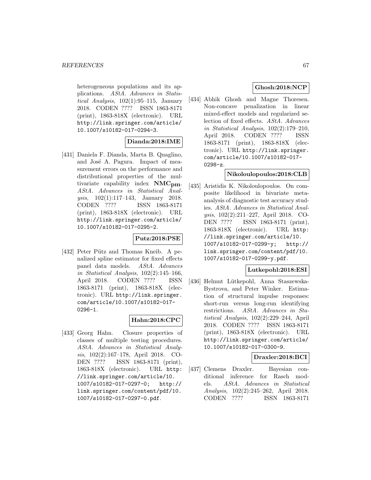heterogeneous populations and its applications. AStA. Advances in Statistical Analysis, 102(1):95–115, January 2018. CODEN ???? ISSN 1863-8171 (print), 1863-818X (electronic). URL http://link.springer.com/article/ 10.1007/s10182-017-0294-3.

## **Dianda:2018:IME**

[431] Daniela F. Dianda, Marta B. Quaglino, and José A. Pagura. Impact of measurement errors on the performance and distributional properties of the multivariate capability index **NMCpm**. AStA. Advances in Statistical Analysis, 102(1):117–143, January 2018. CODEN ???? ISSN 1863-8171 (print), 1863-818X (electronic). URL http://link.springer.com/article/ 10.1007/s10182-017-0295-2.

## **Putz:2018:PSE**

[432] Peter Pütz and Thomas Kneib. A penalized spline estimator for fixed effects panel data models. AStA. Advances in Statistical Analysis, 102(2):145–166, April 2018. CODEN ???? ISSN 1863-8171 (print), 1863-818X (electronic). URL http://link.springer. com/article/10.1007/s10182-017- 0296-1.

## **Hahn:2018:CPC**

[433] Georg Hahn. Closure properties of classes of multiple testing procedures. AStA. Advances in Statistical Analysis, 102(2):167–178, April 2018. CO-DEN ???? ISSN 1863-8171 (print), 1863-818X (electronic). URL http: //link.springer.com/article/10. 1007/s10182-017-0297-0; http:// link.springer.com/content/pdf/10. 1007/s10182-017-0297-0.pdf.

# **Ghosh:2018:NCP**

[434] Abhik Ghosh and Magne Thoresen. Non-concave penalization in linear mixed-effect models and regularized selection of fixed effects. AStA. Advances in Statistical Analysis, 102(2):179–210, April 2018. CODEN ???? ISSN 1863-8171 (print), 1863-818X (electronic). URL http://link.springer. com/article/10.1007/s10182-017- 0298-z.

## **Nikoloulopoulos:2018:CLB**

[435] Aristidis K. Nikoloulopoulos. On composite likelihood in bivariate metaanalysis of diagnostic test accuracy studies. AStA. Advances in Statistical Analysis, 102(2):211–227, April 2018. CO-DEN ???? ISSN 1863-8171 (print), 1863-818X (electronic). URL http: //link.springer.com/article/10. 1007/s10182-017-0299-y; http:// link.springer.com/content/pdf/10. 1007/s10182-017-0299-y.pdf.

## **Lutkepohl:2018:ESI**

[436] Helmut Lütkepohl, Anna Staszewska-Bystrova, and Peter Winker. Estimation of structural impulse responses: short-run versus long-run identifying restrictions. AStA. Advances in Statistical Analysis, 102(2):229–244, April 2018. CODEN ???? ISSN 1863-8171 (print), 1863-818X (electronic). URL http://link.springer.com/article/ 10.1007/s10182-017-0300-9.

## **Draxler:2018:BCI**

[437] Clemens Draxler. Bayesian conditional inference for Rasch models. AStA. Advances in Statistical Analysis, 102(2):245–262, April 2018. CODEN ???? ISSN 1863-8171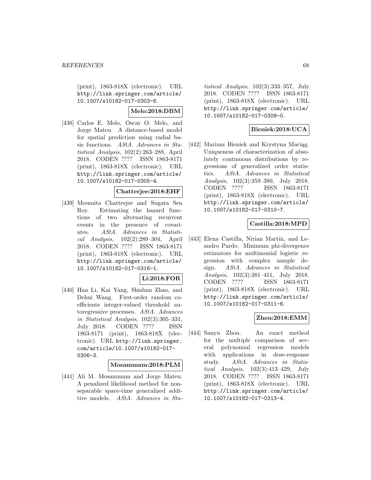(print), 1863-818X (electronic). URL http://link.springer.com/article/ 10.1007/s10182-017-0303-6.

# **Melo:2018:DBM**

[438] Carlos E. Melo, Oscar O. Melo, and Jorge Mateu. A distance-based model for spatial prediction using radial basis functions. AStA. Advances in Statistical Analysis, 102(2):263–288, April 2018. CODEN ???? ISSN 1863-8171 (print), 1863-818X (electronic). URL http://link.springer.com/article/ 10.1007/s10182-017-0305-4.

# **Chatterjee:2018:EHF**

[439] Moumita Chatterjee and Sugata Sen Roy. Estimating the hazard functions of two alternating recurrent events in the presence of covariates. AStA. Advances in Statistical Analysis, 102(2):289–304, April 2018. CODEN ???? ISSN 1863-8171 (print), 1863-818X (electronic). URL http://link.springer.com/article/ 10.1007/s10182-017-0316-1.

## **Li:2018:FOR**

[440] Han Li, Kai Yang, Shishun Zhao, and Dehui Wang. First-order random coefficients integer-valued threshold autoregressive processes. AStA. Advances in Statistical Analysis, 102(3):305–331, July 2018. CODEN ???? ISSN 1863-8171 (print), 1863-818X (electronic). URL http://link.springer. com/article/10.1007/s10182-017- 0306-3.

#### **Mosammam:2018:PLM**

[441] Ali M. Mosammam and Jorge Mateu. A penalized likelihood method for nonseparable space-time generalized additive models. AStA. Advances in Sta-

tistical Analysis, 102(3):333–357, July 2018. CODEN ???? ISSN 1863-8171 (print), 1863-818X (electronic). URL http://link.springer.com/article/ 10.1007/s10182-017-0309-0.

# **Bieniek:2018:UCA**

[442] Mariusz Bieniek and Krystyna Maciag. Uniqueness of characterization of absolutely continuous distributions by regressions of generalized order statistics. AStA. Advances in Statistical Analysis, 102(3):359–380, July 2018. CODEN ???? ISSN 1863-8171 (print), 1863-818X (electronic). URL http://link.springer.com/article/ 10.1007/s10182-017-0310-7.

# **Castilla:2018:MPD**

[443] Elena Castilla, Nirian Martín, and Leandro Pardo. Minimum phi-divergence estimators for multinomial logistic regression with complex sample design. AStA. Advances in Statistical Analysis, 102(3):381–411, July 2018. CODEN ???? ISSN 1863-8171 (print), 1863-818X (electronic). URL http://link.springer.com/article/ 10.1007/s10182-017-0311-6.

## **Zhou:2018:EMM**

[444] Sanyu Zhou. An exact method for the multiple comparison of several polynomial regression models with applications in dose-response study. AStA. Advances in Statistical Analysis, 102(3):413–429, July 2018. CODEN ???? ISSN 1863-8171 (print), 1863-818X (electronic). URL http://link.springer.com/article/ 10.1007/s10182-017-0313-4.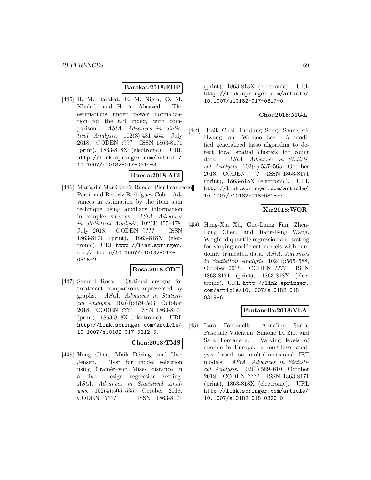## **Barakat:2018:EUP**

[445] H. M. Barakat, E. M. Nigm, O. M. Khaled, and H. A. Alaswed. The estimations under power normalization for the tail index, with comparison. AStA. Advances in Statistical Analysis, 102(3):431–454, July 2018. CODEN ???? ISSN 1863-8171 (print), 1863-818X (electronic). URL http://link.springer.com/article/ 10.1007/s10182-017-0314-3.

## **Rueda:2018:AEI**

[446] María del Mar García Rueda, Pier Francesco Perri, and Beatriz Rodríguez Cobo. Advances in estimation by the item sum technique using auxiliary information in complex surveys. AStA. Advances in Statistical Analysis, 102(3):455–478, July 2018. CODEN ???? ISSN 1863-8171 (print), 1863-818X (electronic). URL http://link.springer. com/article/10.1007/s10182-017- 0315-2.

## **Rosa:2018:ODT**

[447] Samuel Rosa. Optimal designs for treatment comparisons represented by graphs. AStA. Advances in Statistical Analysis, 102(4):479–503, October 2018. CODEN ???? ISSN 1863-8171 (print), 1863-818X (electronic). URL http://link.springer.com/article/ 10.1007/s10182-017-0312-5.

#### **Chen:2018:TMS**

[448] Hong Chen, Maik Döring, and Uwe Jensen. Test for model selection using Cramér–von Mises distance in a fixed design regression setting. AStA. Advances in Statistical Analysis, 102(4):505–535, October 2018. CODEN ???? ISSN 1863-8171

(print), 1863-818X (electronic). URL http://link.springer.com/article/ 10.1007/s10182-017-0317-0.

# **Choi:2018:MGL**

[449] Hosik Choi, Eunjung Song, Seung sik Hwang, and Woojoo Lee. A modified generalized lasso algorithm to detect local spatial clusters for count data. AStA. Advances in Statistical Analysis, 102(4):537–563, October 2018. CODEN ???? ISSN 1863-8171 (print), 1863-818X (electronic). URL http://link.springer.com/article/ 10.1007/s10182-018-0318-7.

# **Xu:2018:WQR**

[450] Hong-Xia Xu, Guo-Liang Fan, Zhen-Long Chen, and Jiang-Feng Wang. Weighted quantile regression and testing for varying-coefficient models with randomly truncated data. AStA. Advances in Statistical Analysis, 102(4):565–588, October 2018. CODEN ???? ISSN 1863-8171 (print), 1863-818X (electronic). URL http://link.springer. com/article/10.1007/s10182-018- 0319-6.

## **Fontanella:2018:VLA**

[451] Lara Fontanella, Annalina Sarra, Pasquale Valentini, Simone Di Zio, and Sara Fontanella. Varying levels of anomie in Europe: a multilevel analysis based on multidimensional IRT models. *AStA*. *Advances in Statisti*cal Analysis, 102(4):589–610, October 2018. CODEN ???? ISSN 1863-8171 (print), 1863-818X (electronic). URL http://link.springer.com/article/ 10.1007/s10182-018-0320-0.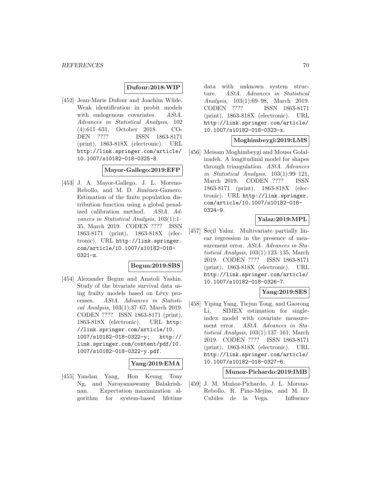# **Dufour:2018:WIP**

[452] Jean-Marie Dufour and Joachim Wilde. Weak identification in probit models with endogenous covariates. AStA. Advances in Statistical Analysis, 102 (4):611–631, October 2018. CO-DEN ???? ISSN 1863-8171 (print), 1863-818X (electronic). URL http://link.springer.com/article/ 10.1007/s10182-018-0325-8.

## **Mayor-Gallego:2019:EFP**

[453] J. A. Mayor-Gallego, J. L. Moreno-Rebollo, and M. D. Jiménez-Gamero. Estimation of the finite population distribution function using a global penalized calibration method. AStA. Advances in Statistical Analysis, 103(1):1– 35, March 2019. CODEN ???? ISSN 1863-8171 (print), 1863-818X (electronic). URL http://link.springer. com/article/10.1007/s10182-018- 0321-z.

## **Begun:2019:SBS**

[454] Alexander Begun and Anatoli Yashin. Study of the bivariate survival data using frailty models based on Lévy processes. AStA. Advances in Statistical Analysis, 103(1):37–67, March 2019. CODEN ???? ISSN 1863-8171 (print), 1863-818X (electronic). URL http: //link.springer.com/article/10. 1007/s10182-018-0322-y; http:// link.springer.com/content/pdf/10. 1007/s10182-018-0322-y.pdf.

#### **Yang:2019:EMA**

[455] Yandan Yang, Hon Keung Tony Ng, and Narayanaswamy Balakrishnan. Expectation–maximization algorithm for system-based lifetime

data with unknown system structure. AStA. Advances in Statistical Analysis, 103(1):69–98, March 2019. CODEN ???? ISSN 1863-8171 (print), 1863-818X (electronic). URL http://link.springer.com/article/ 10.1007/s10182-018-0323-x.

## **Moghimbeygi:2019:LMS**

[456] Meisam Moghimbeygi and Mousa Golalizadeh. A longitudinal model for shapes through triangulation. AStA. Advances in Statistical Analysis, 103(1):99–121, March 2019. CODEN ???? ISSN 1863-8171 (print), 1863-818X (electronic). URL http://link.springer. com/article/10.1007/s10182-018- 0324-9.

## **Yalaz:2019:MPL**

[457] Seçil Yalaz. Multivariate partially linear regression in the presence of measurement error. AStA. Advances in Statistical Analysis, 103(1):123–135, March 2019. CODEN ???? ISSN 1863-8171 (print), 1863-818X (electronic). URL http://link.springer.com/article/ 10.1007/s10182-018-0326-7.

## **Yang:2019:SES**

[458] Yiping Yang, Tiejun Tong, and Gaorong Li. SIMEX estimation for singleindex model with covariate measurement error. AStA. Advances in Statistical Analysis, 103(1):137–161, March 2019. CODEN ???? ISSN 1863-8171 (print), 1863-818X (electronic). URL http://link.springer.com/article/ 10.1007/s10182-018-0327-6.

## **Munoz-Pichardo:2019:IMB**

[459] J. M. Muñoz-Pichardo, J. L. Moreno-Rebollo, R. Pino-Mejías, and M. D. Cubiles de la Vega. Influence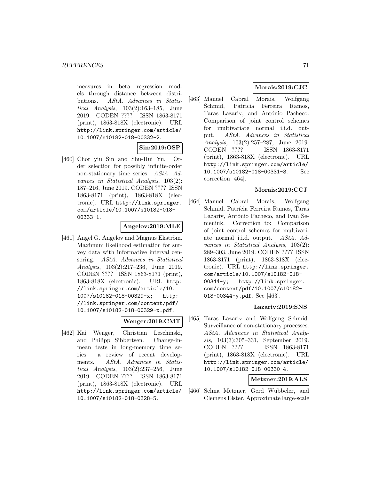measures in beta regression models through distance between distributions. AStA. Advances in Statistical Analysis, 103(2):163–185, June 2019. CODEN ???? ISSN 1863-8171 (print), 1863-818X (electronic). URL http://link.springer.com/article/ 10.1007/s10182-018-00332-2.

**Sin:2019:OSP**

[460] Chor yiu Sin and Shu-Hui Yu. Order selection for possibly infinite-order non-stationary time series. AStA. Advances in Statistical Analysis, 103(2): 187–216, June 2019. CODEN ???? ISSN 1863-8171 (print), 1863-818X (electronic). URL http://link.springer. com/article/10.1007/s10182-018- 00333-1.

#### **Angelov:2019:MLE**

[461] Angel G. Angelov and Magnus Ekström. Maximum likelihood estimation for survey data with informative interval censoring. AStA. Advances in Statistical Analysis, 103(2):217–236, June 2019. CODEN ???? ISSN 1863-8171 (print), 1863-818X (electronic). URL http: //link.springer.com/article/10. 1007/s10182-018-00329-x; http: //link.springer.com/content/pdf/ 10.1007/s10182-018-00329-x.pdf.

#### **Wenger:2019:CMT**

[462] Kai Wenger, Christian Leschinski, and Philipp Sibbertsen. Change-inmean tests in long-memory time series: a review of recent developments. AStA. Advances in Statistical Analysis, 103(2):237–256, June 2019. CODEN ???? ISSN 1863-8171 (print), 1863-818X (electronic). URL http://link.springer.com/article/ 10.1007/s10182-018-0328-5.

# **Morais:2019:CJC**

[463] Manuel Cabral Morais, Wolfgang Schmid, Patrícia Ferreira Ramos, Taras Lazariv, and António Pacheco. Comparison of joint control schemes for multivariate normal i.i.d. output. AStA. Advances in Statistical Analysis, 103(2):257–287, June 2019. CODEN ???? ISSN 1863-8171 (print), 1863-818X (electronic). URL http://link.springer.com/article/ 10.1007/s10182-018-00331-3. See correction [464].

# **Morais:2019:CCJ**

[464] Manuel Cabral Morais, Wolfgang Schmid, Patrícia Ferreira Ramos, Taras Lazariv, António Pacheco, and Ivan Semeniuk. Correction to: Comparison of joint control schemes for multivariate normal i.i.d. output. AStA. Advances in Statistical Analysis, 103(2): 289–303, June 2019. CODEN ???? ISSN 1863-8171 (print), 1863-818X (electronic). URL http://link.springer. com/article/10.1007/s10182-018- 00344-y; http://link.springer. com/content/pdf/10.1007/s10182- 018-00344-y.pdf. See [463].

# **Lazariv:2019:SNS**

[465] Taras Lazariv and Wolfgang Schmid. Surveillance of non-stationary processes. AStA. Advances in Statistical Analysis, 103(3):305–331, September 2019. CODEN ???? ISSN 1863-8171 (print), 1863-818X (electronic). URL http://link.springer.com/article/ 10.1007/s10182-018-00330-4.

# **Metzner:2019:ALS**

[466] Selma Metzner, Gerd Wübbeler, and Clemens Elster. Approximate large-scale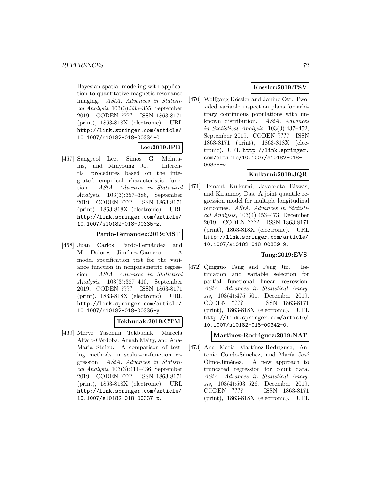Bayesian spatial modeling with application to quantitative magnetic resonance imaging. AStA. Advances in Statistical Analysis, 103(3):333–355, September 2019. CODEN ???? ISSN 1863-8171 (print), 1863-818X (electronic). URL http://link.springer.com/article/ 10.1007/s10182-018-00334-0.

# **Lee:2019:IPB**

[467] Sangyeol Lee, Simos G. Meintanis, and Minyoung Jo. Inferential procedures based on the integrated empirical characteristic function. AStA. Advances in Statistical Analysis, 103(3):357–386, September 2019. CODEN ???? ISSN 1863-8171 (print), 1863-818X (electronic). URL http://link.springer.com/article/ 10.1007/s10182-018-00335-z.

#### **Pardo-Fernandez:2019:MST**

[468] Juan Carlos Pardo-Fernández and M. Dolores Jiménez-Gamero. A model specification test for the variance function in nonparametric regression. AStA. Advances in Statistical Analysis, 103(3):387–410, September 2019. CODEN ???? ISSN 1863-8171 (print), 1863-818X (electronic). URL http://link.springer.com/article/ 10.1007/s10182-018-00336-y.

# **Tekbudak:2019:CTM**

[469] Merve Yasemin Tekbudak, Marcela Alfaro-Córdoba, Arnab Maity, and Ana-Maria Staicu. A comparison of testing methods in scalar-on-function regression. AStA. Advances in Statistical Analysis, 103(3):411–436, September 2019. CODEN ???? ISSN 1863-8171 (print), 1863-818X (electronic). URL http://link.springer.com/article/ 10.1007/s10182-018-00337-x.

# **Kossler:2019:TSV**

[470] Wolfgang Kössler and Janine Ott. Twosided variable inspection plans for arbitrary continuous populations with unknown distribution. AStA. Advances in Statistical Analysis, 103(3):437–452, September 2019. CODEN ???? ISSN 1863-8171 (print), 1863-818X (electronic). URL http://link.springer. com/article/10.1007/s10182-018- 00338-w.

## **Kulkarni:2019:JQR**

[471] Hemant Kulkarni, Jayabrata Biswas, and Kiranmoy Das. A joint quantile regression model for multiple longitudinal outcomes. AStA. Advances in Statistical Analysis, 103(4):453–473, December 2019. CODEN ???? ISSN 1863-8171 (print), 1863-818X (electronic). URL http://link.springer.com/article/ 10.1007/s10182-018-00339-9.

# **Tang:2019:EVS**

[472] Qingguo Tang and Peng Jin. Estimation and variable selection for partial functional linear regression. AStA. Advances in Statistical Analysis, 103(4):475–501, December 2019. CODEN ???? ISSN 1863-8171 (print), 1863-818X (electronic). URL http://link.springer.com/article/ 10.1007/s10182-018-00342-0.

**Martinez-Rodriguez:2019:NAT**

[473] Ana María Martínez-Rodríguez, Antonio Conde-Sánchez, and María José Olmo-Jiménez. A new approach to truncated regression for count data. AStA. Advances in Statistical Analysis, 103(4):503–526, December 2019. CODEN ???? ISSN 1863-8171 (print), 1863-818X (electronic). URL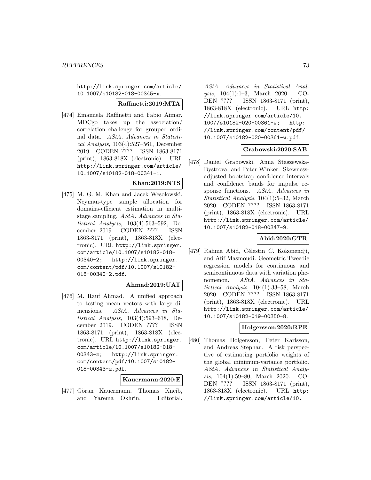http://link.springer.com/article/ 10.1007/s10182-018-00345-x.

#### **Raffinetti:2019:MTA**

[474] Emanuela Raffinetti and Fabio Aimar. MDCgo takes up the association/ correlation challenge for grouped ordinal data. AStA. Advances in Statistical Analysis, 103(4):527–561, December 2019. CODEN ???? ISSN 1863-8171 (print), 1863-818X (electronic). URL http://link.springer.com/article/ 10.1007/s10182-018-00341-1.

#### **Khan:2019:NTS**

[475] M. G. M. Khan and Jacek Wesołowski. Neyman-type sample allocation for domains-efficient estimation in multistage sampling. AStA. Advances in Statistical Analysis, 103(4):563–592, December 2019. CODEN ???? ISSN 1863-8171 (print), 1863-818X (electronic). URL http://link.springer. com/article/10.1007/s10182-018- 00340-2; http://link.springer. com/content/pdf/10.1007/s10182- 018-00340-2.pdf.

### **Ahmad:2019:UAT**

[476] M. Rauf Ahmad. A unified approach to testing mean vectors with large dimensions. AStA. Advances in Statistical Analysis, 103(4):593–618, December 2019. CODEN ???? ISSN 1863-8171 (print), 1863-818X (electronic). URL http://link.springer. com/article/10.1007/s10182-018- 00343-z; http://link.springer. com/content/pdf/10.1007/s10182- 018-00343-z.pdf.

#### **Kauermann:2020:E**

[477] Göran Kauermann, Thomas Kneib, and Yarema Okhrin. Editorial. AStA. Advances in Statistical Analysis, 104(1):1–3, March 2020. CO-DEN ???? ISSN 1863-8171 (print), 1863-818X (electronic). URL http: //link.springer.com/article/10. 1007/s10182-020-00361-w; http: //link.springer.com/content/pdf/ 10.1007/s10182-020-00361-w.pdf.

## **Grabowski:2020:SAB**

[478] Daniel Grabowski, Anna Staszewska-Bystrova, and Peter Winker. Skewnessadjusted bootstrap confidence intervals and confidence bands for impulse response functions. AStA. Advances in Statistical Analysis, 104(1):5–32, March 2020. CODEN ???? ISSN 1863-8171 (print), 1863-818X (electronic). URL http://link.springer.com/article/ 10.1007/s10182-018-00347-9.

### **Abid:2020:GTR**

[479] Rahma Abid, Célestin C. Kokonendji, and Afif Masmoudi. Geometric Tweedie regression models for continuous and semicontinuous data with variation phenomenon. AStA. Advances in Statistical Analysis, 104(1):33–58, March 2020. CODEN ???? ISSN 1863-8171 (print), 1863-818X (electronic). URL http://link.springer.com/article/ 10.1007/s10182-019-00350-8.

### **Holgersson:2020:RPE**

[480] Thomas Holgersson, Peter Karlsson, and Andreas Stephan. A risk perspective of estimating portfolio weights of the global minimum-variance portfolio. AStA. Advances in Statistical Analysis, 104(1):59–80, March 2020. CO-DEN ???? ISSN 1863-8171 (print), 1863-818X (electronic). URL http: //link.springer.com/article/10.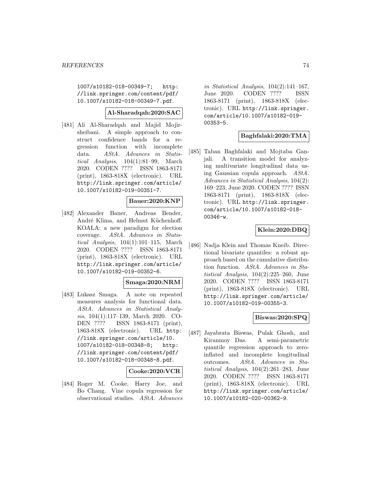1007/s10182-018-00349-7; http: //link.springer.com/content/pdf/ 10.1007/s10182-018-00349-7.pdf.

## **Al-Sharadqah:2020:SAC**

[481] Ali Al-Sharadqah and Majid Mojirsheibani. A simple approach to construct confidence bands for a regression function with incomplete data. AStA. Advances in Statistical Analysis, 104(1):81–99, March 2020. CODEN ???? ISSN 1863-8171 (print), 1863-818X (electronic). URL http://link.springer.com/article/ 10.1007/s10182-019-00351-7.

### **Bauer:2020:KNP**

[482] Alexander Bauer, Andreas Bender, André Klima, and Helmut Küchenhoff. KOALA: a new paradigm for election coverage. AStA. Advances in Statistical Analysis,  $104(1):101-115$ , March 2020. CODEN ???? ISSN 1863-8171 (print), 1863-818X (electronic). URL http://link.springer.com/article/ 10.1007/s10182-019-00352-6.

### **Smaga:2020:NRM**

[483] Lukasz Smaga. A note on repeated measures analysis for functional data. AStA. Advances in Statistical Analysis, 104(1):117–139, March 2020. CO-DEN ???? ISSN 1863-8171 (print), 1863-818X (electronic). URL http: //link.springer.com/article/10. 1007/s10182-018-00348-8; http: //link.springer.com/content/pdf/ 10.1007/s10182-018-00348-8.pdf.

### **Cooke:2020:VCR**

[484] Roger M. Cooke, Harry Joe, and Bo Chang. Vine copula regression for observational studies. AStA. Advances in Statistical Analysis, 104(2):141–167, June 2020. CODEN ???? ISSN 1863-8171 (print), 1863-818X (electronic). URL http://link.springer. com/article/10.1007/s10182-019- 00353-5.

### **Baghfalaki:2020:TMA**

[485] Taban Baghfalaki and Mojtaba Ganjali. A transition model for analyzing multivariate longitudinal data using Gaussian copula approach. AStA. Advances in Statistical Analysis, 104(2): 169–223, June 2020. CODEN ???? ISSN 1863-8171 (print), 1863-818X (electronic). URL http://link.springer. com/article/10.1007/s10182-018- 00346-w.

## **Klein:2020:DBQ**

[486] Nadja Klein and Thomas Kneib. Directional bivariate quantiles: a robust approach based on the cumulative distribution function. AStA. Advances in Statistical Analysis, 104(2):225–260, June 2020. CODEN ???? ISSN 1863-8171 (print), 1863-818X (electronic). URL http://link.springer.com/article/ 10.1007/s10182-019-00355-3.

### **Biswas:2020:SPQ**

[487] Jayabrata Biswas, Pulak Ghosh, and Kiranmoy Das. A semi-parametric quantile regression approach to zeroinflated and incomplete longitudinal outcomes. AStA. Advances in Statistical Analysis, 104(2):261–283, June 2020. CODEN ???? ISSN 1863-8171 (print), 1863-818X (electronic). URL http://link.springer.com/article/ 10.1007/s10182-020-00362-9.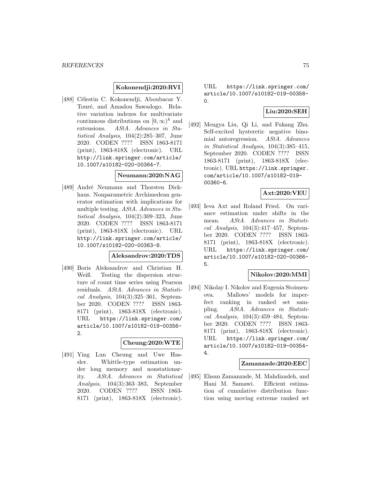### **Kokonendji:2020:RVI**

[488] Célestin C. Kokonendji, Aboubacar Y. Touré, and Amadou Sawadogo. Relative variation indexes for multivariate continuous distributions on  $[0, \infty)^k$  and<br>extensions. AStA. Advances in Sta-AStA. Advances in Statistical Analysis, 104(2):285–307, June 2020. CODEN ???? ISSN 1863-8171 (print), 1863-818X (electronic). URL http://link.springer.com/article/ 10.1007/s10182-020-00364-7.

#### **Neumann:2020:NAG**

[489] André Neumann and Thorsten Dickhaus. Nonparametric Archimedean generator estimation with implications for multiple testing. AStA. Advances in Statistical Analysis, 104(2):309–323, June 2020. CODEN ???? ISSN 1863-8171 (print), 1863-818X (electronic). URL http://link.springer.com/article/ 10.1007/s10182-020-00363-8.

#### **Aleksandrov:2020:TDS**

[490] Boris Aleksandrov and Christian H. Weiß. Testing the dispersion structure of count time series using Pearson residuals. AStA. Advances in Statistical Analysis, 104(3):325–361, September 2020. CODEN ???? ISSN 1863- 8171 (print), 1863-818X (electronic). URL https://link.springer.com/ article/10.1007/s10182-019-00356- 2.

#### **Cheung:2020:WTE**

[491] Ying Lun Cheung and Uwe Hassler. Whittle-type estimation under long memory and nonstationarity. AStA. Advances in Statistical Analysis, 104(3):363–383, September 2020. CODEN ???? ISSN 1863- 8171 (print), 1863-818X (electronic).

URL https://link.springer.com/ article/10.1007/s10182-019-00358- 0.

### **Liu:2020:SEH**

[492] Mengya Liu, Qi Li, and Fukang Zhu. Self-excited hysteretic negative binomial autoregression. AStA. Advances in Statistical Analysis, 104(3):385–415, September 2020. CODEN ???? ISSN 1863-8171 (print), 1863-818X (electronic). URL https://link.springer. com/article/10.1007/s10182-019- 00360-6.

# **Axt:2020:VEU**

[493] Ieva Axt and Roland Fried. On variance estimation under shifts in the mean. AStA. Advances in Statistical Analysis,  $104(3):417-457$ , September 2020. CODEN ???? ISSN 1863- 8171 (print), 1863-818X (electronic). URL https://link.springer.com/ article/10.1007/s10182-020-00366- 5.

### **Nikolov:2020:MMI**

[494] Nikolay I. Nikolov and Eugenia Stoimenova. Mallows' models for imperfect ranking in ranked set sampling. AStA. Advances in Statistical Analysis, 104(3):459–484, September 2020. CODEN ???? ISSN 1863- 8171 (print), 1863-818X (electronic). URL https://link.springer.com/ article/10.1007/s10182-019-00354- 4.

#### **Zamanzade:2020:EEC**

[495] Ehsan Zamanzade, M. Mahdizadeh, and Hani M. Samawi. Efficient estimation of cumulative distribution function using moving extreme ranked set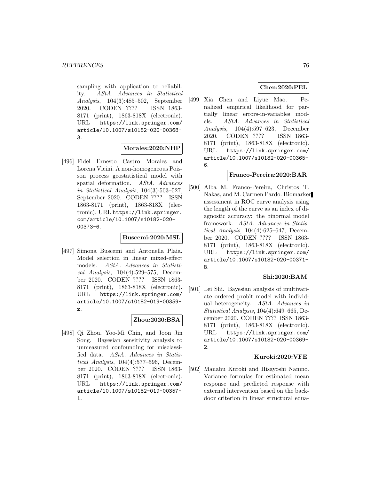sampling with application to reliability. AStA. Advances in Statistical Analysis, 104(3):485–502, September 2020. CODEN ???? ISSN 1863- 8171 (print), 1863-818X (electronic). URL https://link.springer.com/ article/10.1007/s10182-020-00368- 3.

#### **Morales:2020:NHP**

[496] Fidel Ernesto Castro Morales and Lorena Vicini. A non-homogeneous Poisson process geostatistical model with spatial deformation. AStA. Advances in Statistical Analysis, 104(3):503–527, September 2020. CODEN ???? ISSN 1863-8171 (print), 1863-818X (electronic). URL https://link.springer. com/article/10.1007/s10182-020- 00373-6.

#### **Buscemi:2020:MSL**

[497] Simona Buscemi and Antonella Plaia. Model selection in linear mixed-effect models. AStA. Advances in Statistical Analysis, 104(4):529–575, December 2020. CODEN ???? ISSN 1863- 8171 (print), 1863-818X (electronic). URL https://link.springer.com/ article/10.1007/s10182-019-00359 z.

### **Zhou:2020:BSA**

[498] Qi Zhou, Yoo-Mi Chin, and Joon Jin Song. Bayesian sensitivity analysis to unmeasured confounding for misclassified data. AStA. Advances in Statistical Analysis, 104(4):577–596, December 2020. CODEN ???? ISSN 1863- 8171 (print), 1863-818X (electronic). URL https://link.springer.com/ article/10.1007/s10182-019-00357- 1.

## **Chen:2020:PEL**

[499] Xia Chen and Liyue Mao. Penalized empirical likelihood for partially linear errors-in-variables models. AStA. Advances in Statistical Analysis, 104(4):597–623, December 2020. CODEN ???? ISSN 1863- 8171 (print), 1863-818X (electronic). URL https://link.springer.com/ article/10.1007/s10182-020-00365- 6.

#### **Franco-Pereira:2020:BAR**

[500] Alba M. Franco-Pereira, Christos T. Nakas, and M. Carmen Pardo. Biomarker assessment in ROC curve analysis using the length of the curve as an index of diagnostic accuracy: the binormal model framework. AStA. Advances in Statistical Analysis, 104(4):625–647, December 2020. CODEN ???? ISSN 1863- 8171 (print), 1863-818X (electronic). URL https://link.springer.com/ article/10.1007/s10182-020-00371- 8.

## **Shi:2020:BAM**

[501] Lei Shi. Bayesian analysis of multivariate ordered probit model with individual heterogeneity. AStA. Advances in Statistical Analysis, 104(4):649–665, December 2020. CODEN ???? ISSN 1863- 8171 (print), 1863-818X (electronic). URL https://link.springer.com/ article/10.1007/s10182-020-00369- 2.

### **Kuroki:2020:VFE**

[502] Manabu Kuroki and Hisayoshi Nanmo. Variance formulas for estimated mean response and predicted response with external intervention based on the backdoor criterion in linear structural equa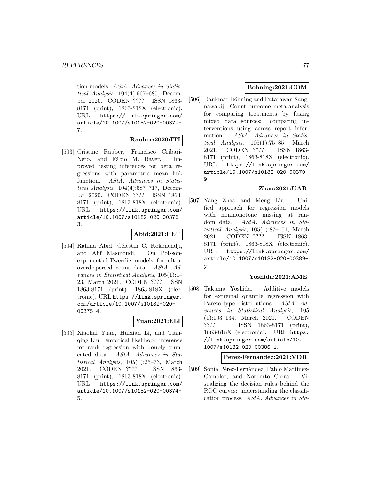tion models. AStA. Advances in Statistical Analysis, 104(4):667–685, December 2020. CODEN ???? ISSN 1863- 8171 (print), 1863-818X (electronic). URL https://link.springer.com/ article/10.1007/s10182-020-00372- 7.

# **Rauber:2020:ITI**

[503] Cristine Rauber, Francisco Cribari-Neto, and Fábio M. Bayer. Improved testing inferences for beta regressions with parametric mean link function. AStA. Advances in Statistical Analysis, 104(4):687–717, December 2020. CODEN ???? ISSN 1863- 8171 (print), 1863-818X (electronic). URL https://link.springer.com/ article/10.1007/s10182-020-00376- 3.

#### **Abid:2021:PET**

[504] Rahma Abid, Célestin C. Kokonendji, and Afif Masmoudi. On Poissonexponential-Tweedie models for ultraoverdispersed count data. AStA. Advances in Statistical Analysis, 105(1):1– 23, March 2021. CODEN ???? ISSN 1863-8171 (print), 1863-818X (electronic). URL https://link.springer. com/article/10.1007/s10182-020- 00375-4.

## **Yuan:2021:ELI**

[505] Xiaohui Yuan, Huixian Li, and Tianqing Liu. Empirical likelihood inference for rank regression with doubly truncated data. AStA. Advances in Statistical Analysis, 105(1):25–73, March 2021. CODEN ???? ISSN 1863- 8171 (print), 1863-818X (electronic). URL https://link.springer.com/ article/10.1007/s10182-020-00374- 5.

## **Bohning:2021:COM**

[506] Dankmar Böhning and Patarawan Sangnawakij. Count outcome meta-analysis for comparing treatments by fusing mixed data sources: comparing interventions using across report information. AStA. Advances in Statistical Analysis, 105(1):75–85, March 2021. CODEN ???? ISSN 1863- 8171 (print), 1863-818X (electronic). URL https://link.springer.com/ article/10.1007/s10182-020-00370- 9.

### **Zhao:2021:UAR**

[507] Yang Zhao and Meng Liu. Unified approach for regression models with nonmonotone missing at random data. AStA. Advances in Statistical Analysis, 105(1):87–101, March 2021. CODEN ???? ISSN 1863- 8171 (print), 1863-818X (electronic). URL https://link.springer.com/ article/10.1007/s10182-020-00389 y.

# **Yoshida:2021:AME**

[508] Takuma Yoshida. Additive models for extremal quantile regression with Pareto-type distributions. AStA. Advances in Statistical Analysis, 105 (1):103–134, March 2021. CODEN ???? ISSN 1863-8171 (print), 1863-818X (electronic). URL https: //link.springer.com/article/10. 1007/s10182-020-00386-1.

### **Perez-Fernandez:2021:VDR**

[509] Sonia Pérez-Fernández, Pablo Martínez-Camblor, and Norberto Corral. Visualizing the decision rules behind the ROC curves: understanding the classification process. AStA. Advances in Sta-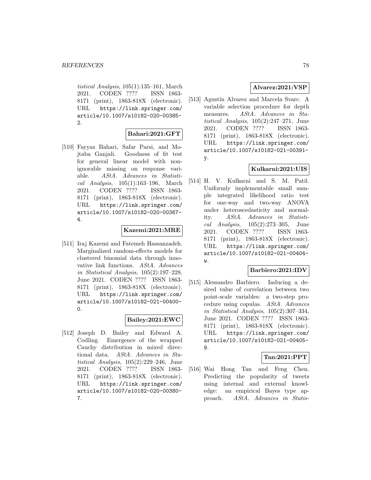tistical Analysis, 105(1):135–161, March 2021. CODEN ???? ISSN 1863- 8171 (print), 1863-818X (electronic). URL https://link.springer.com/ article/10.1007/s10182-020-00385- 2.

### **Bahari:2021:GFT**

[510] Fayyaz Bahari, Safar Parsi, and Mojtaba Ganjali. Goodness of fit test for general linear model with nonignorable missing on response variable. AStA. Advances in Statistical Analysis, 105(1):163–196, March 2021. CODEN ???? ISSN 1863- 8171 (print), 1863-818X (electronic). URL https://link.springer.com/ article/10.1007/s10182-020-00367- 4.

## **Kazemi:2021:MRE**

[511] Iraj Kazemi and Fatemeh Hassanzadeh. Marginalized random-effects models for clustered binomial data through innovative link functions. AStA. Advances in Statistical Analysis, 105(2):197–228, June 2021. CODEN ???? ISSN 1863- 8171 (print), 1863-818X (electronic). URL https://link.springer.com/ article/10.1007/s10182-021-00400- 0.

## **Bailey:2021:EWC**

[512] Joseph D. Bailey and Edward A. Codling. Emergence of the wrapped Cauchy distribution in mixed directional data. AStA. Advances in Statistical Analysis, 105(2):229–246, June 2021. CODEN ???? ISSN 1863- 8171 (print), 1863-818X (electronic). URL https://link.springer.com/ article/10.1007/s10182-020-00380- 7.

### **Alvarez:2021:VSP**

[513] Agustín Alvarez and Marcela Svarc. A variable selection procedure for depth measures. AStA. Advances in Statistical Analysis, 105(2):247–271, June 2021. CODEN ???? ISSN 1863- 8171 (print), 1863-818X (electronic). URL https://link.springer.com/ article/10.1007/s10182-021-00391 y.

## **Kulkarni:2021:UIS**

[514] H. V. Kulkarni and S. M. Patil. Uniformly implementable small sample integrated likelihood ratio test for one-way and two-way ANOVA under heteroscedasticity and normality. AStA. Advances in Statistical Analysis, 105(2):273–305, June 2021. CODEN ???? ISSN 1863- 8171 (print), 1863-818X (electronic). URL https://link.springer.com/ article/10.1007/s10182-021-00404-  $\overline{M}$ .

# **Barbiero:2021:IDV**

[515] Alessandro Barbiero. Inducing a desired value of correlation between two point-scale variables: a two-step procedure using copulas. AStA. Advances in Statistical Analysis, 105(2):307–334, June 2021. CODEN ???? ISSN 1863- 8171 (print), 1863-818X (electronic). URL https://link.springer.com/ article/10.1007/s10182-021-00405- 9.

### **Tan:2021:PPT**

[516] Wai Hong Tan and Feng Chen. Predicting the popularity of tweets using internal and external knowledge: an empirical Bayes type approach. AStA. Advances in Statis-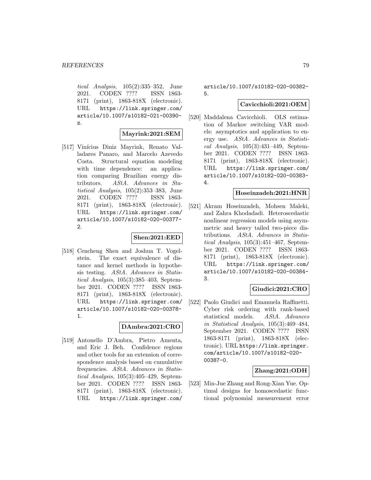tical Analysis, 105(2):335–352, June 2021. CODEN ???? ISSN 1863- 8171 (print), 1863-818X (electronic). URL https://link.springer.com/ article/10.1007/s10182-021-00390 z.

#### **Mayrink:2021:SEM**

[517] Vinícius Diniz Mayrink, Renato Valladares Panaro, and Marcelo Azevedo Costa. Structural equation modeling with time dependence: an application comparing Brazilian energy distributors. AStA. Advances in Statistical Analysis, 105(2):353–383, June 2021. CODEN ???? ISSN 1863- 8171 (print), 1863-818X (electronic). URL https://link.springer.com/ article/10.1007/s10182-020-00377- 2.

#### **Shen:2021:EED**

[518] Cencheng Shen and Joshua T. Vogelstein. The exact equivalence of distance and kernel methods in hypothesis testing. AStA. Advances in Statistical Analysis, 105(3):385–403, September 2021. CODEN ???? ISSN 1863- 8171 (print), 1863-818X (electronic). URL https://link.springer.com/ article/10.1007/s10182-020-00378- 1.

# **DAmbra:2021:CRO**

[519] Antonello D'Ambra, Pietro Amenta, and Eric J. Beh. Confidence regions and other tools for an extension of correspondence analysis based on cumulative frequencies. AStA. Advances in Statistical Analysis, 105(3):405–429, September 2021. CODEN ???? ISSN 1863- 8171 (print), 1863-818X (electronic). URL https://link.springer.com/

article/10.1007/s10182-020-00382- 5.

#### **Cavicchioli:2021:OEM**

[520] Maddalena Cavicchioli. OLS estimation of Markov switching VAR models: asymptotics and application to energy use. AStA. Advances in Statistical Analysis, 105(3):431–449, September 2021. CODEN ???? ISSN 1863- 8171 (print), 1863-818X (electronic). URL https://link.springer.com/ article/10.1007/s10182-020-00383- 4.

### **Hoseinzadeh:2021:HNR**

[521] Akram Hoseinzadeh, Mohsen Maleki, and Zahra Khodadadi. Heteroscedastic nonlinear regression models using asymmetric and heavy tailed two-piece distributions. AStA. Advances in Statistical Analysis, 105(3):451–467, September 2021. CODEN ???? ISSN 1863- 8171 (print), 1863-818X (electronic). URL https://link.springer.com/ article/10.1007/s10182-020-00384- 3.

# **Giudici:2021:CRO**

[522] Paolo Giudici and Emanuela Raffinetti. Cyber risk ordering with rank-based statistical models. AStA. Advances in Statistical Analysis, 105(3):469–484, September 2021. CODEN ???? ISSN 1863-8171 (print), 1863-818X (electronic). URL https://link.springer. com/article/10.1007/s10182-020- 00387-0.

### **Zhang:2021:ODH**

[523] Min-Jue Zhang and Rong-Xian Yue. Optimal designs for homoscedastic functional polynomial measurement error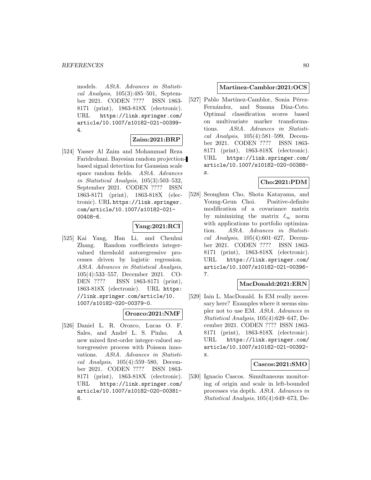models. AStA. Advances in Statistical Analysis, 105(3):485–501, September 2021. CODEN ???? ISSN 1863- 8171 (print), 1863-818X (electronic). URL https://link.springer.com/ article/10.1007/s10182-021-00399- 4.

## **Zaim:2021:BRP**

[524] Yasser Al Zaim and Mohammad Reza Faridrohani. Bayesian random projectionbased signal detection for Gaussian scale space random fields. AStA. Advances in Statistical Analysis, 105(3):503–532, September 2021. CODEN ???? ISSN 1863-8171 (print), 1863-818X (electronic). URL https://link.springer. com/article/10.1007/s10182-021- 00408-6.

## **Yang:2021:RCI**

[525] Kai Yang, Han Li, and Chenhui Zhang. Random coefficients integervalued threshold autoregressive processes driven by logistic regression. AStA. Advances in Statistical Analysis, 105(4):533–557, December 2021. CO-DEN ???? ISSN 1863-8171 (print), 1863-818X (electronic). URL https: //link.springer.com/article/10. 1007/s10182-020-00379-0.

### **Orozco:2021:NMF**

[526] Daniel L. R. Orozco, Lucas O. F. Sales, and André L. S. Pinho. A new mixed first-order integer-valued autoregressive process with Poisson innovations. AStA. Advances in Statistical Analysis, 105(4):559–580, December 2021. CODEN ???? ISSN 1863- 8171 (print), 1863-818X (electronic). URL https://link.springer.com/ article/10.1007/s10182-020-00381- 6.

### **Martinez-Camblor:2021:OCS**

[527] Pablo Martínez-Camblor, Sonia Pérez-Fernández, and Susana Díaz-Coto. Optimal classification scores based on multivariate marker transformations. AStA. Advances in Statistical Analysis, 105(4):581–599, December 2021. CODEN ???? ISSN 1863- 8171 (print), 1863-818X (electronic). URL https://link.springer.com/ article/10.1007/s10182-020-00388 z.

# **Cho:2021:PDM**

[528] Seonghun Cho, Shota Katayama, and Young-Geun Choi. Positive-definite modification of a covariance matrix by minimizing the matrix  $\ell_{\infty}$  norm with applications to portfolio optimization. AStA. Advances in Statistical Analysis,  $105(4):601-627$ , December 2021. CODEN ???? ISSN 1863- 8171 (print), 1863-818X (electronic). URL https://link.springer.com/ article/10.1007/s10182-021-00396- 7.

### **MacDonald:2021:ERN**

[529] Iain L. MacDonald. Is EM really necessary here? Examples where it seems simpler not to use EM. AStA. Advances in Statistical Analysis, 105(4):629–647, December 2021. CODEN ???? ISSN 1863- 8171 (print), 1863-818X (electronic). URL https://link.springer.com/ article/10.1007/s10182-021-00392 x.

### **Cascos:2021:SMO**

[530] Ignacio Cascos. Simultaneous monitoring of origin and scale in left-bounded processes via depth. AStA. Advances in Statistical Analysis, 105(4):649–673, De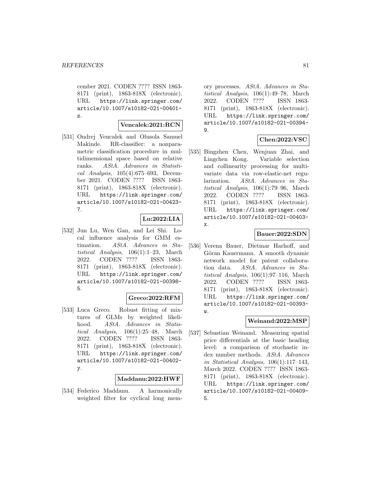cember 2021. CODEN ???? ISSN 1863- 8171 (print), 1863-818X (electronic). URL https://link.springer.com/ article/10.1007/s10182-021-00401 z.

### **Vencalek:2021:RCN**

[531] Ondrej Vencalek and Olusola Samuel Makinde. RR-classifier: a nonparametric classification procedure in multidimensional space based on relative ranks. AStA. Advances in Statistical Analysis, 105(4):675–693, December 2021. CODEN ???? ISSN 1863- 8171 (print), 1863-818X (electronic). URL https://link.springer.com/ article/10.1007/s10182-021-00423- 7.

## **Lu:2022:LIA**

[532] Jun Lu, Wen Gan, and Lei Shi. Local influence analysis for GMM estimation. AStA. Advances in Statistical Analysis, 106(1):1–23, March 2022. CODEN ???? ISSN 1863- 8171 (print), 1863-818X (electronic). URL https://link.springer.com/ article/10.1007/s10182-021-00398- 5.

### **Greco:2022:RFM**

[533] Luca Greco. Robust fitting of mixtures of GLMs by weighted likelihood. AStA. Advances in Statistical Analysis, 106(1):25–48, March 2022. CODEN ???? ISSN 1863- 8171 (print), 1863-818X (electronic). URL https://link.springer.com/ article/10.1007/s10182-021-00402 y.

#### **Maddanu:2022:HWF**

[534] Federico Maddanu. A harmonically weighted filter for cyclical long mem-

ory processes. AStA. Advances in Statistical Analysis, 106(1):49–78, March 2022. CODEN ???? ISSN 1863- 8171 (print), 1863-818X (electronic). URL https://link.springer.com/ article/10.1007/s10182-021-00394- 9.

## **Chen:2022:VSC**

[535] Bingzhen Chen, Wenjuan Zhai, and Lingchen Kong. Variable selection and collinearity processing for multivariate data via row-elastic-net regularization. AStA. Advances in Statistical Analysis, 106(1):79–96, March 2022. CODEN ???? ISSN 1863- 8171 (print), 1863-818X (electronic). URL https://link.springer.com/ article/10.1007/s10182-021-00403 x.

#### **Bauer:2022:SDN**

[536] Verena Bauer, Dietmar Harhoff, and Göran Kauermann. A smooth dynamic network model for patent collaboration data. AStA. Advances in Statistical Analysis, 106(1):97–116, March 2022. CODEN ???? ISSN 1863- 8171 (print), 1863-818X (electronic). URL https://link.springer.com/ article/10.1007/s10182-021-00393-  $\overline{w}$ .

# **Weinand:2022:MSP**

[537] Sebastian Weinand. Measuring spatial price differentials at the basic heading level: a comparison of stochastic index number methods. AStA. Advances in Statistical Analysis, 106(1):117–143, March 2022. CODEN ???? ISSN 1863- 8171 (print), 1863-818X (electronic). URL https://link.springer.com/ article/10.1007/s10182-021-00409- 5.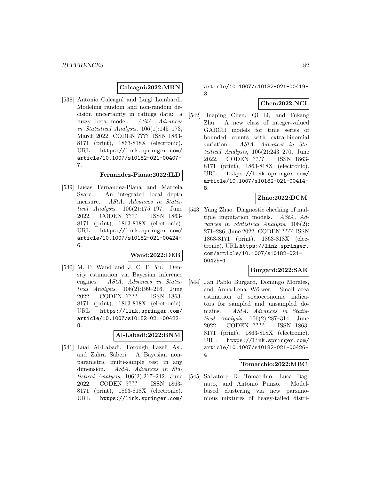## **Calcagni:2022:MRN**

[538] Antonio Calcagnì and Luigi Lombardi. Modeling random and non-random decision uncertainty in ratings data: a fuzzy beta model. AStA. Advances in Statistical Analysis, 106(1):145–173, March 2022. CODEN ???? ISSN 1863- 8171 (print), 1863-818X (electronic). URL https://link.springer.com/ article/10.1007/s10182-021-00407- 7.

#### **Fernandez-Piana:2022:ILD**

[539] Lucas Fernandez-Piana and Marcela Svarc. An integrated local depth measure. AStA. Advances in Statistical Analysis, 106(2):175–197, June 2022. CODEN ???? ISSN 1863- 8171 (print), 1863-818X (electronic). URL https://link.springer.com/ article/10.1007/s10182-021-00424- 6.

#### **Wand:2022:DEB**

[540] M. P. Wand and J. C. F. Yu. Density estimation via Bayesian inference engines. AStA. Advances in Statistical Analysis, 106(2):199–216, June 2022. CODEN ???? ISSN 1863- 8171 (print), 1863-818X (electronic). URL https://link.springer.com/ article/10.1007/s10182-021-00422- 8.

### **Al-Labadi:2022:BNM**

[541] Luai Al-Labadi, Forough Fazeli Asl, and Zahra Saberi. A Bayesian nonparametric multi-sample test in any dimension. AStA. Advances in Statistical Analysis, 106(2):217–242, June 2022. CODEN ???? ISSN 1863- 8171 (print), 1863-818X (electronic). URL https://link.springer.com/

article/10.1007/s10182-021-00419- 3.

### **Chen:2022:NCI**

[542] Huaping Chen, Qi Li, and Fukang Zhu. A new class of integer-valued GARCH models for time series of bounded counts with extra-binomial variation. AStA. Advances in Statistical Analysis, 106(2):243–270, June 2022. CODEN ???? ISSN 1863- 8171 (print), 1863-818X (electronic). URL https://link.springer.com/ article/10.1007/s10182-021-00414- 8.

#### **Zhao:2022:DCM**

[543] Yang Zhao. Diagnostic checking of multiple imputation models. AStA. Advances in Statistical Analysis, 106(2): 271–286, June 2022. CODEN ???? ISSN 1863-8171 (print), 1863-818X (electronic). URL https://link.springer. com/article/10.1007/s10182-021- 00429-1.

## **Burgard:2022:SAE**

[544] Jan Pablo Burgard, Domingo Morales, and Anna-Lena Wölwer. Small area estimation of socioeconomic indicators for sampled and unsampled domains. AStA. Advances in Statistical Analysis, 106(2):287–314, June 2022. CODEN ???? ISSN 1863- 8171 (print), 1863-818X (electronic). URL https://link.springer.com/ article/10.1007/s10182-021-00426- 4.

#### **Tomarchio:2022:MBC**

[545] Salvatore D. Tomarchio, Luca Bagnato, and Antonio Punzo. Modelbased clustering via new parsimonious mixtures of heavy-tailed distri